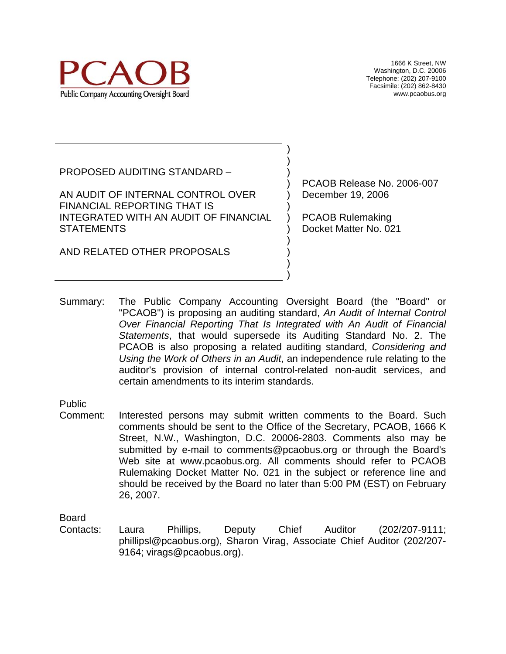

1666 K Street, NW Washington, D.C. 20006 Telephone: (202) 207-9100 Facsimile: (202) 862-8430 www.pcaobus.org

PROPOSED AUDITING STANDARD –

AND RELATED OTHER PROPOSALS

AN AUDIT OF INTERNAL CONTROL OVER FINANCIAL REPORTING THAT IS INTEGRATED WITH AN AUDIT OF FINANCIAL STATEMENTS

PCAOB Release No. 2006-007 December 19, 2006

PCAOB Rulemaking Docket Matter No. 021

Summary: The Public Company Accounting Oversight Board (the "Board" or "PCAOB") is proposing an auditing standard, *An Audit of Internal Control Over Financial Reporting That Is Integrated with An Audit of Financial Statements*, that would supersede its Auditing Standard No. 2. The PCAOB is also proposing a related auditing standard, *Considering and Using the Work of Others in an Audit*, an independence rule relating to the auditor's provision of internal control-related non-audit services, and certain amendments to its interim standards.

) ) ) ) ) ) ) ) ) ) ) )

Public

Comment: Interested persons may submit written comments to the Board. Such comments should be sent to the Office of the Secretary, PCAOB, 1666 K Street, N.W., Washington, D.C. 20006-2803. Comments also may be submitted by e-mail to comments@pcaobus.org or through the Board's Web site at www.pcaobus.org. All comments should refer to PCAOB Rulemaking Docket Matter No. 021 in the subject or reference line and should be received by the Board no later than 5:00 PM (EST) on February 26, 2007.

Board

Contacts: Laura Phillips, Deputy Chief Auditor (202/207-9111; phillipsl@pcaobus.org), Sharon Virag, Associate Chief Auditor (202/207- 9164; virags@pcaobus.org).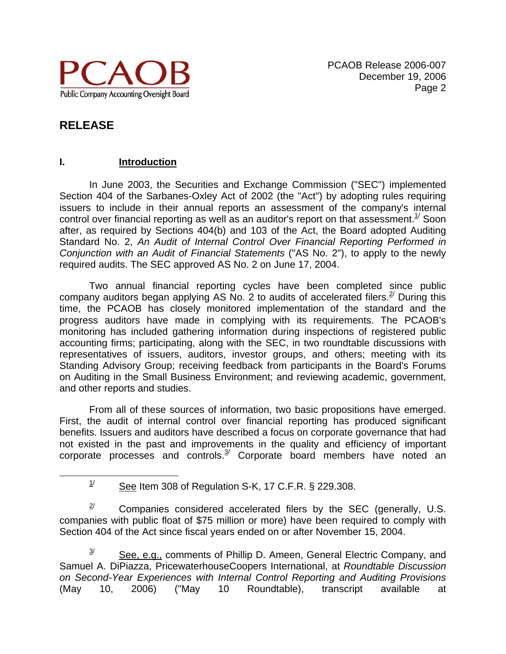

## **I. Introduction**

In June 2003, the Securities and Exchange Commission ("SEC") implemented Section 404 of the Sarbanes-Oxley Act of 2002 (the "Act") by adopting rules requiring issuers to include in their annual reports an assessment of the company's internal control over financial reporting as well as an auditor's report on that assessment. $1/$  Soon after, as required by Sections 404(b) and 103 of the Act, the Board adopted Auditing Standard No. 2, *An Audit of Internal Control Over Financial Reporting Performed in Conjunction with an Audit of Financial Statements* ("AS No. 2"), to apply to the newly required audits. The SEC approved AS No. 2 on June 17, 2004.

Two annual financial reporting cycles have been completed since public company auditors began applying AS No. 2 to audits of accelerated filers.<sup>2/</sup> During this time, the PCAOB has closely monitored implementation of the standard and the progress auditors have made in complying with its requirements. The PCAOB's monitoring has included gathering information during inspections of registered public accounting firms; participating, along with the SEC, in two roundtable discussions with representatives of issuers, auditors, investor groups, and others; meeting with its Standing Advisory Group; receiving feedback from participants in the Board's Forums on Auditing in the Small Business Environment; and reviewing academic, government, and other reports and studies.

From all of these sources of information, two basic propositions have emerged. First, the audit of internal control over financial reporting has produced significant benefits. Issuers and auditors have described a focus on corporate governance that had not existed in the past and improvements in the quality and efficiency of important corporate processes and controls. $3/2$  Corporate board members have noted an

 $\frac{2}{2}$  Companies considered accelerated filers by the SEC (generally, U.S. companies with public float of \$75 million or more) have been required to comply with Section 404 of the Act since fiscal years ended on or after November 15, 2004.

 $3^{\prime}$  See, e.g., comments of Phillip D. Ameen, General Electric Company, and Samuel A. DiPiazza, PricewaterhouseCoopers International, at *Roundtable Discussion on Second-Year Experiences with Internal Control Reporting and Auditing Provisions*  (May 10, 2006) ("May 10 Roundtable), transcript available at

 $\frac{1}{2}$  $\frac{1}{2}$  See Item 308 of Regulation S-K, 17 C.F.R. § 229.308.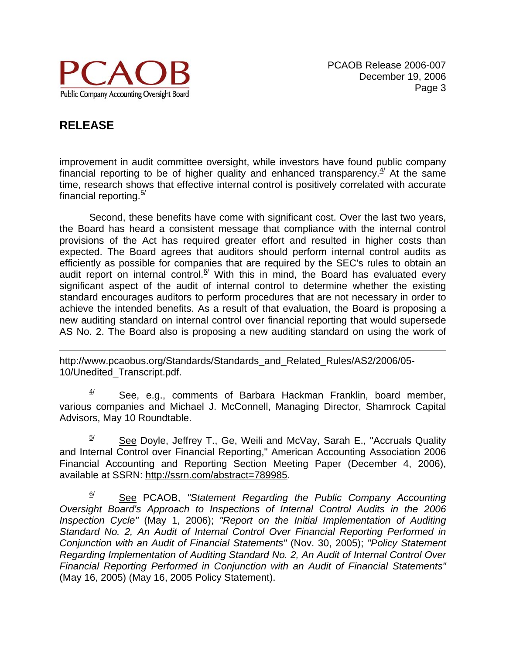

improvement in audit committee oversight, while investors have found public company financial reporting to be of higher quality and enhanced transparency. $4/4$  At the same time, research shows that effective internal control is positively correlated with accurate financial reporting.<sup>5/</sup>

Second, these benefits have come with significant cost. Over the last two years, the Board has heard a consistent message that compliance with the internal control provisions of the Act has required greater effort and resulted in higher costs than expected. The Board agrees that auditors should perform internal control audits as efficiently as possible for companies that are required by the SEC's rules to obtain an audit report on internal control. $^{6}$  With this in mind, the Board has evaluated every significant aspect of the audit of internal control to determine whether the existing standard encourages auditors to perform procedures that are not necessary in order to achieve the intended benefits. As a result of that evaluation, the Board is proposing a new auditing standard on internal control over financial reporting that would supersede AS No. 2. The Board also is proposing a new auditing standard on using the work of

 $\overline{a}$ http://www.pcaobus.org/Standards/Standards\_and\_Related\_Rules/AS2/2006/05-10/Unedited\_Transcript.pdf.

 $4/$  See, e.g., comments of Barbara Hackman Franklin, board member, various companies and Michael J. McConnell, Managing Director, Shamrock Capital Advisors, May 10 Roundtable.

5/ See Doyle, Jeffrey T., Ge, Weili and McVay, Sarah E., "Accruals Quality and Internal Control over Financial Reporting," American Accounting Association 2006 Financial Accounting and Reporting Section Meeting Paper (December 4, 2006), available at SSRN: http://ssrn.com/abstract=789985.

6/ See PCAOB, *"Statement Regarding the Public Company Accounting Oversight Board's Approach to Inspections of Internal Control Audits in the 2006 Inspection Cycle"* (May 1, 2006); *"Report on the Initial Implementation of Auditing Standard No. 2, An Audit of Internal Control Over Financial Reporting Performed in Conjunction with an Audit of Financial Statements"* (Nov. 30, 2005); *"Policy Statement Regarding Implementation of Auditing Standard No. 2, An Audit of Internal Control Over Financial Reporting Performed in Conjunction with an Audit of Financial Statements"* (May 16, 2005) (May 16, 2005 Policy Statement).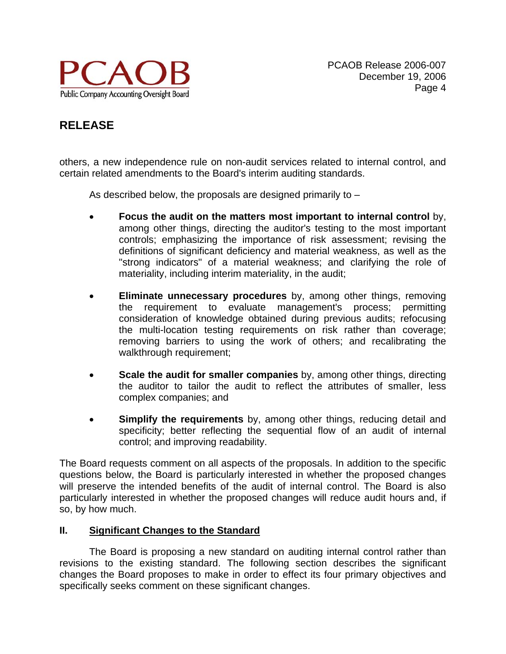

others, a new independence rule on non-audit services related to internal control, and certain related amendments to the Board's interim auditing standards.

As described below, the proposals are designed primarily to –

- **Focus the audit on the matters most important to internal control** by, among other things, directing the auditor's testing to the most important controls; emphasizing the importance of risk assessment; revising the definitions of significant deficiency and material weakness, as well as the "strong indicators" of a material weakness; and clarifying the role of materiality, including interim materiality, in the audit;
- **Eliminate unnecessary procedures** by, among other things, removing the requirement to evaluate management's process; permitting consideration of knowledge obtained during previous audits; refocusing the multi-location testing requirements on risk rather than coverage; removing barriers to using the work of others; and recalibrating the walkthrough requirement;
- • **Scale the audit for smaller companies** by, among other things, directing the auditor to tailor the audit to reflect the attributes of smaller, less complex companies; and
- **Simplify the requirements** by, among other things, reducing detail and specificity; better reflecting the sequential flow of an audit of internal control; and improving readability.

The Board requests comment on all aspects of the proposals. In addition to the specific questions below, the Board is particularly interested in whether the proposed changes will preserve the intended benefits of the audit of internal control. The Board is also particularly interested in whether the proposed changes will reduce audit hours and, if so, by how much.

### **II. Significant Changes to the Standard**

The Board is proposing a new standard on auditing internal control rather than revisions to the existing standard. The following section describes the significant changes the Board proposes to make in order to effect its four primary objectives and specifically seeks comment on these significant changes.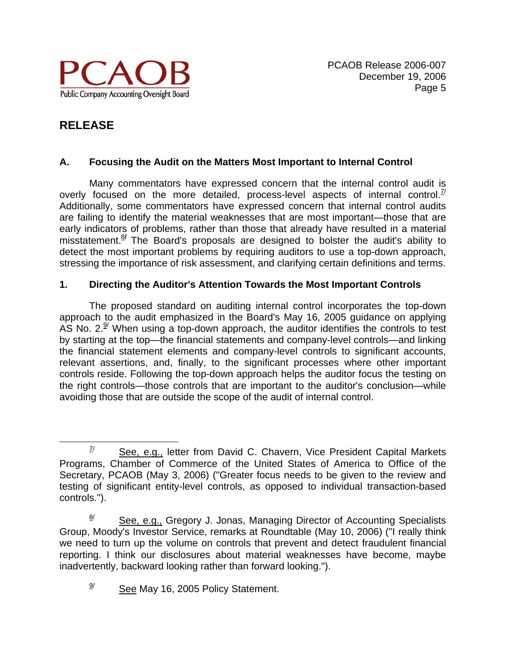

## **A. Focusing the Audit on the Matters Most Important to Internal Control**

Many commentators have expressed concern that the internal control audit is overly focused on the more detailed, process-level aspects of internal control. $\frac{1}{2}$ Additionally, some commentators have expressed concern that internal control audits are failing to identify the material weaknesses that are most important—those that are early indicators of problems, rather than those that already have resulted in a material misstatement.8**/** The Board's proposals are designed to bolster the audit's ability to detect the most important problems by requiring auditors to use a top-down approach, stressing the importance of risk assessment, and clarifying certain definitions and terms.

### **1. Directing the Auditor's Attention Towards the Most Important Controls**

 The proposed standard on auditing internal control incorporates the top-down approach to the audit emphasized in the Board's May 16, 2005 guidance on applying AS No. 2. $\frac{9}{2}$  When using a top-down approach, the auditor identifies the controls to test by starting at the top—the financial statements and company-level controls—and linking the financial statement elements and company-level controls to significant accounts, relevant assertions, and, finally, to the significant processes where other important controls reside. Following the top-down approach helps the auditor focus the testing on the right controls—those controls that are important to the auditor's conclusion—while avoiding those that are outside the scope of the audit of internal control.

 $\frac{7}{4}$  $\frac{Z}{Z}$  See, e.g., letter from David C. Chavern, Vice President Capital Markets Programs, Chamber of Commerce of the United States of America to Office of the Secretary, PCAOB (May 3, 2006) ("Greater focus needs to be given to the review and testing of significant entity-level controls, as opposed to individual transaction-based controls.").

<sup>8/</sup> See, e.g., Gregory J. Jonas, Managing Director of Accounting Specialists Group, Moody's Investor Service, remarks at Roundtable (May 10, 2006) ("I really think we need to turn up the volume on controls that prevent and detect fraudulent financial reporting. I think our disclosures about material weaknesses have become, maybe inadvertently, backward looking rather than forward looking.").

 $\frac{9}{2}$  $\frac{9}{2}$  See May 16, 2005 Policy Statement.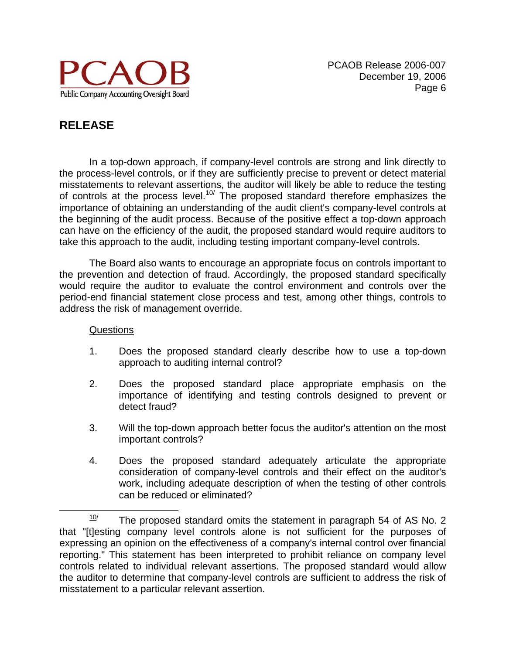

In a top-down approach, if company-level controls are strong and link directly to the process-level controls, or if they are sufficiently precise to prevent or detect material misstatements to relevant assertions, the auditor will likely be able to reduce the testing of controls at the process level. $10$ <sup>/</sup> The proposed standard therefore emphasizes the importance of obtaining an understanding of the audit client's company-level controls at the beginning of the audit process. Because of the positive effect a top-down approach can have on the efficiency of the audit, the proposed standard would require auditors to take this approach to the audit, including testing important company-level controls.

The Board also wants to encourage an appropriate focus on controls important to the prevention and detection of fraud. Accordingly, the proposed standard specifically would require the auditor to evaluate the control environment and controls over the period-end financial statement close process and test, among other things, controls to address the risk of management override.

#### Questions

- 1. Does the proposed standard clearly describe how to use a top-down approach to auditing internal control?
- 2. Does the proposed standard place appropriate emphasis on the importance of identifying and testing controls designed to prevent or detect fraud?
- 3. Will the top-down approach better focus the auditor's attention on the most important controls?
- 4. Does the proposed standard adequately articulate the appropriate consideration of company-level controls and their effect on the auditor's work, including adequate description of when the testing of other controls can be reduced or eliminated?

10/ The proposed standard omits the statement in paragraph 54 of AS No. 2 that "[t]esting company level controls alone is not sufficient for the purposes of expressing an opinion on the effectiveness of a company's internal control over financial reporting." This statement has been interpreted to prohibit reliance on company level controls related to individual relevant assertions. The proposed standard would allow the auditor to determine that company-level controls are sufficient to address the risk of misstatement to a particular relevant assertion.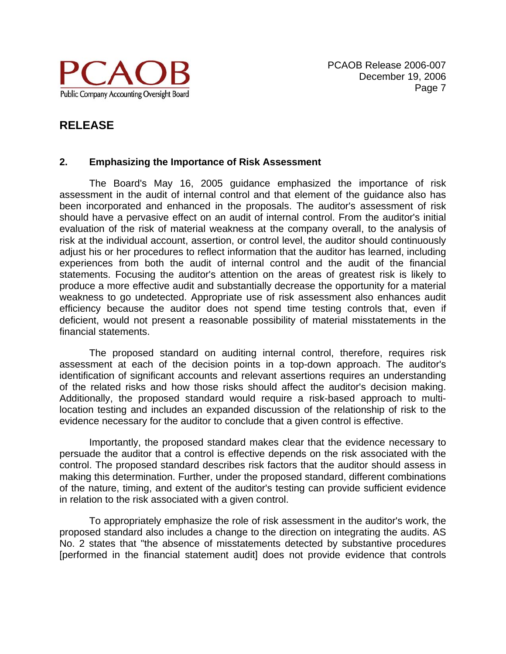

### **2. Emphasizing the Importance of Risk Assessment**

 The Board's May 16, 2005 guidance emphasized the importance of risk assessment in the audit of internal control and that element of the guidance also has been incorporated and enhanced in the proposals. The auditor's assessment of risk should have a pervasive effect on an audit of internal control. From the auditor's initial evaluation of the risk of material weakness at the company overall, to the analysis of risk at the individual account, assertion, or control level, the auditor should continuously adjust his or her procedures to reflect information that the auditor has learned, including experiences from both the audit of internal control and the audit of the financial statements. Focusing the auditor's attention on the areas of greatest risk is likely to produce a more effective audit and substantially decrease the opportunity for a material weakness to go undetected. Appropriate use of risk assessment also enhances audit efficiency because the auditor does not spend time testing controls that, even if deficient, would not present a reasonable possibility of material misstatements in the financial statements.

 The proposed standard on auditing internal control, therefore, requires risk assessment at each of the decision points in a top-down approach. The auditor's identification of significant accounts and relevant assertions requires an understanding of the related risks and how those risks should affect the auditor's decision making. Additionally, the proposed standard would require a risk-based approach to multilocation testing and includes an expanded discussion of the relationship of risk to the evidence necessary for the auditor to conclude that a given control is effective.

 Importantly, the proposed standard makes clear that the evidence necessary to persuade the auditor that a control is effective depends on the risk associated with the control. The proposed standard describes risk factors that the auditor should assess in making this determination. Further, under the proposed standard, different combinations of the nature, timing, and extent of the auditor's testing can provide sufficient evidence in relation to the risk associated with a given control.

 To appropriately emphasize the role of risk assessment in the auditor's work, the proposed standard also includes a change to the direction on integrating the audits. AS No. 2 states that "the absence of misstatements detected by substantive procedures [performed in the financial statement audit] does not provide evidence that controls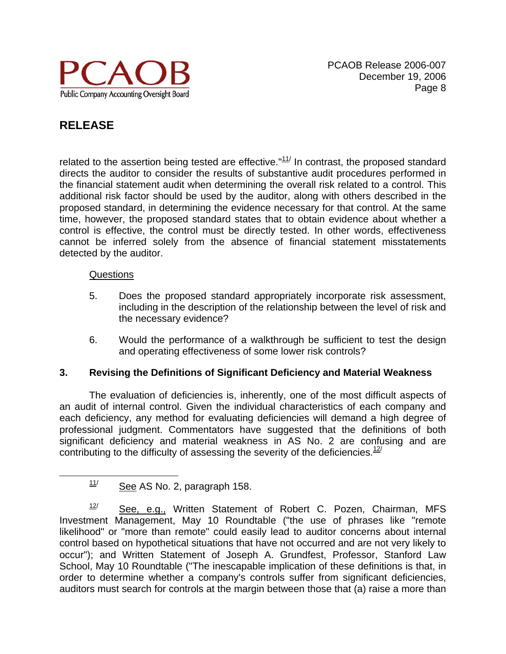

related to the assertion being tested are effective." $11/$  In contrast, the proposed standard directs the auditor to consider the results of substantive audit procedures performed in the financial statement audit when determining the overall risk related to a control. This additional risk factor should be used by the auditor, along with others described in the proposed standard, in determining the evidence necessary for that control. At the same time, however, the proposed standard states that to obtain evidence about whether a control is effective, the control must be directly tested. In other words, effectiveness cannot be inferred solely from the absence of financial statement misstatements detected by the auditor.

### Questions

- 5. Does the proposed standard appropriately incorporate risk assessment, including in the description of the relationship between the level of risk and the necessary evidence?
- 6. Would the performance of a walkthrough be sufficient to test the design and operating effectiveness of some lower risk controls?

## **3. Revising the Definitions of Significant Deficiency and Material Weakness**

 The evaluation of deficiencies is, inherently, one of the most difficult aspects of an audit of internal control. Given the individual characteristics of each company and each deficiency, any method for evaluating deficiencies will demand a high degree of professional judgment. Commentators have suggested that the definitions of both significant deficiency and material weakness in AS No. 2 are confusing and are contributing to the difficulty of assessing the severity of the deficiencies. $12$ /

 $\frac{11}{}{}$  See AS No. 2, paragraph 158.

<sup>12/</sup> See, e.g., Written Statement of Robert C. Pozen, Chairman, MFS Investment Management, May 10 Roundtable ("the use of phrases like "remote likelihood" or "more than remote" could easily lead to auditor concerns about internal control based on hypothetical situations that have not occurred and are not very likely to occur"); and Written Statement of Joseph A. Grundfest, Professor, Stanford Law School, May 10 Roundtable ("The inescapable implication of these definitions is that, in order to determine whether a company's controls suffer from significant deficiencies, auditors must search for controls at the margin between those that (a) raise a more than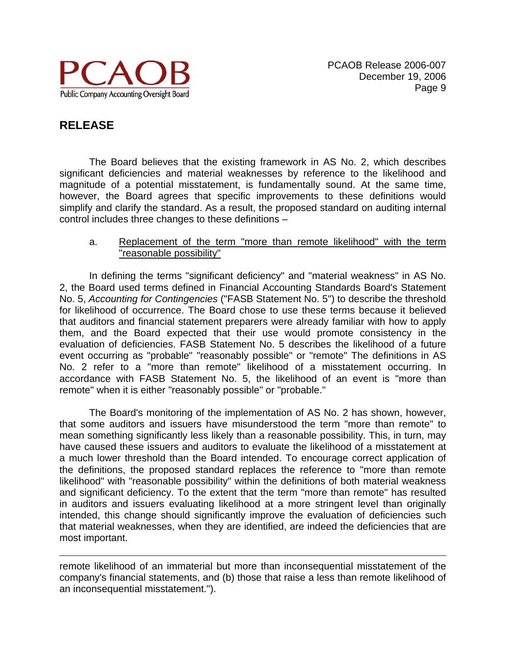

 $\overline{a}$ 

 The Board believes that the existing framework in AS No. 2, which describes significant deficiencies and material weaknesses by reference to the likelihood and magnitude of a potential misstatement, is fundamentally sound. At the same time, however, the Board agrees that specific improvements to these definitions would simplify and clarify the standard. As a result, the proposed standard on auditing internal control includes three changes to these definitions –

#### a. Replacement of the term "more than remote likelihood" with the term "reasonable possibility"

 In defining the terms "significant deficiency" and "material weakness" in AS No. 2, the Board used terms defined in Financial Accounting Standards Board's Statement No. 5, *Accounting for Contingencies* ("FASB Statement No. 5") to describe the threshold for likelihood of occurrence. The Board chose to use these terms because it believed that auditors and financial statement preparers were already familiar with how to apply them, and the Board expected that their use would promote consistency in the evaluation of deficiencies. FASB Statement No. 5 describes the likelihood of a future event occurring as "probable" "reasonably possible" or "remote" The definitions in AS No. 2 refer to a "more than remote" likelihood of a misstatement occurring. In accordance with FASB Statement No. 5, the likelihood of an event is "more than remote" when it is either "reasonably possible" or "probable."

 The Board's monitoring of the implementation of AS No. 2 has shown, however, that some auditors and issuers have misunderstood the term "more than remote" to mean something significantly less likely than a reasonable possibility. This, in turn, may have caused these issuers and auditors to evaluate the likelihood of a misstatement at a much lower threshold than the Board intended. To encourage correct application of the definitions, the proposed standard replaces the reference to "more than remote likelihood" with "reasonable possibility" within the definitions of both material weakness and significant deficiency. To the extent that the term "more than remote" has resulted in auditors and issuers evaluating likelihood at a more stringent level than originally intended, this change should significantly improve the evaluation of deficiencies such that material weaknesses, when they are identified, are indeed the deficiencies that are most important.

remote likelihood of an immaterial but more than inconsequential misstatement of the company's financial statements, and (b) those that raise a less than remote likelihood of an inconsequential misstatement.").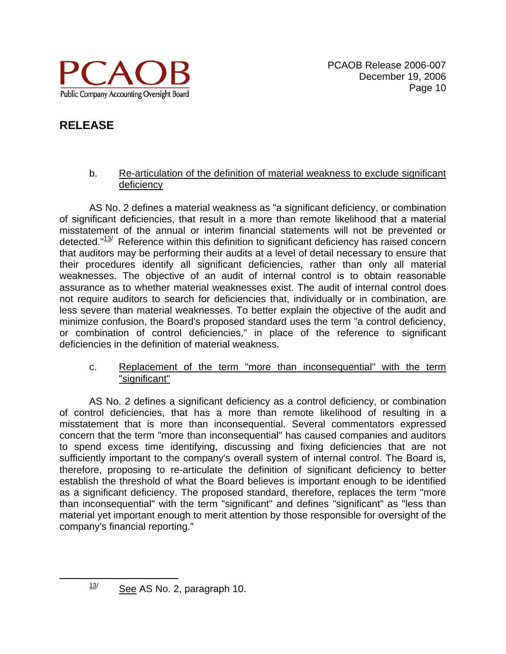

### b. Re-articulation of the definition of material weakness to exclude significant deficiency

AS No. 2 defines a material weakness as "a significant deficiency, or combination of significant deficiencies, that result in a more than remote likelihood that a material misstatement of the annual or interim financial statements will not be prevented or detected. $1137$  Reference within this definition to significant deficiency has raised concern that auditors may be performing their audits at a level of detail necessary to ensure that their procedures identify all significant deficiencies, rather than only all material weaknesses. The objective of an audit of internal control is to obtain reasonable assurance as to whether material weaknesses exist. The audit of internal control does not require auditors to search for deficiencies that, individually or in combination, are less severe than material weaknesses. To better explain the objective of the audit and minimize confusion, the Board's proposed standard uses the term "a control deficiency, or combination of control deficiencies," in place of the reference to significant deficiencies in the definition of material weakness.

### c. Replacement of the term "more than inconsequential" with the term "significant"

AS No. 2 defines a significant deficiency as a control deficiency, or combination of control deficiencies, that has a more than remote likelihood of resulting in a misstatement that is more than inconsequential. Several commentators expressed concern that the term "more than inconsequential" has caused companies and auditors to spend excess time identifying, discussing and fixing deficiencies that are not sufficiently important to the company's overall system of internal control. The Board is, therefore, proposing to re-articulate the definition of significant deficiency to better establish the threshold of what the Board believes is important enough to be identified as a significant deficiency. The proposed standard, therefore, replaces the term "more than inconsequential" with the term "significant" and defines "significant" as "less than material yet important enough to merit attention by those responsible for oversight of the company's financial reporting."

13/ See AS No. 2, paragraph 10.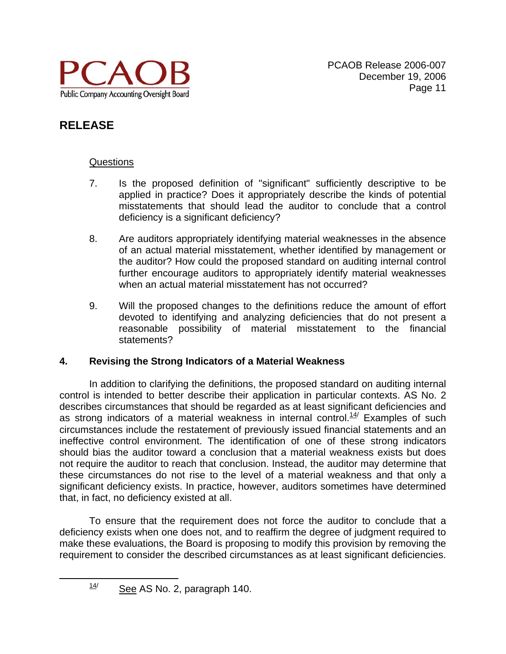

### Questions

- 7. Is the proposed definition of "significant" sufficiently descriptive to be applied in practice? Does it appropriately describe the kinds of potential misstatements that should lead the auditor to conclude that a control deficiency is a significant deficiency?
- 8. Are auditors appropriately identifying material weaknesses in the absence of an actual material misstatement, whether identified by management or the auditor? How could the proposed standard on auditing internal control further encourage auditors to appropriately identify material weaknesses when an actual material misstatement has not occurred?
- 9. Will the proposed changes to the definitions reduce the amount of effort devoted to identifying and analyzing deficiencies that do not present a reasonable possibility of material misstatement to the financial statements?

## **4. Revising the Strong Indicators of a Material Weakness**

In addition to clarifying the definitions, the proposed standard on auditing internal control is intended to better describe their application in particular contexts. AS No. 2 describes circumstances that should be regarded as at least significant deficiencies and as strong indicators of a material weakness in internal control. $14/$  Examples of such circumstances include the restatement of previously issued financial statements and an ineffective control environment. The identification of one of these strong indicators should bias the auditor toward a conclusion that a material weakness exists but does not require the auditor to reach that conclusion. Instead, the auditor may determine that these circumstances do not rise to the level of a material weakness and that only a significant deficiency exists. In practice, however, auditors sometimes have determined that, in fact, no deficiency existed at all.

To ensure that the requirement does not force the auditor to conclude that a deficiency exists when one does not, and to reaffirm the degree of judgment required to make these evaluations, the Board is proposing to modify this provision by removing the requirement to consider the described circumstances as at least significant deficiencies.

14/ See AS No. 2, paragraph 140.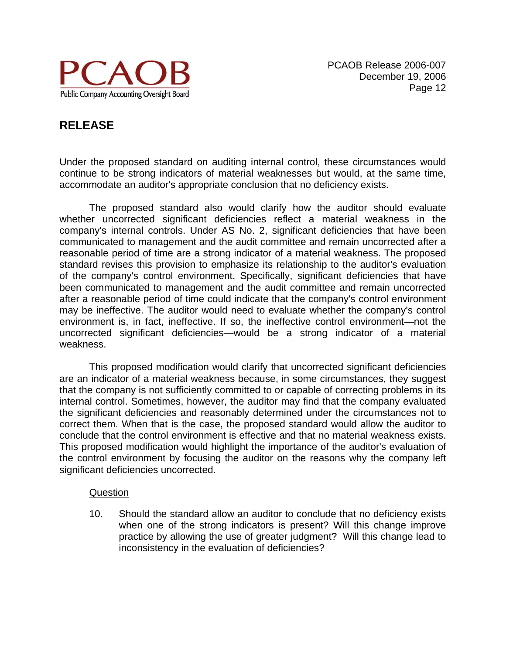

Under the proposed standard on auditing internal control, these circumstances would continue to be strong indicators of material weaknesses but would, at the same time, accommodate an auditor's appropriate conclusion that no deficiency exists.

 The proposed standard also would clarify how the auditor should evaluate whether uncorrected significant deficiencies reflect a material weakness in the company's internal controls. Under AS No. 2, significant deficiencies that have been communicated to management and the audit committee and remain uncorrected after a reasonable period of time are a strong indicator of a material weakness. The proposed standard revises this provision to emphasize its relationship to the auditor's evaluation of the company's control environment. Specifically, significant deficiencies that have been communicated to management and the audit committee and remain uncorrected after a reasonable period of time could indicate that the company's control environment may be ineffective. The auditor would need to evaluate whether the company's control environment is, in fact, ineffective. If so, the ineffective control environment—not the uncorrected significant deficiencies—would be a strong indicator of a material weakness.

 This proposed modification would clarify that uncorrected significant deficiencies are an indicator of a material weakness because, in some circumstances, they suggest that the company is not sufficiently committed to or capable of correcting problems in its internal control. Sometimes, however, the auditor may find that the company evaluated the significant deficiencies and reasonably determined under the circumstances not to correct them. When that is the case, the proposed standard would allow the auditor to conclude that the control environment is effective and that no material weakness exists. This proposed modification would highlight the importance of the auditor's evaluation of the control environment by focusing the auditor on the reasons why the company left significant deficiencies uncorrected.

#### Question

10. Should the standard allow an auditor to conclude that no deficiency exists when one of the strong indicators is present? Will this change improve practice by allowing the use of greater judgment? Will this change lead to inconsistency in the evaluation of deficiencies?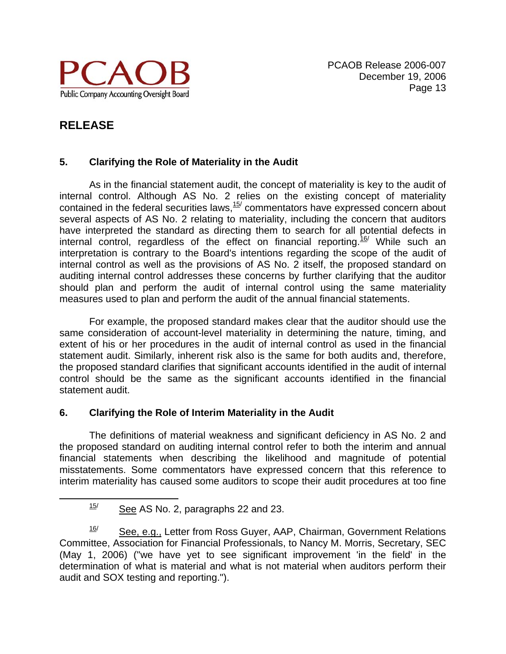

## **5. Clarifying the Role of Materiality in the Audit**

As in the financial statement audit, the concept of materiality is key to the audit of internal control. Although AS No. 2 relies on the existing concept of materiality contained in the federal securities laws, $15/$  commentators have expressed concern about several aspects of AS No. 2 relating to materiality, including the concern that auditors have interpreted the standard as directing them to search for all potential defects in internal control, regardless of the effect on financial reporting. $^{16/2}$  While such an interpretation is contrary to the Board's intentions regarding the scope of the audit of internal control as well as the provisions of AS No. 2 itself, the proposed standard on auditing internal control addresses these concerns by further clarifying that the auditor should plan and perform the audit of internal control using the same materiality measures used to plan and perform the audit of the annual financial statements.

 For example, the proposed standard makes clear that the auditor should use the same consideration of account-level materiality in determining the nature, timing, and extent of his or her procedures in the audit of internal control as used in the financial statement audit. Similarly, inherent risk also is the same for both audits and, therefore, the proposed standard clarifies that significant accounts identified in the audit of internal control should be the same as the significant accounts identified in the financial statement audit.

## **6. Clarifying the Role of Interim Materiality in the Audit**

 The definitions of material weakness and significant deficiency in AS No. 2 and the proposed standard on auditing internal control refer to both the interim and annual financial statements when describing the likelihood and magnitude of potential misstatements. Some commentators have expressed concern that this reference to interim materiality has caused some auditors to scope their audit procedures at too fine

15/ See AS No. 2, paragraphs 22 and 23.

<sup>16/</sup> See, e.g., Letter from Ross Guyer, AAP, Chairman, Government Relations Committee, Association for Financial Professionals, to Nancy M. Morris, Secretary, SEC (May 1, 2006) ("we have yet to see significant improvement 'in the field' in the determination of what is material and what is not material when auditors perform their audit and SOX testing and reporting.").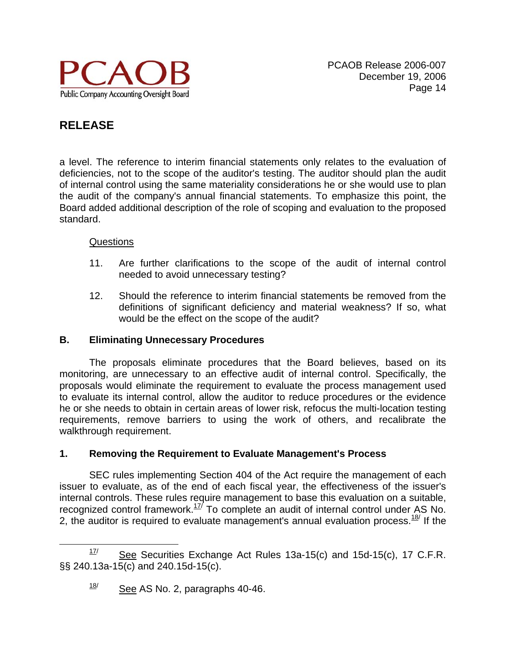

a level. The reference to interim financial statements only relates to the evaluation of deficiencies, not to the scope of the auditor's testing. The auditor should plan the audit of internal control using the same materiality considerations he or she would use to plan the audit of the company's annual financial statements. To emphasize this point, the Board added additional description of the role of scoping and evaluation to the proposed standard.

### Questions

- 11. Are further clarifications to the scope of the audit of internal control needed to avoid unnecessary testing?
- 12. Should the reference to interim financial statements be removed from the definitions of significant deficiency and material weakness? If so, what would be the effect on the scope of the audit?

## **B. Eliminating Unnecessary Procedures**

 The proposals eliminate procedures that the Board believes, based on its monitoring, are unnecessary to an effective audit of internal control. Specifically, the proposals would eliminate the requirement to evaluate the process management used to evaluate its internal control, allow the auditor to reduce procedures or the evidence he or she needs to obtain in certain areas of lower risk, refocus the multi-location testing requirements, remove barriers to using the work of others, and recalibrate the walkthrough requirement.

## **1. Removing the Requirement to Evaluate Management's Process**

SEC rules implementing Section 404 of the Act require the management of each issuer to evaluate, as of the end of each fiscal year, the effectiveness of the issuer's internal controls. These rules require management to base this evaluation on a suitable, recognized control framework. $17/$  To complete an audit of internal control under AS No. 2, the auditor is required to evaluate management's annual evaluation process. $18/$  If the

17/ See Securities Exchange Act Rules 13a-15(c) and 15d-15(c), 17 C.F.R. §§ 240.13a-15(c) and 240.15d-15(c).

<sup>18/</sup> See AS No. 2, paragraphs 40-46.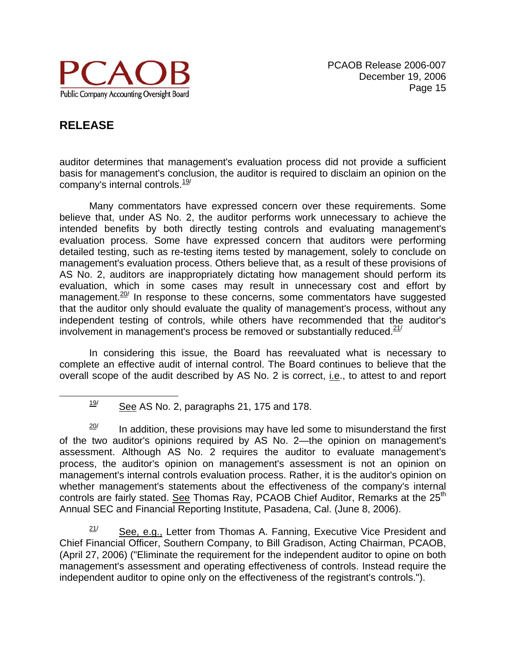

auditor determines that management's evaluation process did not provide a sufficient basis for management's conclusion, the auditor is required to disclaim an opinion on the company's internal controls. $\frac{19}{2}$ 

Many commentators have expressed concern over these requirements. Some believe that, under AS No. 2, the auditor performs work unnecessary to achieve the intended benefits by both directly testing controls and evaluating management's evaluation process. Some have expressed concern that auditors were performing detailed testing, such as re-testing items tested by management, solely to conclude on management's evaluation process. Others believe that, as a result of these provisions of AS No. 2, auditors are inappropriately dictating how management should perform its evaluation, which in some cases may result in unnecessary cost and effort by management.<sup>20/</sup> In response to these concerns, some commentators have suggested that the auditor only should evaluate the quality of management's process, without any independent testing of controls, while others have recommended that the auditor's involvement in management's process be removed or substantially reduced. $21/2$ 

In considering this issue, the Board has reevaluated what is necessary to complete an effective audit of internal control. The Board continues to believe that the overall scope of the audit described by AS No. 2 is correct, *i.e.*, to attest to and report

 $21/$  See, e.g., Letter from Thomas A. Fanning, Executive Vice President and Chief Financial Officer, Southern Company, to Bill Gradison, Acting Chairman, PCAOB, (April 27, 2006) ("Eliminate the requirement for the independent auditor to opine on both management's assessment and operating effectiveness of controls. Instead require the independent auditor to opine only on the effectiveness of the registrant's controls.").

19/ See AS No. 2, paragraphs 21, 175 and 178.

<sup>20/</sup> In addition, these provisions may have led some to misunderstand the first of the two auditor's opinions required by AS No. 2—the opinion on management's assessment. Although AS No. 2 requires the auditor to evaluate management's process, the auditor's opinion on management's assessment is not an opinion on management's internal controls evaluation process. Rather, it is the auditor's opinion on whether management's statements about the effectiveness of the company's internal controls are fairly stated. See Thomas Ray, PCAOB Chief Auditor, Remarks at the 25<sup>th</sup> Annual SEC and Financial Reporting Institute, Pasadena, Cal. (June 8, 2006).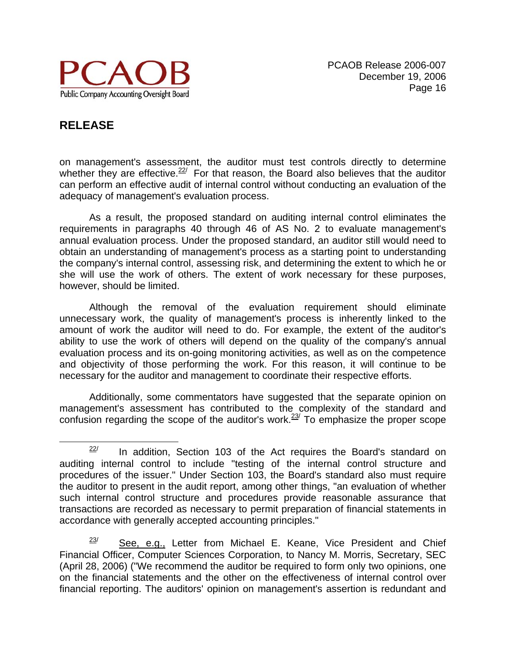

on management's assessment, the auditor must test controls directly to determine whether they are effective.  $22/$  For that reason, the Board also believes that the auditor can perform an effective audit of internal control without conducting an evaluation of the adequacy of management's evaluation process.

As a result, the proposed standard on auditing internal control eliminates the requirements in paragraphs 40 through 46 of AS No. 2 to evaluate management's annual evaluation process. Under the proposed standard, an auditor still would need to obtain an understanding of management's process as a starting point to understanding the company's internal control, assessing risk, and determining the extent to which he or she will use the work of others. The extent of work necessary for these purposes, however, should be limited.

Although the removal of the evaluation requirement should eliminate unnecessary work, the quality of management's process is inherently linked to the amount of work the auditor will need to do. For example, the extent of the auditor's ability to use the work of others will depend on the quality of the company's annual evaluation process and its on-going monitoring activities, as well as on the competence and objectivity of those performing the work. For this reason, it will continue to be necessary for the auditor and management to coordinate their respective efforts.

Additionally, some commentators have suggested that the separate opinion on management's assessment has contributed to the complexity of the standard and confusion regarding the scope of the auditor's work. $2^{3/2}$  To emphasize the proper scope

22/ In addition, Section 103 of the Act requires the Board's standard on auditing internal control to include "testing of the internal control structure and procedures of the issuer." Under Section 103, the Board's standard also must require the auditor to present in the audit report, among other things, "an evaluation of whether such internal control structure and procedures provide reasonable assurance that transactions are recorded as necessary to permit preparation of financial statements in accordance with generally accepted accounting principles."

<sup>23/</sup> See, e.g., Letter from Michael E. Keane, Vice President and Chief Financial Officer, Computer Sciences Corporation, to Nancy M. Morris, Secretary, SEC (April 28, 2006) ("We recommend the auditor be required to form only two opinions, one on the financial statements and the other on the effectiveness of internal control over financial reporting. The auditors' opinion on management's assertion is redundant and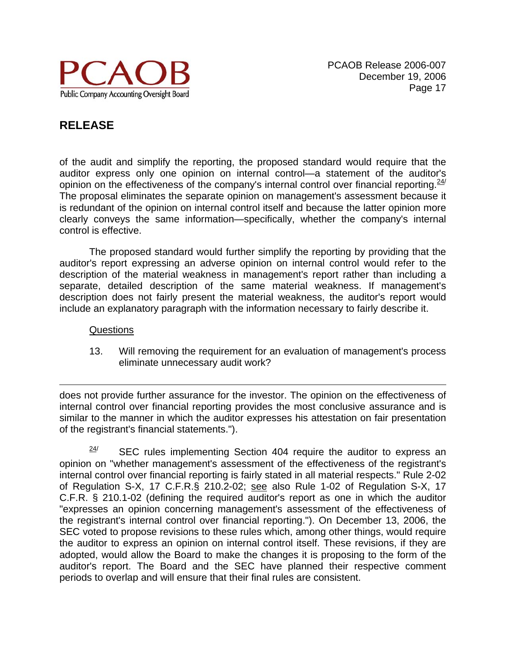

of the audit and simplify the reporting, the proposed standard would require that the auditor express only one opinion on internal control—a statement of the auditor's opinion on the effectiveness of the company's internal control over financial reporting. $24/$ The proposal eliminates the separate opinion on management's assessment because it is redundant of the opinion on internal control itself and because the latter opinion more clearly conveys the same information—specifically, whether the company's internal control is effective.

The proposed standard would further simplify the reporting by providing that the auditor's report expressing an adverse opinion on internal control would refer to the description of the material weakness in management's report rather than including a separate, detailed description of the same material weakness. If management's description does not fairly present the material weakness, the auditor's report would include an explanatory paragraph with the information necessary to fairly describe it.

#### Questions

1

13. Will removing the requirement for an evaluation of management's process eliminate unnecessary audit work?

does not provide further assurance for the investor. The opinion on the effectiveness of internal control over financial reporting provides the most conclusive assurance and is similar to the manner in which the auditor expresses his attestation on fair presentation of the registrant's financial statements.").

 $24$  SEC rules implementing Section 404 require the auditor to express an opinion on "whether management's assessment of the effectiveness of the registrant's internal control over financial reporting is fairly stated in all material respects." Rule 2-02 of Regulation S-X, 17 C.F.R.§ 210.2-02; see also Rule 1-02 of Regulation S-X, 17 C.F.R. § 210.1-02 (defining the required auditor's report as one in which the auditor "expresses an opinion concerning management's assessment of the effectiveness of the registrant's internal control over financial reporting."). On December 13, 2006, the SEC voted to propose revisions to these rules which, among other things, would require the auditor to express an opinion on internal control itself. These revisions, if they are adopted, would allow the Board to make the changes it is proposing to the form of the auditor's report. The Board and the SEC have planned their respective comment periods to overlap and will ensure that their final rules are consistent.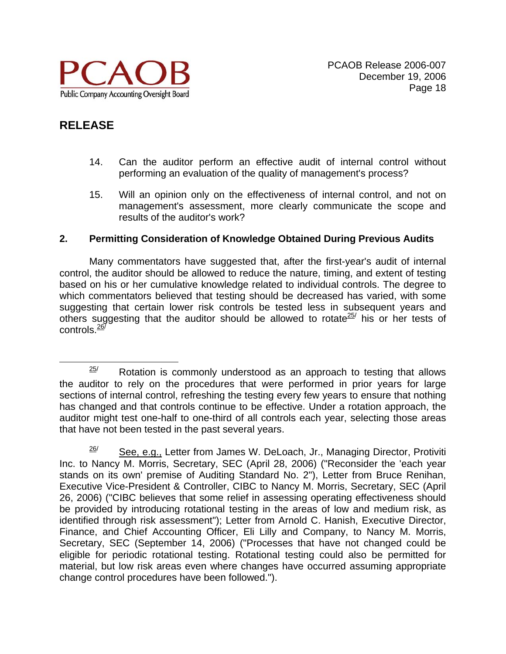

- 14. Can the auditor perform an effective audit of internal control without performing an evaluation of the quality of management's process?
- 15. Will an opinion only on the effectiveness of internal control, and not on management's assessment, more clearly communicate the scope and results of the auditor's work?

## **2. Permitting Consideration of Knowledge Obtained During Previous Audits**

 Many commentators have suggested that, after the first-year's audit of internal control, the auditor should be allowed to reduce the nature, timing, and extent of testing based on his or her cumulative knowledge related to individual controls. The degree to which commentators believed that testing should be decreased has varied, with some suggesting that certain lower risk controls be tested less in subsequent years and others suggesting that the auditor should be allowed to rotate $25$  his or her tests of controls.<sup>26</sup>

25/ Rotation is commonly understood as an approach to testing that allows the auditor to rely on the procedures that were performed in prior years for large sections of internal control, refreshing the testing every few years to ensure that nothing has changed and that controls continue to be effective. Under a rotation approach, the auditor might test one-half to one-third of all controls each year, selecting those areas that have not been tested in the past several years.

<sup>26/</sup> See, e.g., Letter from James W. DeLoach, Jr., Managing Director, Protiviti Inc. to Nancy M. Morris, Secretary, SEC (April 28, 2006) ("Reconsider the 'each year stands on its own' premise of Auditing Standard No. 2"), Letter from Bruce Renihan, Executive Vice-President & Controller, CIBC to Nancy M. Morris, Secretary, SEC (April 26, 2006) ("CIBC believes that some relief in assessing operating effectiveness should be provided by introducing rotational testing in the areas of low and medium risk, as identified through risk assessment"); Letter from Arnold C. Hanish, Executive Director, Finance, and Chief Accounting Officer, Eli Lilly and Company, to Nancy M. Morris, Secretary, SEC (September 14, 2006) ("Processes that have not changed could be eligible for periodic rotational testing. Rotational testing could also be permitted for material, but low risk areas even where changes have occurred assuming appropriate change control procedures have been followed.").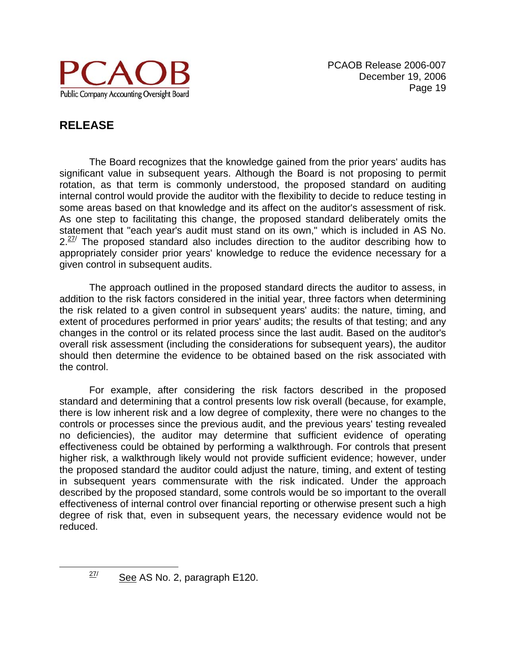

 The Board recognizes that the knowledge gained from the prior years' audits has significant value in subsequent years. Although the Board is not proposing to permit rotation, as that term is commonly understood, the proposed standard on auditing internal control would provide the auditor with the flexibility to decide to reduce testing in some areas based on that knowledge and its affect on the auditor's assessment of risk. As one step to facilitating this change, the proposed standard deliberately omits the statement that "each year's audit must stand on its own," which is included in AS No.  $2.^{27/}$  The proposed standard also includes direction to the auditor describing how to appropriately consider prior years' knowledge to reduce the evidence necessary for a given control in subsequent audits.

 The approach outlined in the proposed standard directs the auditor to assess, in addition to the risk factors considered in the initial year, three factors when determining the risk related to a given control in subsequent years' audits: the nature, timing, and extent of procedures performed in prior years' audits; the results of that testing; and any changes in the control or its related process since the last audit. Based on the auditor's overall risk assessment (including the considerations for subsequent years), the auditor should then determine the evidence to be obtained based on the risk associated with the control.

 For example, after considering the risk factors described in the proposed standard and determining that a control presents low risk overall (because, for example, there is low inherent risk and a low degree of complexity, there were no changes to the controls or processes since the previous audit, and the previous years' testing revealed no deficiencies), the auditor may determine that sufficient evidence of operating effectiveness could be obtained by performing a walkthrough. For controls that present higher risk, a walkthrough likely would not provide sufficient evidence; however, under the proposed standard the auditor could adjust the nature, timing, and extent of testing in subsequent years commensurate with the risk indicated. Under the approach described by the proposed standard, some controls would be so important to the overall effectiveness of internal control over financial reporting or otherwise present such a high degree of risk that, even in subsequent years, the necessary evidence would not be reduced.

27/ See AS No. 2, paragraph E120.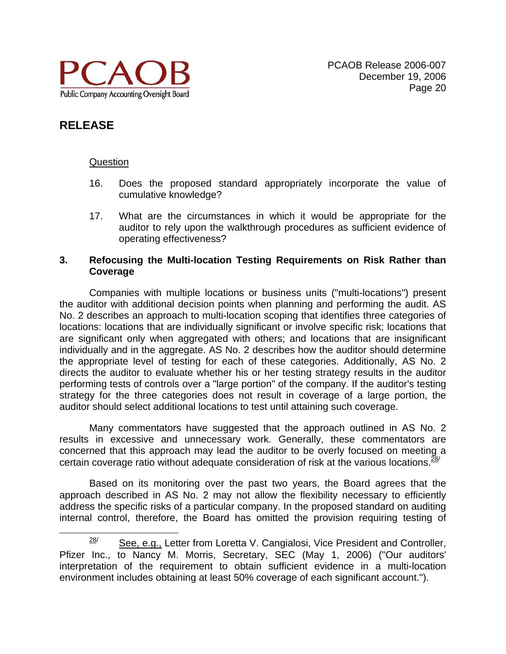

#### Question

- 16. Does the proposed standard appropriately incorporate the value of cumulative knowledge?
- 17. What are the circumstances in which it would be appropriate for the auditor to rely upon the walkthrough procedures as sufficient evidence of operating effectiveness?

### **3. Refocusing the Multi-location Testing Requirements on Risk Rather than Coverage**

 Companies with multiple locations or business units ("multi-locations") present the auditor with additional decision points when planning and performing the audit. AS No. 2 describes an approach to multi-location scoping that identifies three categories of locations: locations that are individually significant or involve specific risk; locations that are significant only when aggregated with others; and locations that are insignificant individually and in the aggregate. AS No. 2 describes how the auditor should determine the appropriate level of testing for each of these categories. Additionally, AS No. 2 directs the auditor to evaluate whether his or her testing strategy results in the auditor performing tests of controls over a "large portion" of the company. If the auditor's testing strategy for the three categories does not result in coverage of a large portion, the auditor should select additional locations to test until attaining such coverage.

 Many commentators have suggested that the approach outlined in AS No. 2 results in excessive and unnecessary work. Generally, these commentators are concerned that this approach may lead the auditor to be overly focused on meeting a certain coverage ratio without adequate consideration of risk at the various locations.<sup>28</sup>

Based on its monitoring over the past two years, the Board agrees that the approach described in AS No. 2 may not allow the flexibility necessary to efficiently address the specific risks of a particular company. In the proposed standard on auditing internal control, therefore, the Board has omitted the provision requiring testing of

28/ See, e.g., Letter from Loretta V. Cangialosi, Vice President and Controller, Pfizer Inc., to Nancy M. Morris, Secretary, SEC (May 1, 2006) ("Our auditors' interpretation of the requirement to obtain sufficient evidence in a multi-location environment includes obtaining at least 50% coverage of each significant account.").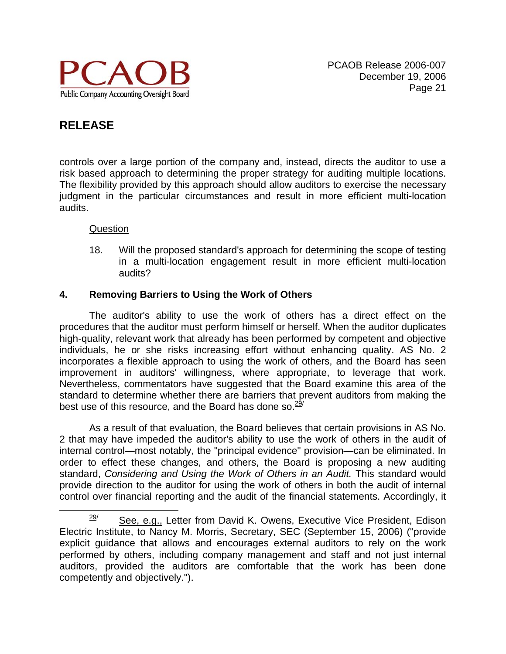

controls over a large portion of the company and, instead, directs the auditor to use a risk based approach to determining the proper strategy for auditing multiple locations. The flexibility provided by this approach should allow auditors to exercise the necessary judgment in the particular circumstances and result in more efficient multi-location audits.

### Question

18. Will the proposed standard's approach for determining the scope of testing in a multi-location engagement result in more efficient multi-location audits?

### **4. Removing Barriers to Using the Work of Others**

The auditor's ability to use the work of others has a direct effect on the procedures that the auditor must perform himself or herself. When the auditor duplicates high-quality, relevant work that already has been performed by competent and objective individuals, he or she risks increasing effort without enhancing quality. AS No. 2 incorporates a flexible approach to using the work of others, and the Board has seen improvement in auditors' willingness, where appropriate, to leverage that work. Nevertheless, commentators have suggested that the Board examine this area of the standard to determine whether there are barriers that prevent auditors from making the best use of this resource, and the Board has done so.  $29$ 

 As a result of that evaluation, the Board believes that certain provisions in AS No. 2 that may have impeded the auditor's ability to use the work of others in the audit of internal control—most notably, the "principal evidence" provision—can be eliminated. In order to effect these changes, and others, the Board is proposing a new auditing standard, *Considering and Using the Work of Others in an Audit.* This standard would provide direction to the auditor for using the work of others in both the audit of internal control over financial reporting and the audit of the financial statements. Accordingly, it

29/ See, e.g., Letter from David K. Owens, Executive Vice President, Edison Electric Institute, to Nancy M. Morris, Secretary, SEC (September 15, 2006) ("provide explicit guidance that allows and encourages external auditors to rely on the work performed by others, including company management and staff and not just internal auditors, provided the auditors are comfortable that the work has been done competently and objectively.").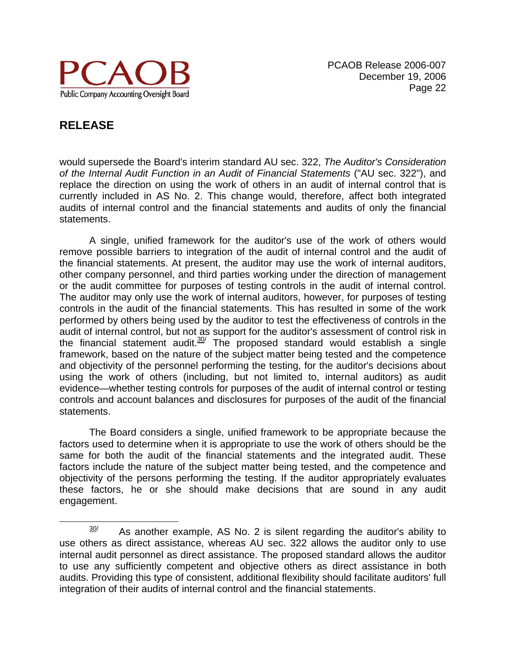

would supersede the Board's interim standard AU sec. 322, *The Auditor's Consideration of the Internal Audit Function in an Audit of Financial Statements* ("AU sec. 322"), and replace the direction on using the work of others in an audit of internal control that is currently included in AS No. 2. This change would, therefore, affect both integrated audits of internal control and the financial statements and audits of only the financial statements.

 A single, unified framework for the auditor's use of the work of others would remove possible barriers to integration of the audit of internal control and the audit of the financial statements. At present, the auditor may use the work of internal auditors, other company personnel, and third parties working under the direction of management or the audit committee for purposes of testing controls in the audit of internal control. The auditor may only use the work of internal auditors, however, for purposes of testing controls in the audit of the financial statements. This has resulted in some of the work performed by others being used by the auditor to test the effectiveness of controls in the audit of internal control, but not as support for the auditor's assessment of control risk in the financial statement audit. $30/$  The proposed standard would establish a single framework, based on the nature of the subject matter being tested and the competence and objectivity of the personnel performing the testing, for the auditor's decisions about using the work of others (including, but not limited to, internal auditors) as audit evidence—whether testing controls for purposes of the audit of internal control or testing controls and account balances and disclosures for purposes of the audit of the financial statements.

 The Board considers a single, unified framework to be appropriate because the factors used to determine when it is appropriate to use the work of others should be the same for both the audit of the financial statements and the integrated audit. These factors include the nature of the subject matter being tested, and the competence and objectivity of the persons performing the testing. If the auditor appropriately evaluates these factors, he or she should make decisions that are sound in any audit engagement.

30/ As another example, AS No. 2 is silent regarding the auditor's ability to use others as direct assistance, whereas AU sec. 322 allows the auditor only to use internal audit personnel as direct assistance. The proposed standard allows the auditor to use any sufficiently competent and objective others as direct assistance in both audits. Providing this type of consistent, additional flexibility should facilitate auditors' full integration of their audits of internal control and the financial statements.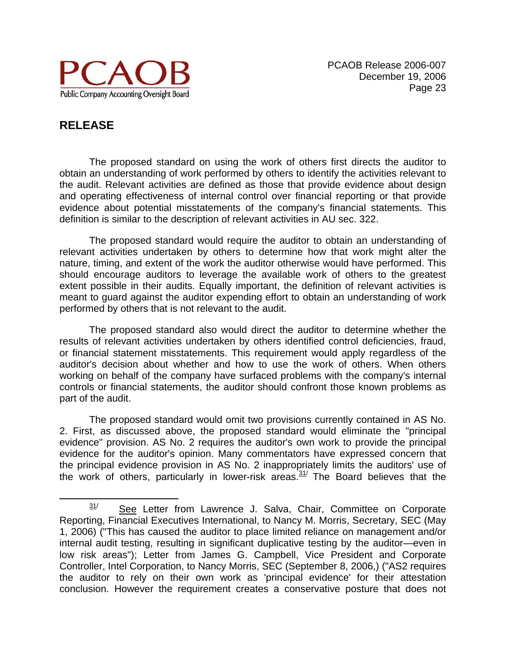

 The proposed standard on using the work of others first directs the auditor to obtain an understanding of work performed by others to identify the activities relevant to the audit. Relevant activities are defined as those that provide evidence about design and operating effectiveness of internal control over financial reporting or that provide evidence about potential misstatements of the company's financial statements. This definition is similar to the description of relevant activities in AU sec. 322.

The proposed standard would require the auditor to obtain an understanding of relevant activities undertaken by others to determine how that work might alter the nature, timing, and extent of the work the auditor otherwise would have performed. This should encourage auditors to leverage the available work of others to the greatest extent possible in their audits. Equally important, the definition of relevant activities is meant to guard against the auditor expending effort to obtain an understanding of work performed by others that is not relevant to the audit.

 The proposed standard also would direct the auditor to determine whether the results of relevant activities undertaken by others identified control deficiencies, fraud, or financial statement misstatements. This requirement would apply regardless of the auditor's decision about whether and how to use the work of others. When others working on behalf of the company have surfaced problems with the company's internal controls or financial statements, the auditor should confront those known problems as part of the audit.

 The proposed standard would omit two provisions currently contained in AS No. 2. First, as discussed above, the proposed standard would eliminate the "principal evidence" provision. AS No. 2 requires the auditor's own work to provide the principal evidence for the auditor's opinion. Many commentators have expressed concern that the principal evidence provision in AS No. 2 inappropriately limits the auditors' use of the work of others, particularly in lower-risk areas. $31/$  The Board believes that the

31/ See Letter from Lawrence J. Salva, Chair, Committee on Corporate Reporting, Financial Executives International, to Nancy M. Morris, Secretary, SEC (May 1, 2006) ("This has caused the auditor to place limited reliance on management and/or internal audit testing, resulting in significant duplicative testing by the auditor—even in low risk areas"); Letter from James G. Campbell, Vice President and Corporate Controller, Intel Corporation, to Nancy Morris, SEC (September 8, 2006,) ("AS2 requires the auditor to rely on their own work as 'principal evidence' for their attestation conclusion. However the requirement creates a conservative posture that does not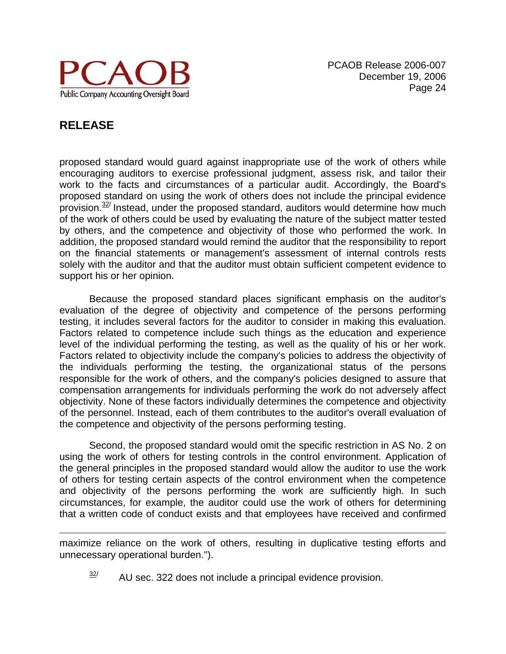

 $\overline{a}$ 

proposed standard would guard against inappropriate use of the work of others while encouraging auditors to exercise professional judgment, assess risk, and tailor their work to the facts and circumstances of a particular audit. Accordingly, the Board's proposed standard on using the work of others does not include the principal evidence provision. $32$ <sup>t</sup> Instead, under the proposed standard, auditors would determine how much of the work of others could be used by evaluating the nature of the subject matter tested by others, and the competence and objectivity of those who performed the work. In addition, the proposed standard would remind the auditor that the responsibility to report on the financial statements or management's assessment of internal controls rests solely with the auditor and that the auditor must obtain sufficient competent evidence to support his or her opinion.

Because the proposed standard places significant emphasis on the auditor's evaluation of the degree of objectivity and competence of the persons performing testing, it includes several factors for the auditor to consider in making this evaluation. Factors related to competence include such things as the education and experience level of the individual performing the testing, as well as the quality of his or her work. Factors related to objectivity include the company's policies to address the objectivity of the individuals performing the testing, the organizational status of the persons responsible for the work of others, and the company's policies designed to assure that compensation arrangements for individuals performing the work do not adversely affect objectivity. None of these factors individually determines the competence and objectivity of the personnel. Instead, each of them contributes to the auditor's overall evaluation of the competence and objectivity of the persons performing testing.

 Second, the proposed standard would omit the specific restriction in AS No. 2 on using the work of others for testing controls in the control environment. Application of the general principles in the proposed standard would allow the auditor to use the work of others for testing certain aspects of the control environment when the competence and objectivity of the persons performing the work are sufficiently high. In such circumstances, for example, the auditor could use the work of others for determining that a written code of conduct exists and that employees have received and confirmed

maximize reliance on the work of others, resulting in duplicative testing efforts and unnecessary operational burden.").

32/ AU sec. 322 does not include a principal evidence provision.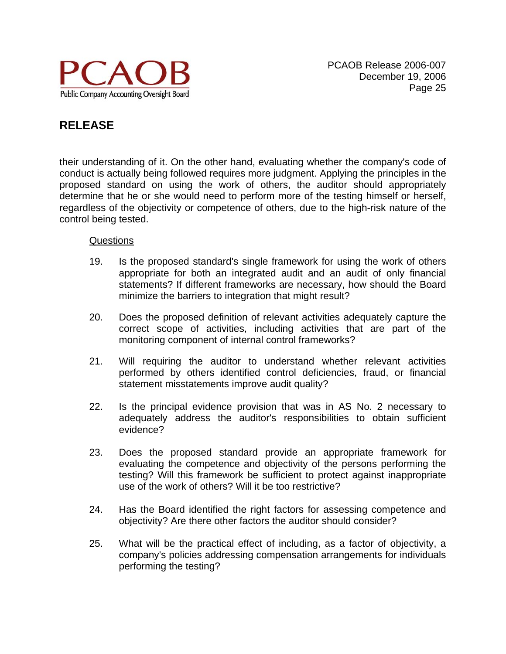

their understanding of it. On the other hand, evaluating whether the company's code of conduct is actually being followed requires more judgment. Applying the principles in the proposed standard on using the work of others, the auditor should appropriately determine that he or she would need to perform more of the testing himself or herself, regardless of the objectivity or competence of others, due to the high-risk nature of the control being tested.

#### **Questions**

- 19. Is the proposed standard's single framework for using the work of others appropriate for both an integrated audit and an audit of only financial statements? If different frameworks are necessary, how should the Board minimize the barriers to integration that might result?
- 20. Does the proposed definition of relevant activities adequately capture the correct scope of activities, including activities that are part of the monitoring component of internal control frameworks?
- 21. Will requiring the auditor to understand whether relevant activities performed by others identified control deficiencies, fraud, or financial statement misstatements improve audit quality?
- 22. Is the principal evidence provision that was in AS No. 2 necessary to adequately address the auditor's responsibilities to obtain sufficient evidence?
- 23. Does the proposed standard provide an appropriate framework for evaluating the competence and objectivity of the persons performing the testing? Will this framework be sufficient to protect against inappropriate use of the work of others? Will it be too restrictive?
- 24. Has the Board identified the right factors for assessing competence and objectivity? Are there other factors the auditor should consider?
- 25. What will be the practical effect of including, as a factor of objectivity, a company's policies addressing compensation arrangements for individuals performing the testing?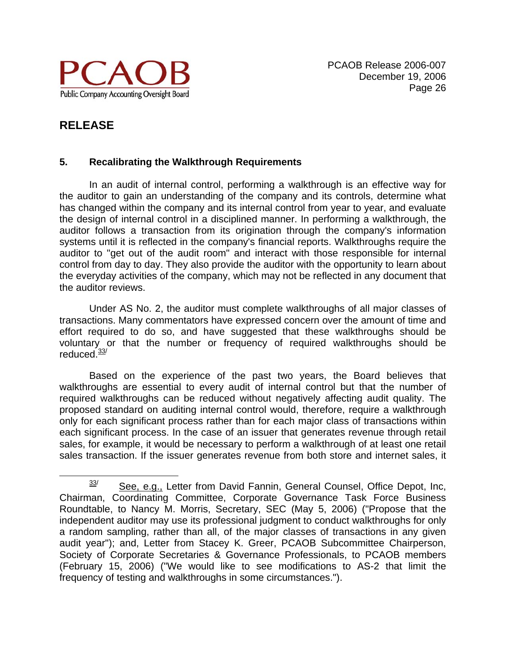

### **5. Recalibrating the Walkthrough Requirements**

In an audit of internal control, performing a walkthrough is an effective way for the auditor to gain an understanding of the company and its controls, determine what has changed within the company and its internal control from year to year, and evaluate the design of internal control in a disciplined manner. In performing a walkthrough, the auditor follows a transaction from its origination through the company's information systems until it is reflected in the company's financial reports. Walkthroughs require the auditor to "get out of the audit room" and interact with those responsible for internal control from day to day. They also provide the auditor with the opportunity to learn about the everyday activities of the company, which may not be reflected in any document that the auditor reviews.

Under AS No. 2, the auditor must complete walkthroughs of all major classes of transactions. Many commentators have expressed concern over the amount of time and effort required to do so, and have suggested that these walkthroughs should be voluntary or that the number or frequency of required walkthroughs should be reduced.<sup>33/</sup>

 Based on the experience of the past two years, the Board believes that walkthroughs are essential to every audit of internal control but that the number of required walkthroughs can be reduced without negatively affecting audit quality. The proposed standard on auditing internal control would, therefore, require a walkthrough only for each significant process rather than for each major class of transactions within each significant process. In the case of an issuer that generates revenue through retail sales, for example, it would be necessary to perform a walkthrough of at least one retail sales transaction. If the issuer generates revenue from both store and internet sales, it

33/ See, e.g., Letter from David Fannin, General Counsel, Office Depot, Inc, Chairman, Coordinating Committee, Corporate Governance Task Force Business Roundtable, to Nancy M. Morris, Secretary, SEC (May 5, 2006) ("Propose that the independent auditor may use its professional judgment to conduct walkthroughs for only a random sampling, rather than all, of the major classes of transactions in any given audit year"); and, Letter from Stacey K. Greer, PCAOB Subcommittee Chairperson, Society of Corporate Secretaries & Governance Professionals, to PCAOB members (February 15, 2006) ("We would like to see modifications to AS-2 that limit the frequency of testing and walkthroughs in some circumstances.").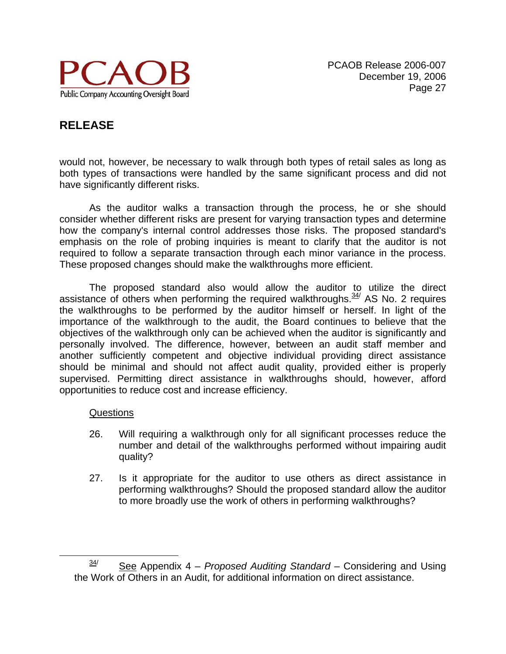

would not, however, be necessary to walk through both types of retail sales as long as both types of transactions were handled by the same significant process and did not have significantly different risks.

As the auditor walks a transaction through the process, he or she should consider whether different risks are present for varying transaction types and determine how the company's internal control addresses those risks. The proposed standard's emphasis on the role of probing inquiries is meant to clarify that the auditor is not required to follow a separate transaction through each minor variance in the process. These proposed changes should make the walkthroughs more efficient.

The proposed standard also would allow the auditor to utilize the direct assistance of others when performing the required walkthroughs. $34/$  AS No. 2 requires the walkthroughs to be performed by the auditor himself or herself. In light of the importance of the walkthrough to the audit, the Board continues to believe that the objectives of the walkthrough only can be achieved when the auditor is significantly and personally involved. The difference, however, between an audit staff member and another sufficiently competent and objective individual providing direct assistance should be minimal and should not affect audit quality, provided either is properly supervised. Permitting direct assistance in walkthroughs should, however, afford opportunities to reduce cost and increase efficiency.

#### Questions

- 26. Will requiring a walkthrough only for all significant processes reduce the number and detail of the walkthroughs performed without impairing audit quality?
- 27. Is it appropriate for the auditor to use others as direct assistance in performing walkthroughs? Should the proposed standard allow the auditor to more broadly use the work of others in performing walkthroughs?

34/ See Appendix 4 – *Proposed Auditing Standard* – Considering and Using the Work of Others in an Audit, for additional information on direct assistance.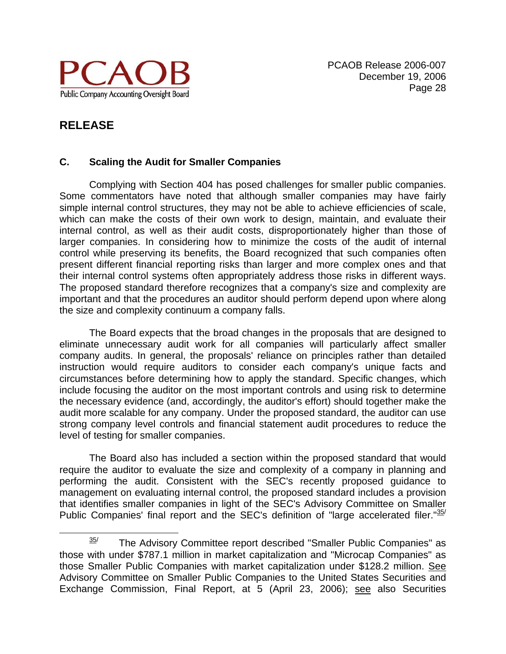

### **C. Scaling the Audit for Smaller Companies**

Complying with Section 404 has posed challenges for smaller public companies. Some commentators have noted that although smaller companies may have fairly simple internal control structures, they may not be able to achieve efficiencies of scale, which can make the costs of their own work to design, maintain, and evaluate their internal control, as well as their audit costs, disproportionately higher than those of larger companies. In considering how to minimize the costs of the audit of internal control while preserving its benefits, the Board recognized that such companies often present different financial reporting risks than larger and more complex ones and that their internal control systems often appropriately address those risks in different ways. The proposed standard therefore recognizes that a company's size and complexity are important and that the procedures an auditor should perform depend upon where along the size and complexity continuum a company falls.

The Board expects that the broad changes in the proposals that are designed to eliminate unnecessary audit work for all companies will particularly affect smaller company audits. In general, the proposals' reliance on principles rather than detailed instruction would require auditors to consider each company's unique facts and circumstances before determining how to apply the standard. Specific changes, which include focusing the auditor on the most important controls and using risk to determine the necessary evidence (and, accordingly, the auditor's effort) should together make the audit more scalable for any company. Under the proposed standard, the auditor can use strong company level controls and financial statement audit procedures to reduce the level of testing for smaller companies.

The Board also has included a section within the proposed standard that would require the auditor to evaluate the size and complexity of a company in planning and performing the audit. Consistent with the SEC's recently proposed guidance to management on evaluating internal control, the proposed standard includes a provision that identifies smaller companies in light of the SEC's Advisory Committee on Smaller Public Companies' final report and the SEC's definition of "large accelerated filer."<sup>35/</sup>

35/ The Advisory Committee report described "Smaller Public Companies" as those with under \$787.1 million in market capitalization and "Microcap Companies" as those Smaller Public Companies with market capitalization under \$128.2 million. See Advisory Committee on Smaller Public Companies to the United States Securities and Exchange Commission, Final Report, at 5 (April 23, 2006); see also Securities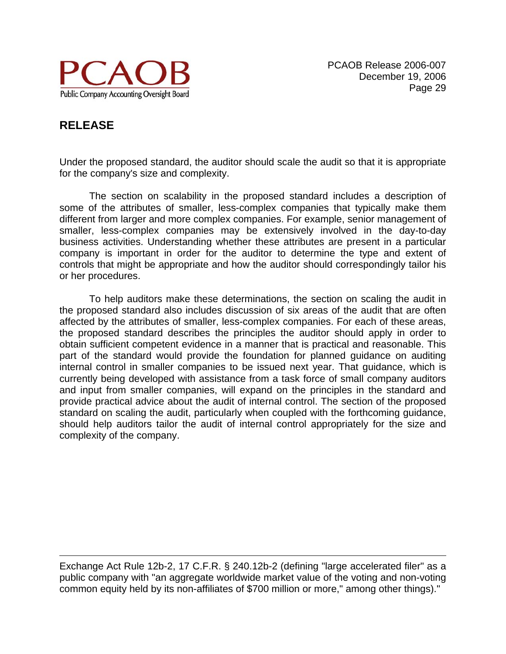

 $\overline{a}$ 

Under the proposed standard, the auditor should scale the audit so that it is appropriate for the company's size and complexity.

The section on scalability in the proposed standard includes a description of some of the attributes of smaller, less-complex companies that typically make them different from larger and more complex companies. For example, senior management of smaller, less-complex companies may be extensively involved in the day-to-day business activities. Understanding whether these attributes are present in a particular company is important in order for the auditor to determine the type and extent of controls that might be appropriate and how the auditor should correspondingly tailor his or her procedures.

To help auditors make these determinations, the section on scaling the audit in the proposed standard also includes discussion of six areas of the audit that are often affected by the attributes of smaller, less-complex companies. For each of these areas, the proposed standard describes the principles the auditor should apply in order to obtain sufficient competent evidence in a manner that is practical and reasonable. This part of the standard would provide the foundation for planned guidance on auditing internal control in smaller companies to be issued next year. That guidance, which is currently being developed with assistance from a task force of small company auditors and input from smaller companies, will expand on the principles in the standard and provide practical advice about the audit of internal control. The section of the proposed standard on scaling the audit, particularly when coupled with the forthcoming guidance, should help auditors tailor the audit of internal control appropriately for the size and complexity of the company.

Exchange Act Rule 12b-2, 17 C.F.R. § 240.12b-2 (defining "large accelerated filer" as a public company with "an aggregate worldwide market value of the voting and non-voting common equity held by its non-affiliates of \$700 million or more," among other things)."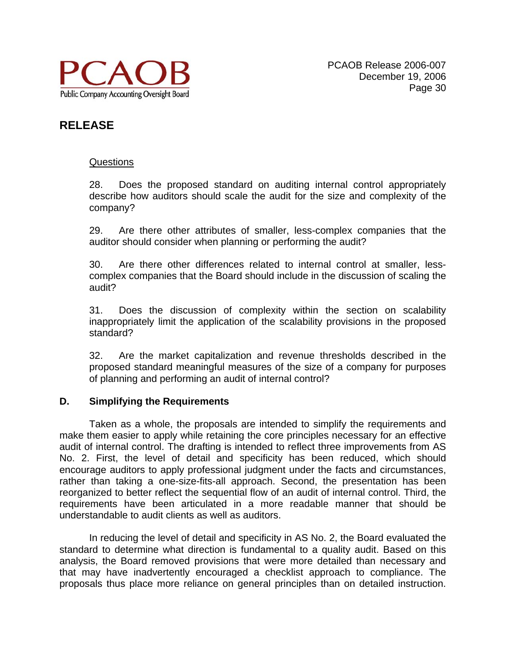

#### Questions

28. Does the proposed standard on auditing internal control appropriately describe how auditors should scale the audit for the size and complexity of the company?

29. Are there other attributes of smaller, less-complex companies that the auditor should consider when planning or performing the audit?

30. Are there other differences related to internal control at smaller, lesscomplex companies that the Board should include in the discussion of scaling the audit?

31. Does the discussion of complexity within the section on scalability inappropriately limit the application of the scalability provisions in the proposed standard?

32. Are the market capitalization and revenue thresholds described in the proposed standard meaningful measures of the size of a company for purposes of planning and performing an audit of internal control?

### **D. Simplifying the Requirements**

 Taken as a whole, the proposals are intended to simplify the requirements and make them easier to apply while retaining the core principles necessary for an effective audit of internal control. The drafting is intended to reflect three improvements from AS No. 2. First, the level of detail and specificity has been reduced, which should encourage auditors to apply professional judgment under the facts and circumstances, rather than taking a one-size-fits-all approach. Second, the presentation has been reorganized to better reflect the sequential flow of an audit of internal control. Third, the requirements have been articulated in a more readable manner that should be understandable to audit clients as well as auditors.

 In reducing the level of detail and specificity in AS No. 2, the Board evaluated the standard to determine what direction is fundamental to a quality audit. Based on this analysis, the Board removed provisions that were more detailed than necessary and that may have inadvertently encouraged a checklist approach to compliance. The proposals thus place more reliance on general principles than on detailed instruction.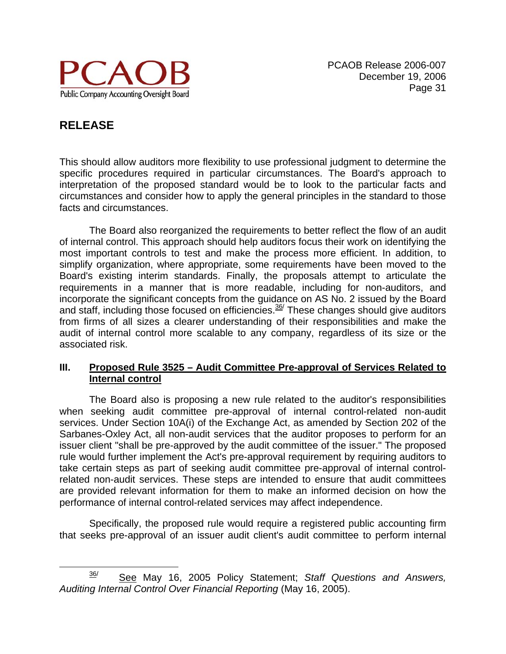

This should allow auditors more flexibility to use professional judgment to determine the specific procedures required in particular circumstances. The Board's approach to interpretation of the proposed standard would be to look to the particular facts and circumstances and consider how to apply the general principles in the standard to those facts and circumstances.

 The Board also reorganized the requirements to better reflect the flow of an audit of internal control. This approach should help auditors focus their work on identifying the most important controls to test and make the process more efficient. In addition, to simplify organization, where appropriate, some requirements have been moved to the Board's existing interim standards. Finally, the proposals attempt to articulate the requirements in a manner that is more readable, including for non-auditors, and incorporate the significant concepts from the guidance on AS No. 2 issued by the Board and staff, including those focused on efficiencies.<sup>36/</sup> These changes should give auditors from firms of all sizes a clearer understanding of their responsibilities and make the audit of internal control more scalable to any company, regardless of its size or the associated risk.

### **III. Proposed Rule 3525 – Audit Committee Pre-approval of Services Related to Internal control**

The Board also is proposing a new rule related to the auditor's responsibilities when seeking audit committee pre-approval of internal control-related non-audit services. Under Section 10A(i) of the Exchange Act, as amended by Section 202 of the Sarbanes-Oxley Act, all non-audit services that the auditor proposes to perform for an issuer client "shall be pre-approved by the audit committee of the issuer." The proposed rule would further implement the Act's pre-approval requirement by requiring auditors to take certain steps as part of seeking audit committee pre-approval of internal controlrelated non-audit services. These steps are intended to ensure that audit committees are provided relevant information for them to make an informed decision on how the performance of internal control-related services may affect independence.

Specifically, the proposed rule would require a registered public accounting firm that seeks pre-approval of an issuer audit client's audit committee to perform internal

36/ See May 16, 2005 Policy Statement; *Staff Questions and Answers, Auditing Internal Control Over Financial Reporting* (May 16, 2005).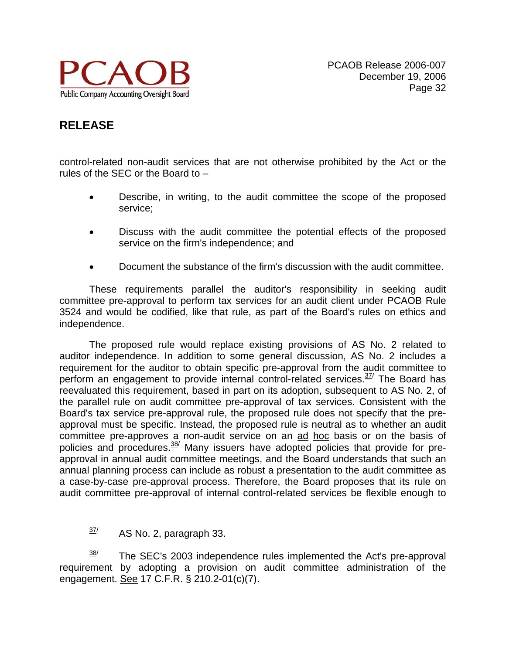

control-related non-audit services that are not otherwise prohibited by the Act or the rules of the SEC or the Board to –

- Describe, in writing, to the audit committee the scope of the proposed service;
- Discuss with the audit committee the potential effects of the proposed service on the firm's independence; and
- Document the substance of the firm's discussion with the audit committee.

These requirements parallel the auditor's responsibility in seeking audit committee pre-approval to perform tax services for an audit client under PCAOB Rule 3524 and would be codified, like that rule, as part of the Board's rules on ethics and independence.

The proposed rule would replace existing provisions of AS No. 2 related to auditor independence. In addition to some general discussion, AS No. 2 includes a requirement for the auditor to obtain specific pre-approval from the audit committee to perform an engagement to provide internal control-related services.<sup>37/</sup> The Board has reevaluated this requirement, based in part on its adoption, subsequent to AS No. 2, of the parallel rule on audit committee pre-approval of tax services. Consistent with the Board's tax service pre-approval rule, the proposed rule does not specify that the preapproval must be specific. Instead, the proposed rule is neutral as to whether an audit committee pre-approves a non-audit service on an ad hoc basis or on the basis of policies and procedures.<sup>38/</sup> Many issuers have adopted policies that provide for preapproval in annual audit committee meetings, and the Board understands that such an annual planning process can include as robust a presentation to the audit committee as a case-by-case pre-approval process. Therefore, the Board proposes that its rule on audit committee pre-approval of internal control-related services be flexible enough to

 38/ The SEC's 2003 independence rules implemented the Act's pre-approval requirement by adopting a provision on audit committee administration of the engagement. See 17 C.F.R. § 210.2-01(c)(7).

37/ AS No. 2, paragraph 33.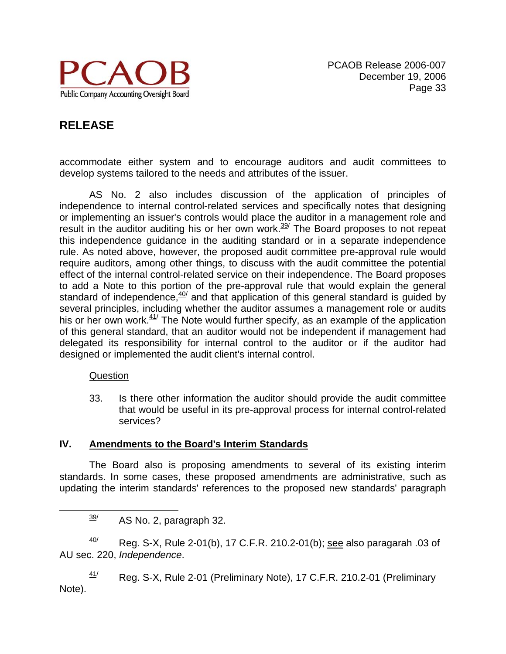

accommodate either system and to encourage auditors and audit committees to develop systems tailored to the needs and attributes of the issuer.

 AS No. 2 also includes discussion of the application of principles of independence to internal control-related services and specifically notes that designing or implementing an issuer's controls would place the auditor in a management role and result in the auditor auditing his or her own work.<sup>39/</sup> The Board proposes to not repeat this independence guidance in the auditing standard or in a separate independence rule. As noted above, however, the proposed audit committee pre-approval rule would require auditors, among other things, to discuss with the audit committee the potential effect of the internal control-related service on their independence. The Board proposes to add a Note to this portion of the pre-approval rule that would explain the general standard of independence,  $40/2$  and that application of this general standard is guided by several principles, including whether the auditor assumes a management role or audits his or her own work.<sup>41/</sup> The Note would further specify, as an example of the application of this general standard, that an auditor would not be independent if management had delegated its responsibility for internal control to the auditor or if the auditor had designed or implemented the audit client's internal control.

### Question

33. Is there other information the auditor should provide the audit committee that would be useful in its pre-approval process for internal control-related services?

### **IV. Amendments to the Board's Interim Standards**

The Board also is proposing amendments to several of its existing interim standards. In some cases, these proposed amendments are administrative, such as updating the interim standards' references to the proposed new standards' paragraph

40/ Reg. S-X, Rule 2-01(b), 17 C.F.R. 210.2-01(b); see also paragarah .03 of AU sec. 220, *Independence*.

41/ Reg. S-X, Rule 2-01 (Preliminary Note), 17 C.F.R. 210.2-01 (Preliminary Note).

39/ AS No. 2, paragraph 32.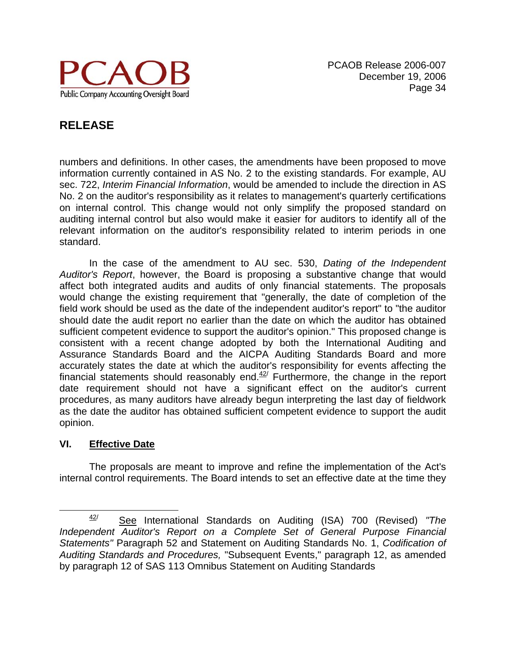

numbers and definitions. In other cases, the amendments have been proposed to move information currently contained in AS No. 2 to the existing standards. For example, AU sec. 722, *Interim Financial Information*, would be amended to include the direction in AS No. 2 on the auditor's responsibility as it relates to management's quarterly certifications on internal control. This change would not only simplify the proposed standard on auditing internal control but also would make it easier for auditors to identify all of the relevant information on the auditor's responsibility related to interim periods in one standard.

 In the case of the amendment to AU sec. 530, *Dating of the Independent Auditor's Report*, however, the Board is proposing a substantive change that would affect both integrated audits and audits of only financial statements. The proposals would change the existing requirement that "generally, the date of completion of the field work should be used as the date of the independent auditor's report" to "the auditor should date the audit report no earlier than the date on which the auditor has obtained sufficient competent evidence to support the auditor's opinion." This proposed change is consistent with a recent change adopted by both the International Auditing and Assurance Standards Board and the AICPA Auditing Standards Board and more accurately states the date at which the auditor's responsibility for events affecting the financial statements should reasonably end. $42$  Furthermore, the change in the report date requirement should not have a significant effect on the auditor's current procedures, as many auditors have already begun interpreting the last day of fieldwork as the date the auditor has obtained sufficient competent evidence to support the audit opinion.

## **VI. Effective Date**

 $\overline{a}$ 

 The proposals are meant to improve and refine the implementation of the Act's internal control requirements. The Board intends to set an effective date at the time they

 <sup>42/</sup> See International Standards on Auditing (ISA) 700 (Revised) *"The Independent Auditor's Report on a Complete Set of General Purpose Financial Statements"* Paragraph 52 and Statement on Auditing Standards No. 1, *Codification of Auditing Standards and Procedures,* "Subsequent Events," paragraph 12, as amended by paragraph 12 of SAS 113 Omnibus Statement on Auditing Standards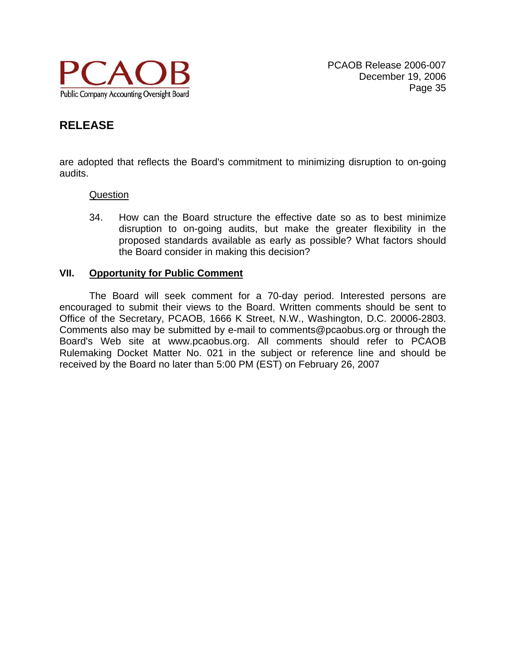

are adopted that reflects the Board's commitment to minimizing disruption to on-going audits.

#### **Question**

34. How can the Board structure the effective date so as to best minimize disruption to on-going audits, but make the greater flexibility in the proposed standards available as early as possible? What factors should the Board consider in making this decision?

#### **VII. Opportunity for Public Comment**

The Board will seek comment for a 70-day period. Interested persons are encouraged to submit their views to the Board. Written comments should be sent to Office of the Secretary, PCAOB, 1666 K Street, N.W., Washington, D.C. 20006-2803. Comments also may be submitted by e-mail to comments@pcaobus.org or through the Board's Web site at www.pcaobus.org. All comments should refer to PCAOB Rulemaking Docket Matter No. 021 in the subject or reference line and should be received by the Board no later than 5:00 PM (EST) on February 26, 2007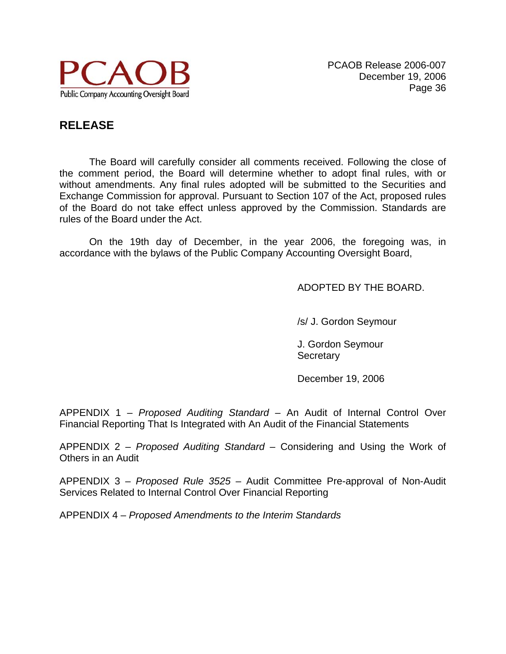

The Board will carefully consider all comments received. Following the close of the comment period, the Board will determine whether to adopt final rules, with or without amendments. Any final rules adopted will be submitted to the Securities and Exchange Commission for approval. Pursuant to Section 107 of the Act, proposed rules of the Board do not take effect unless approved by the Commission. Standards are rules of the Board under the Act.

On the 19th day of December, in the year 2006, the foregoing was, in accordance with the bylaws of the Public Company Accounting Oversight Board,

ADOPTED BY THE BOARD.

/s/ J. Gordon Seymour

 J. Gordon Seymour **Secretary** 

December 19, 2006

APPENDIX 1 – *Proposed Auditing Standard* – An Audit of Internal Control Over Financial Reporting That Is Integrated with An Audit of the Financial Statements

APPENDIX 2 – *Proposed Auditing Standard* – Considering and Using the Work of Others in an Audit

APPENDIX 3 – *Proposed Rule 3525* – Audit Committee Pre-approval of Non-Audit Services Related to Internal Control Over Financial Reporting

APPENDIX 4 – *Proposed Amendments to the Interim Standards*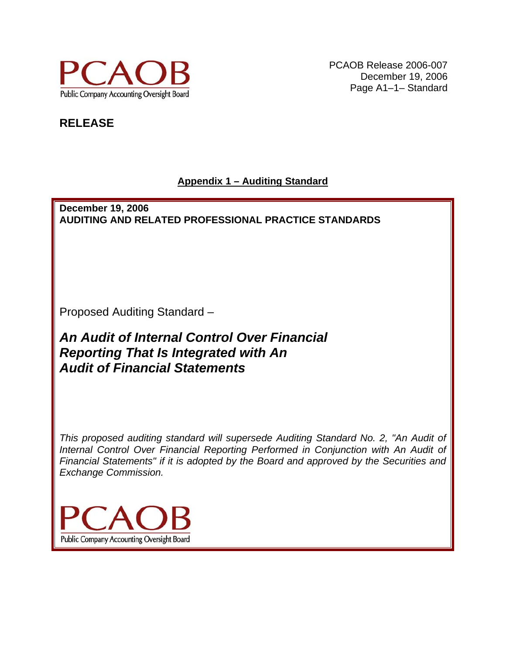

#### **Appendix 1 – Auditing Standard**

**December 19, 2006 AUDITING AND RELATED PROFESSIONAL PRACTICE STANDARDS** 

Proposed Auditing Standard –

# *An Audit of Internal Control Over Financial Reporting That Is Integrated with An Audit of Financial Statements*

*This proposed auditing standard will supersede Auditing Standard No. 2, "An Audit of Internal Control Over Financial Reporting Performed in Conjunction with An Audit of Financial Statements" if it is adopted by the Board and approved by the Securities and Exchange Commission.* 

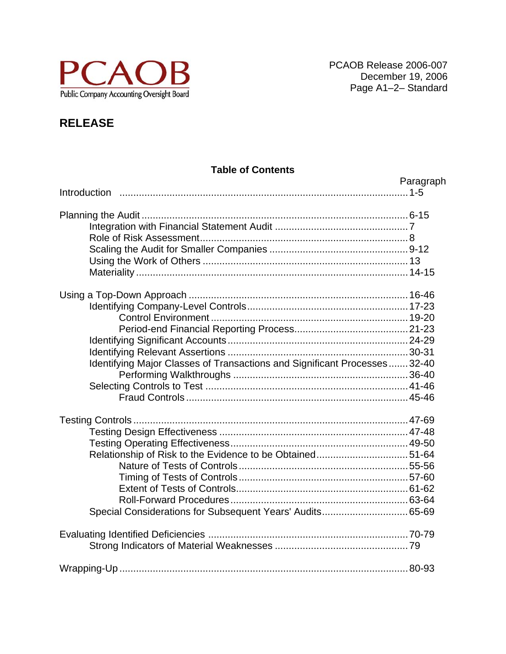

#### **Table of Contents**

|                                                                          | Paragraph |
|--------------------------------------------------------------------------|-----------|
|                                                                          |           |
|                                                                          |           |
|                                                                          |           |
|                                                                          |           |
|                                                                          |           |
|                                                                          |           |
|                                                                          |           |
|                                                                          |           |
|                                                                          |           |
|                                                                          |           |
|                                                                          |           |
|                                                                          |           |
|                                                                          |           |
| Identifying Major Classes of Transactions and Significant Processes32-40 |           |
|                                                                          |           |
|                                                                          |           |
|                                                                          |           |
|                                                                          |           |
|                                                                          |           |
|                                                                          |           |
| Relationship of Risk to the Evidence to be Obtained51-64                 |           |
|                                                                          |           |
|                                                                          |           |
|                                                                          |           |
|                                                                          |           |
| Special Considerations for Subsequent Years' Audits 65-69                |           |
|                                                                          |           |
|                                                                          |           |
|                                                                          |           |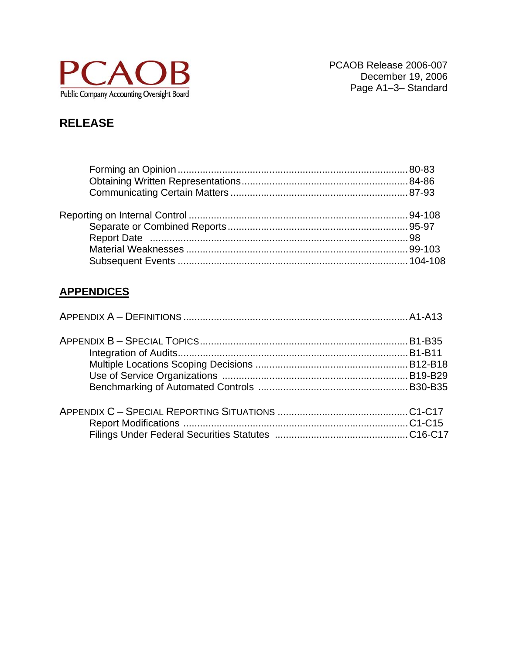

#### **APPENDICES**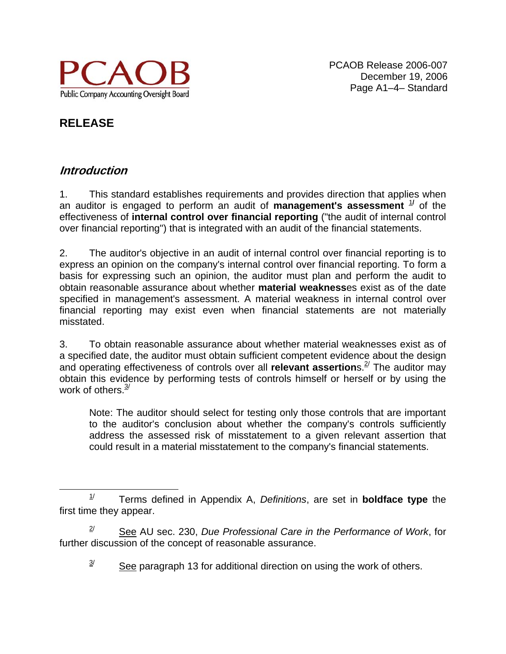

### **Introduction**

1. This standard establishes requirements and provides direction that applies when an auditor is engaged to perform an audit of **management's assessment**  $\frac{1}{2}$  of the effectiveness of **internal control over financial reporting** ("the audit of internal control over financial reporting") that is integrated with an audit of the financial statements.

2. The auditor's objective in an audit of internal control over financial reporting is to express an opinion on the company's internal control over financial reporting. To form a basis for expressing such an opinion, the auditor must plan and perform the audit to obtain reasonable assurance about whether **material weakness**es exist as of the date specified in management's assessment. A material weakness in internal control over financial reporting may exist even when financial statements are not materially misstated.

3. To obtain reasonable assurance about whether material weaknesses exist as of a specified date, the auditor must obtain sufficient competent evidence about the design and operating effectiveness of controls over all **relevant assertion**s.<sup>2/</sup> The auditor may obtain this evidence by performing tests of controls himself or herself or by using the work of others. $\frac{3}{2}$ 

Note: The auditor should select for testing only those controls that are important to the auditor's conclusion about whether the company's controls sufficiently address the assessed risk of misstatement to a given relevant assertion that could result in a material misstatement to the company's financial statements.

 <sup>1/</sup> Terms defined in Appendix A, *Definitions*, are set in **boldface type** the first time they appear.

<sup>2/</sup> See AU sec. 230, *Due Professional Care in the Performance of Work*, for further discussion of the concept of reasonable assurance.

<sup>3/</sup> See paragraph 13 for additional direction on using the work of others.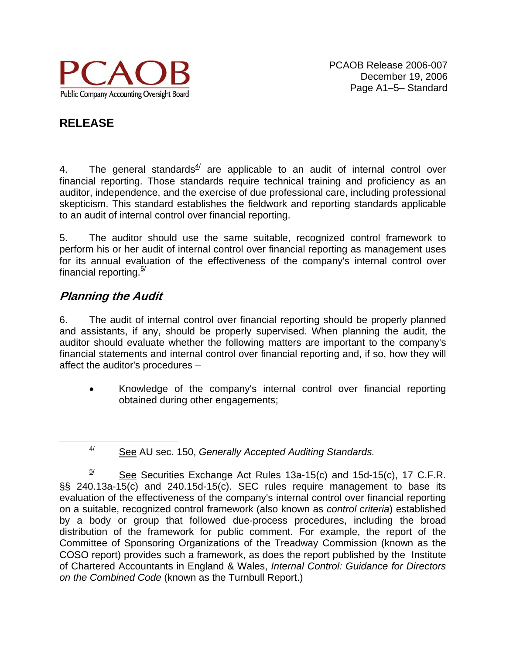

4. The general standards $4/4$  are applicable to an audit of internal control over financial reporting. Those standards require technical training and proficiency as an auditor, independence, and the exercise of due professional care, including professional skepticism. This standard establishes the fieldwork and reporting standards applicable to an audit of internal control over financial reporting.

5. The auditor should use the same suitable, recognized control framework to perform his or her audit of internal control over financial reporting as management uses for its annual evaluation of the effectiveness of the company's internal control over financial reporting. $5/5$ 

### **Planning the Audit**

6. The audit of internal control over financial reporting should be properly planned and assistants, if any, should be properly supervised. When planning the audit, the auditor should evaluate whether the following matters are important to the company's financial statements and internal control over financial reporting and, if so, how they will affect the auditor's procedures –

• Knowledge of the company's internal control over financial reporting obtained during other engagements;

 $\frac{4}{4}$ See AU sec. 150, *Generally Accepted Auditing Standards.* 

<sup>5/</sup> See Securities Exchange Act Rules 13a-15(c) and 15d-15(c), 17 C.F.R. §§ 240.13a-15(c) and 240.15d-15(c). SEC rules require management to base its evaluation of the effectiveness of the company's internal control over financial reporting on a suitable, recognized control framework (also known as *control criteria*) established by a body or group that followed due-process procedures, including the broad distribution of the framework for public comment. For example, the report of the Committee of Sponsoring Organizations of the Treadway Commission (known as the COSO report) provides such a framework, as does the report published by the Institute of Chartered Accountants in England & Wales, *Internal Control: Guidance for Directors on the Combined Code* (known as the Turnbull Report.)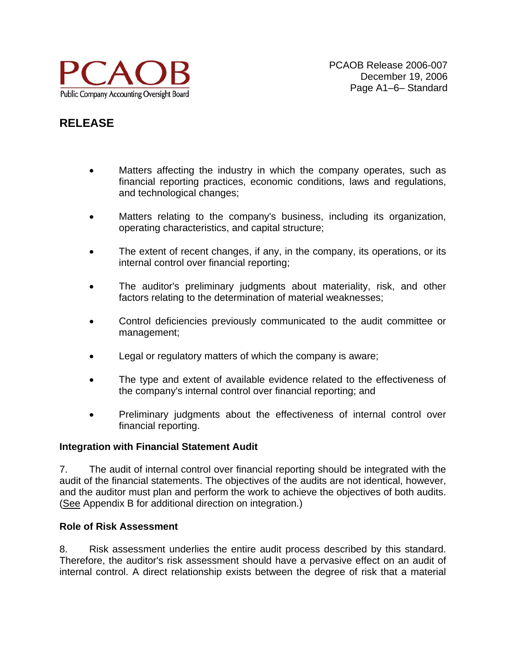

- Matters affecting the industry in which the company operates, such as financial reporting practices, economic conditions, laws and regulations, and technological changes;
- Matters relating to the company's business, including its organization, operating characteristics, and capital structure;
- The extent of recent changes, if any, in the company, its operations, or its internal control over financial reporting;
- The auditor's preliminary judgments about materiality, risk, and other factors relating to the determination of material weaknesses;
- Control deficiencies previously communicated to the audit committee or management;
- Legal or regulatory matters of which the company is aware;
- The type and extent of available evidence related to the effectiveness of the company's internal control over financial reporting; and
- Preliminary judgments about the effectiveness of internal control over financial reporting.

#### **Integration with Financial Statement Audit**

7. The audit of internal control over financial reporting should be integrated with the audit of the financial statements. The objectives of the audits are not identical, however, and the auditor must plan and perform the work to achieve the objectives of both audits. (See Appendix B for additional direction on integration.)

#### **Role of Risk Assessment**

8. Risk assessment underlies the entire audit process described by this standard. Therefore, the auditor's risk assessment should have a pervasive effect on an audit of internal control. A direct relationship exists between the degree of risk that a material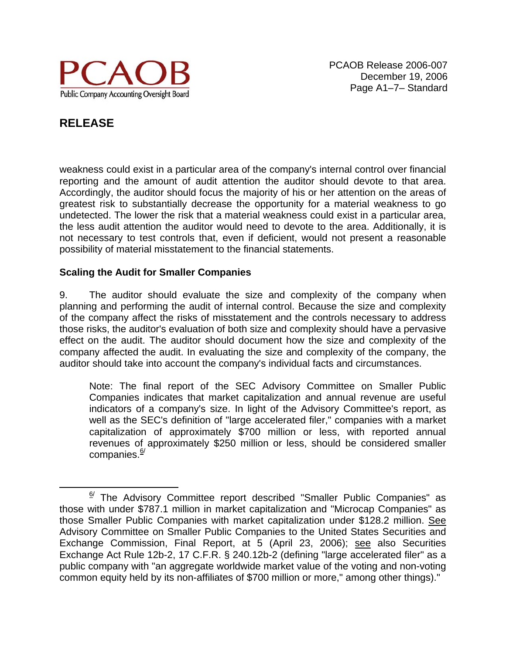

weakness could exist in a particular area of the company's internal control over financial reporting and the amount of audit attention the auditor should devote to that area. Accordingly, the auditor should focus the majority of his or her attention on the areas of greatest risk to substantially decrease the opportunity for a material weakness to go undetected. The lower the risk that a material weakness could exist in a particular area, the less audit attention the auditor would need to devote to the area. Additionally, it is not necessary to test controls that, even if deficient, would not present a reasonable possibility of material misstatement to the financial statements.

#### **Scaling the Audit for Smaller Companies**

9. The auditor should evaluate the size and complexity of the company when planning and performing the audit of internal control. Because the size and complexity of the company affect the risks of misstatement and the controls necessary to address those risks, the auditor's evaluation of both size and complexity should have a pervasive effect on the audit. The auditor should document how the size and complexity of the company affected the audit. In evaluating the size and complexity of the company, the auditor should take into account the company's individual facts and circumstances.

Note: The final report of the SEC Advisory Committee on Smaller Public Companies indicates that market capitalization and annual revenue are useful indicators of a company's size. In light of the Advisory Committee's report, as well as the SEC's definition of "large accelerated filer," companies with a market capitalization of approximately \$700 million or less, with reported annual revenues of approximately \$250 million or less, should be considered smaller companies.<sup>6/</sup>

 $\frac{6}{2}$  $6/$  The Advisory Committee report described "Smaller Public Companies" as those with under \$787.1 million in market capitalization and "Microcap Companies" as those Smaller Public Companies with market capitalization under \$128.2 million. See Advisory Committee on Smaller Public Companies to the United States Securities and Exchange Commission, Final Report, at 5 (April 23, 2006); see also Securities Exchange Act Rule 12b-2, 17 C.F.R. § 240.12b-2 (defining "large accelerated filer" as a public company with "an aggregate worldwide market value of the voting and non-voting common equity held by its non-affiliates of \$700 million or more," among other things)."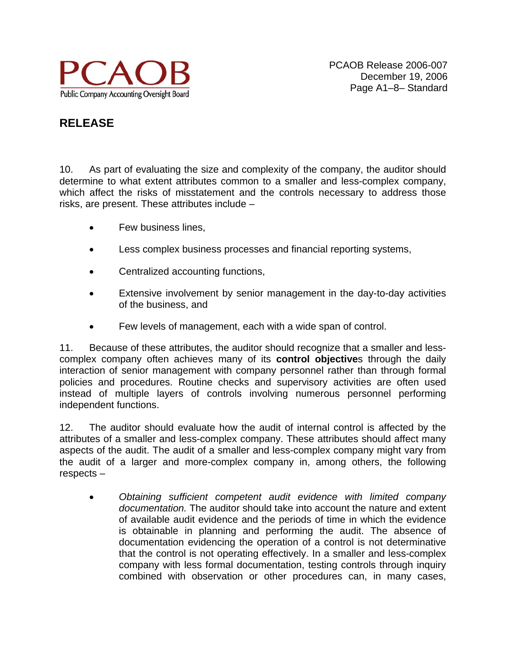

10. As part of evaluating the size and complexity of the company, the auditor should determine to what extent attributes common to a smaller and less-complex company, which affect the risks of misstatement and the controls necessary to address those risks, are present. These attributes include –

- Few business lines,
- Less complex business processes and financial reporting systems,
- Centralized accounting functions,
- Extensive involvement by senior management in the day-to-day activities of the business, and
- Few levels of management, each with a wide span of control.

11. Because of these attributes, the auditor should recognize that a smaller and lesscomplex company often achieves many of its **control objective**s through the daily interaction of senior management with company personnel rather than through formal policies and procedures. Routine checks and supervisory activities are often used instead of multiple layers of controls involving numerous personnel performing independent functions.

12. The auditor should evaluate how the audit of internal control is affected by the attributes of a smaller and less-complex company. These attributes should affect many aspects of the audit. The audit of a smaller and less-complex company might vary from the audit of a larger and more-complex company in, among others, the following respects –

• *Obtaining sufficient competent audit evidence with limited company documentation.* The auditor should take into account the nature and extent of available audit evidence and the periods of time in which the evidence is obtainable in planning and performing the audit. The absence of documentation evidencing the operation of a control is not determinative that the control is not operating effectively. In a smaller and less-complex company with less formal documentation, testing controls through inquiry combined with observation or other procedures can, in many cases,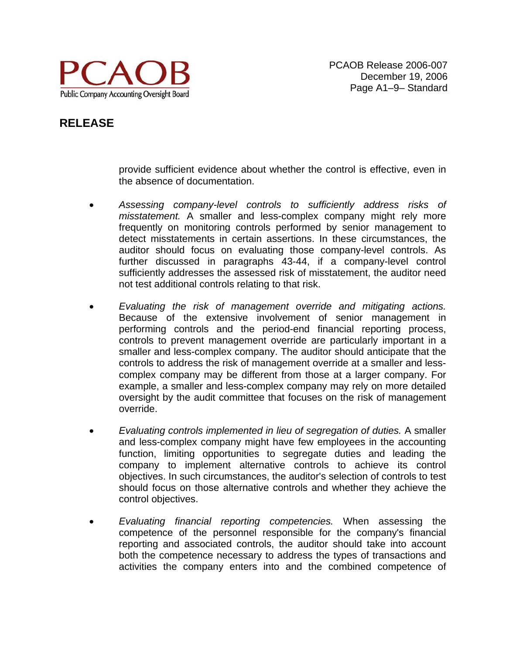

provide sufficient evidence about whether the control is effective, even in the absence of documentation.

- *Assessing company-level controls to sufficiently address risks of misstatement.* A smaller and less-complex company might rely more frequently on monitoring controls performed by senior management to detect misstatements in certain assertions. In these circumstances, the auditor should focus on evaluating those company-level controls. As further discussed in paragraphs 43-44, if a company-level control sufficiently addresses the assessed risk of misstatement, the auditor need not test additional controls relating to that risk.
- *Evaluating the risk of management override and mitigating actions.* Because of the extensive involvement of senior management in performing controls and the period-end financial reporting process, controls to prevent management override are particularly important in a smaller and less-complex company. The auditor should anticipate that the controls to address the risk of management override at a smaller and lesscomplex company may be different from those at a larger company. For example, a smaller and less-complex company may rely on more detailed oversight by the audit committee that focuses on the risk of management override.
- *Evaluating controls implemented in lieu of segregation of duties.* A smaller and less-complex company might have few employees in the accounting function, limiting opportunities to segregate duties and leading the company to implement alternative controls to achieve its control objectives. In such circumstances, the auditor's selection of controls to test should focus on those alternative controls and whether they achieve the control objectives.
- *Evaluating financial reporting competencies.* When assessing the competence of the personnel responsible for the company's financial reporting and associated controls, the auditor should take into account both the competence necessary to address the types of transactions and activities the company enters into and the combined competence of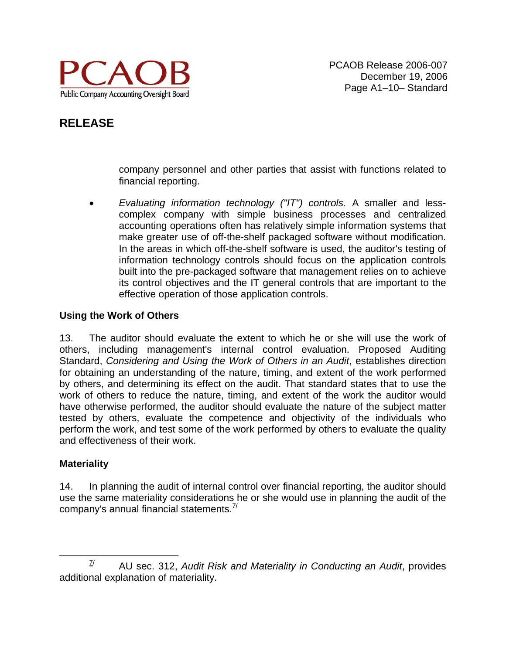

company personnel and other parties that assist with functions related to financial reporting.

• *Evaluating information technology ("IT") controls.* A smaller and lesscomplex company with simple business processes and centralized accounting operations often has relatively simple information systems that make greater use of off-the-shelf packaged software without modification. In the areas in which off-the-shelf software is used, the auditor's testing of information technology controls should focus on the application controls built into the pre-packaged software that management relies on to achieve its control objectives and the IT general controls that are important to the effective operation of those application controls.

#### **Using the Work of Others**

13. The auditor should evaluate the extent to which he or she will use the work of others, including management's internal control evaluation. Proposed Auditing Standard, *Considering and Using the Work of Others in an Audit*, establishes direction for obtaining an understanding of the nature, timing, and extent of the work performed by others, and determining its effect on the audit. That standard states that to use the work of others to reduce the nature, timing, and extent of the work the auditor would have otherwise performed, the auditor should evaluate the nature of the subject matter tested by others, evaluate the competence and objectivity of the individuals who perform the work, and test some of the work performed by others to evaluate the quality and effectiveness of their work.

#### **Materiality**

14. In planning the audit of internal control over financial reporting, the auditor should use the same materiality considerations he or she would use in planning the audit of the company's annual financial statements. $^{7/2}$ 

 $\frac{7}{4}$  $\frac{Z}{Z}$  AU sec. 312, *Audit Risk and Materiality in Conducting an Audit*, provides additional explanation of materiality.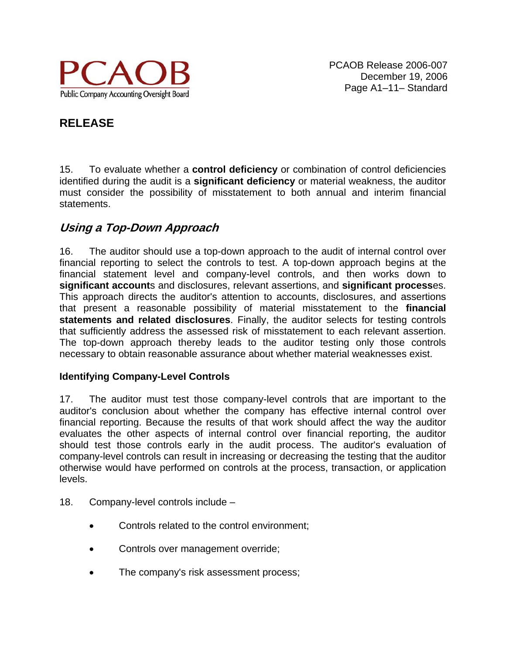

15. To evaluate whether a **control deficiency** or combination of control deficiencies identified during the audit is a **significant deficiency** or material weakness, the auditor must consider the possibility of misstatement to both annual and interim financial statements.

# **Using a Top-Down Approach**

16. The auditor should use a top-down approach to the audit of internal control over financial reporting to select the controls to test. A top-down approach begins at the financial statement level and company-level controls, and then works down to **significant account**s and disclosures, relevant assertions, and **significant process**es. This approach directs the auditor's attention to accounts, disclosures, and assertions that present a reasonable possibility of material misstatement to the **financial statements and related disclosures**. Finally, the auditor selects for testing controls that sufficiently address the assessed risk of misstatement to each relevant assertion. The top-down approach thereby leads to the auditor testing only those controls necessary to obtain reasonable assurance about whether material weaknesses exist.

#### **Identifying Company-Level Controls**

17. The auditor must test those company-level controls that are important to the auditor's conclusion about whether the company has effective internal control over financial reporting. Because the results of that work should affect the way the auditor evaluates the other aspects of internal control over financial reporting, the auditor should test those controls early in the audit process. The auditor's evaluation of company-level controls can result in increasing or decreasing the testing that the auditor otherwise would have performed on controls at the process, transaction, or application levels.

- 18. Company-level controls include
	- Controls related to the control environment;
	- Controls over management override;
	- The company's risk assessment process;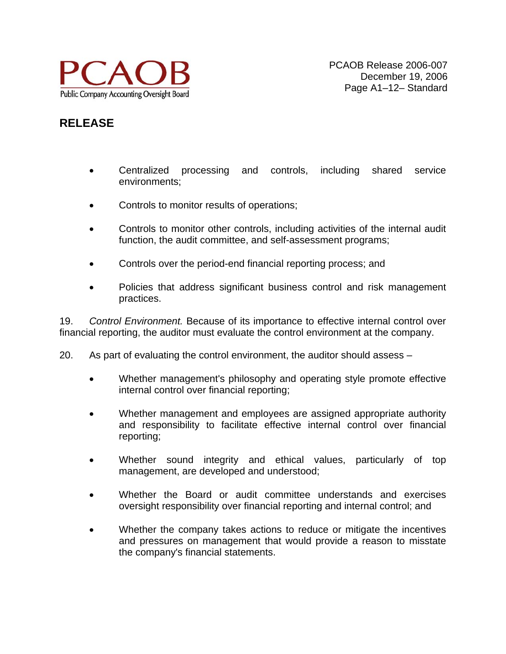

- Centralized processing and controls, including shared service environments;
- Controls to monitor results of operations;
- Controls to monitor other controls, including activities of the internal audit function, the audit committee, and self-assessment programs;
- Controls over the period-end financial reporting process; and
- Policies that address significant business control and risk management practices.

19. *Control Environment.* Because of its importance to effective internal control over financial reporting, the auditor must evaluate the control environment at the company.

20. As part of evaluating the control environment, the auditor should assess –

- Whether management's philosophy and operating style promote effective internal control over financial reporting;
- Whether management and employees are assigned appropriate authority and responsibility to facilitate effective internal control over financial reporting;
- Whether sound integrity and ethical values, particularly of top management, are developed and understood;
- Whether the Board or audit committee understands and exercises oversight responsibility over financial reporting and internal control; and
- Whether the company takes actions to reduce or mitigate the incentives and pressures on management that would provide a reason to misstate the company's financial statements.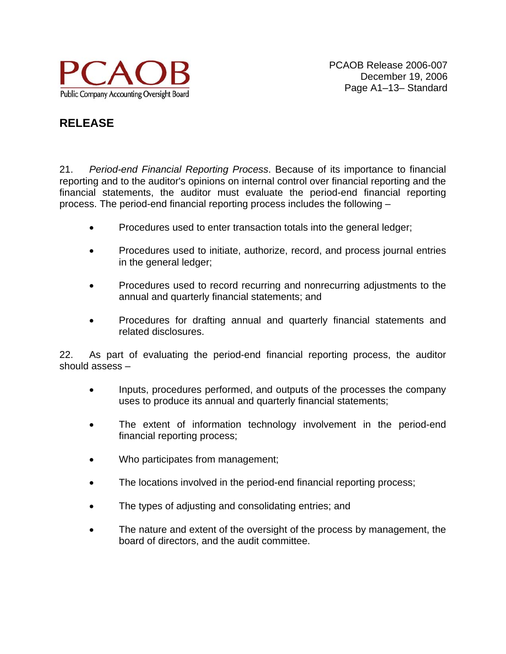

21. *Period-end Financial Reporting Process*. Because of its importance to financial reporting and to the auditor's opinions on internal control over financial reporting and the financial statements, the auditor must evaluate the period-end financial reporting process. The period-end financial reporting process includes the following –

- Procedures used to enter transaction totals into the general ledger;
- Procedures used to initiate, authorize, record, and process journal entries in the general ledger;
- Procedures used to record recurring and nonrecurring adjustments to the annual and quarterly financial statements; and
- Procedures for drafting annual and quarterly financial statements and related disclosures.

22. As part of evaluating the period-end financial reporting process, the auditor should assess –

- Inputs, procedures performed, and outputs of the processes the company uses to produce its annual and quarterly financial statements;
- The extent of information technology involvement in the period-end financial reporting process;
- Who participates from management;
- The locations involved in the period-end financial reporting process;
- The types of adjusting and consolidating entries; and
- The nature and extent of the oversight of the process by management, the board of directors, and the audit committee.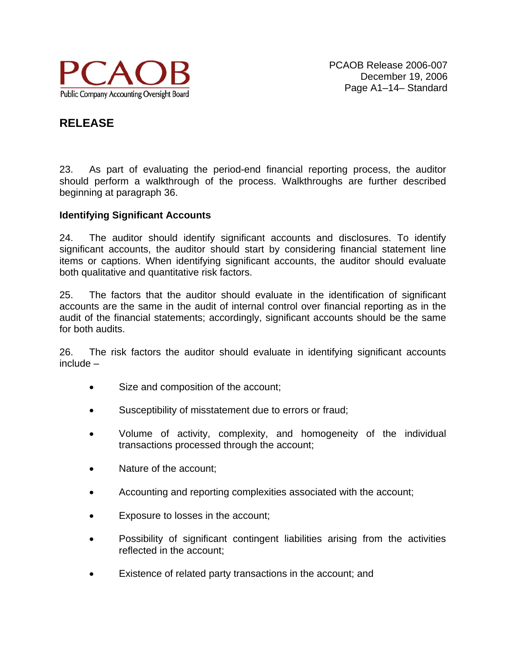

23. As part of evaluating the period-end financial reporting process, the auditor should perform a walkthrough of the process. Walkthroughs are further described beginning at paragraph 36.

#### **Identifying Significant Accounts**

24. The auditor should identify significant accounts and disclosures. To identify significant accounts, the auditor should start by considering financial statement line items or captions. When identifying significant accounts, the auditor should evaluate both qualitative and quantitative risk factors.

25. The factors that the auditor should evaluate in the identification of significant accounts are the same in the audit of internal control over financial reporting as in the audit of the financial statements; accordingly, significant accounts should be the same for both audits.

26. The risk factors the auditor should evaluate in identifying significant accounts include –

- Size and composition of the account;
- Susceptibility of misstatement due to errors or fraud;
- Volume of activity, complexity, and homogeneity of the individual transactions processed through the account;
- Nature of the account;
- Accounting and reporting complexities associated with the account;
- Exposure to losses in the account;
- Possibility of significant contingent liabilities arising from the activities reflected in the account;
- Existence of related party transactions in the account; and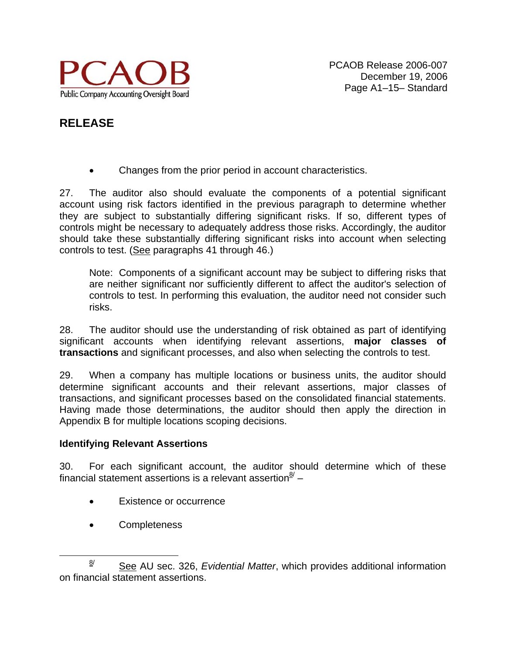

• Changes from the prior period in account characteristics.

27. The auditor also should evaluate the components of a potential significant account using risk factors identified in the previous paragraph to determine whether they are subject to substantially differing significant risks. If so, different types of controls might be necessary to adequately address those risks. Accordingly, the auditor should take these substantially differing significant risks into account when selecting controls to test. (See paragraphs 41 through 46.)

Note: Components of a significant account may be subject to differing risks that are neither significant nor sufficiently different to affect the auditor's selection of controls to test. In performing this evaluation, the auditor need not consider such risks.

28. The auditor should use the understanding of risk obtained as part of identifying significant accounts when identifying relevant assertions, **major classes of transactions** and significant processes, and also when selecting the controls to test.

29. When a company has multiple locations or business units, the auditor should determine significant accounts and their relevant assertions, major classes of transactions, and significant processes based on the consolidated financial statements. Having made those determinations, the auditor should then apply the direction in Appendix B for multiple locations scoping decisions.

#### **Identifying Relevant Assertions**

30. For each significant account, the auditor should determine which of these financial statement assertions is a relevant assertion $\frac{8}{5}$  -

- Existence or occurrence
- **Completeness**

 $\frac{8}{2}$  $\frac{8}{1}$  See AU sec. 326, *Evidential Matter*, which provides additional information on financial statement assertions.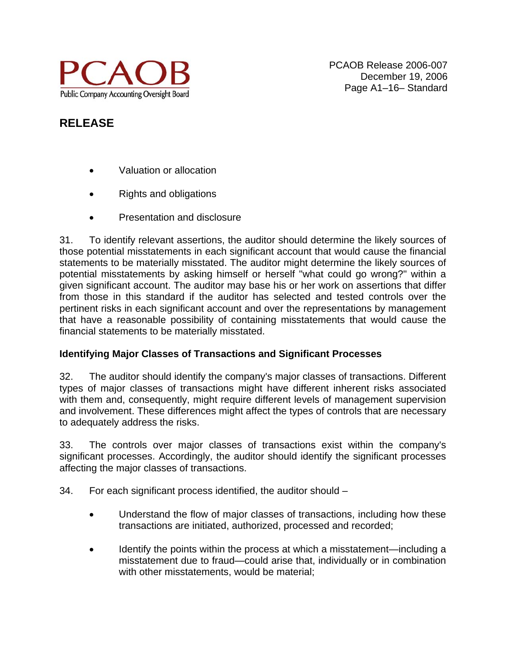

- Valuation or allocation
- Rights and obligations
- Presentation and disclosure

31. To identify relevant assertions, the auditor should determine the likely sources of those potential misstatements in each significant account that would cause the financial statements to be materially misstated. The auditor might determine the likely sources of potential misstatements by asking himself or herself "what could go wrong?" within a given significant account. The auditor may base his or her work on assertions that differ from those in this standard if the auditor has selected and tested controls over the pertinent risks in each significant account and over the representations by management that have a reasonable possibility of containing misstatements that would cause the financial statements to be materially misstated.

#### **Identifying Major Classes of Transactions and Significant Processes**

32. The auditor should identify the company's major classes of transactions. Different types of major classes of transactions might have different inherent risks associated with them and, consequently, might require different levels of management supervision and involvement. These differences might affect the types of controls that are necessary to adequately address the risks.

33. The controls over major classes of transactions exist within the company's significant processes. Accordingly, the auditor should identify the significant processes affecting the major classes of transactions.

34. For each significant process identified, the auditor should –

- Understand the flow of major classes of transactions, including how these transactions are initiated, authorized, processed and recorded;
- Identify the points within the process at which a misstatement—including a misstatement due to fraud—could arise that, individually or in combination with other misstatements, would be material;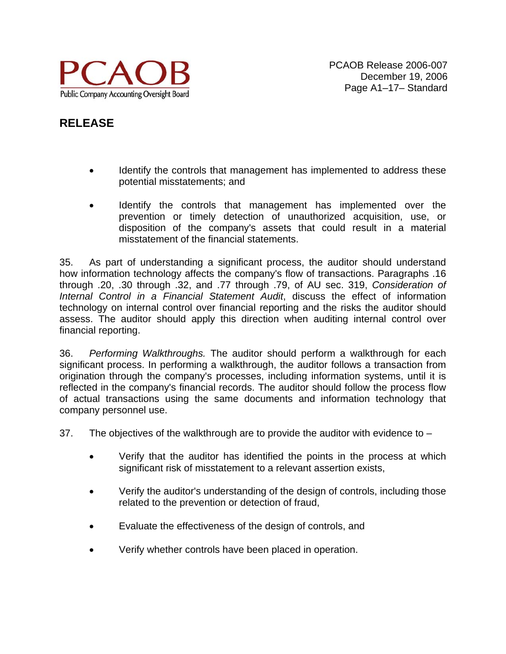

- Identify the controls that management has implemented to address these potential misstatements; and
- Identify the controls that management has implemented over the prevention or timely detection of unauthorized acquisition, use, or disposition of the company's assets that could result in a material misstatement of the financial statements.

35. As part of understanding a significant process, the auditor should understand how information technology affects the company's flow of transactions. Paragraphs .16 through .20, .30 through .32, and .77 through .79, of AU sec. 319, *Consideration of Internal Control in a Financial Statement Audit*, discuss the effect of information technology on internal control over financial reporting and the risks the auditor should assess. The auditor should apply this direction when auditing internal control over financial reporting.

36. *Performing Walkthroughs.* The auditor should perform a walkthrough for each significant process. In performing a walkthrough, the auditor follows a transaction from origination through the company's processes, including information systems, until it is reflected in the company's financial records. The auditor should follow the process flow of actual transactions using the same documents and information technology that company personnel use.

37. The objectives of the walkthrough are to provide the auditor with evidence to  $-$ 

- Verify that the auditor has identified the points in the process at which significant risk of misstatement to a relevant assertion exists,
- Verify the auditor's understanding of the design of controls, including those related to the prevention or detection of fraud,
- Evaluate the effectiveness of the design of controls, and
- Verify whether controls have been placed in operation.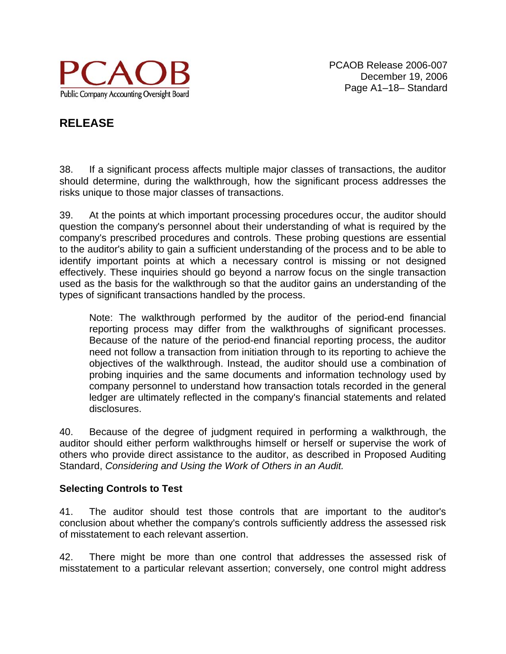

PCAOB Release 2006-007 December 19, 2006 Page A1–18– Standard

## **RELEASE**

38. If a significant process affects multiple major classes of transactions, the auditor should determine, during the walkthrough, how the significant process addresses the risks unique to those major classes of transactions.

39. At the points at which important processing procedures occur, the auditor should question the company's personnel about their understanding of what is required by the company's prescribed procedures and controls. These probing questions are essential to the auditor's ability to gain a sufficient understanding of the process and to be able to identify important points at which a necessary control is missing or not designed effectively. These inquiries should go beyond a narrow focus on the single transaction used as the basis for the walkthrough so that the auditor gains an understanding of the types of significant transactions handled by the process.

Note: The walkthrough performed by the auditor of the period-end financial reporting process may differ from the walkthroughs of significant processes. Because of the nature of the period-end financial reporting process, the auditor need not follow a transaction from initiation through to its reporting to achieve the objectives of the walkthrough. Instead, the auditor should use a combination of probing inquiries and the same documents and information technology used by company personnel to understand how transaction totals recorded in the general ledger are ultimately reflected in the company's financial statements and related disclosures.

40. Because of the degree of judgment required in performing a walkthrough, the auditor should either perform walkthroughs himself or herself or supervise the work of others who provide direct assistance to the auditor, as described in Proposed Auditing Standard, *Considering and Using the Work of Others in an Audit.*

#### **Selecting Controls to Test**

41. The auditor should test those controls that are important to the auditor's conclusion about whether the company's controls sufficiently address the assessed risk of misstatement to each relevant assertion.

42. There might be more than one control that addresses the assessed risk of misstatement to a particular relevant assertion; conversely, one control might address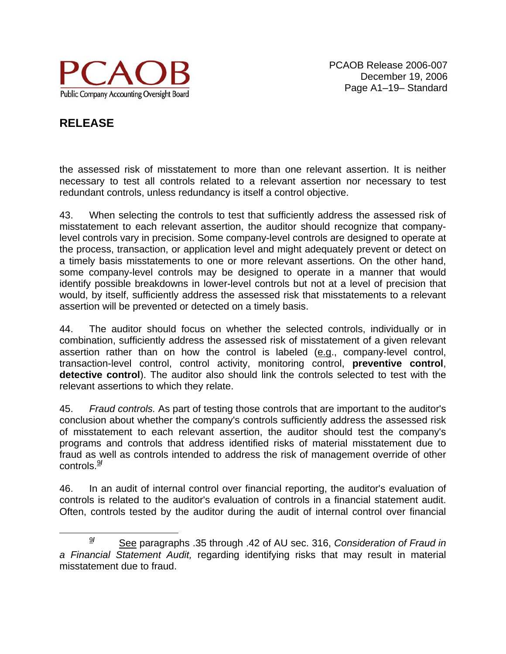

the assessed risk of misstatement to more than one relevant assertion. It is neither necessary to test all controls related to a relevant assertion nor necessary to test redundant controls, unless redundancy is itself a control objective.

43. When selecting the controls to test that sufficiently address the assessed risk of misstatement to each relevant assertion, the auditor should recognize that companylevel controls vary in precision. Some company-level controls are designed to operate at the process, transaction, or application level and might adequately prevent or detect on a timely basis misstatements to one or more relevant assertions. On the other hand, some company-level controls may be designed to operate in a manner that would identify possible breakdowns in lower-level controls but not at a level of precision that would, by itself, sufficiently address the assessed risk that misstatements to a relevant assertion will be prevented or detected on a timely basis.

44. The auditor should focus on whether the selected controls, individually or in combination, sufficiently address the assessed risk of misstatement of a given relevant assertion rather than on how the control is labeled (e.g., company-level control, transaction-level control, control activity, monitoring control, **preventive control**, **detective control**). The auditor also should link the controls selected to test with the relevant assertions to which they relate.

45. *Fraud controls.* As part of testing those controls that are important to the auditor's conclusion about whether the company's controls sufficiently address the assessed risk of misstatement to each relevant assertion, the auditor should test the company's programs and controls that address identified risks of material misstatement due to fraud as well as controls intended to address the risk of management override of other controls.<sup>9</sup>**/**

46. In an audit of internal control over financial reporting, the auditor's evaluation of controls is related to the auditor's evaluation of controls in a financial statement audit. Often, controls tested by the auditor during the audit of internal control over financial

 <sup>9</sup>**/** See paragraphs .35 through .42 of AU sec. 316, *Consideration of Fraud in a Financial Statement Audit,* regarding identifying risks that may result in material misstatement due to fraud.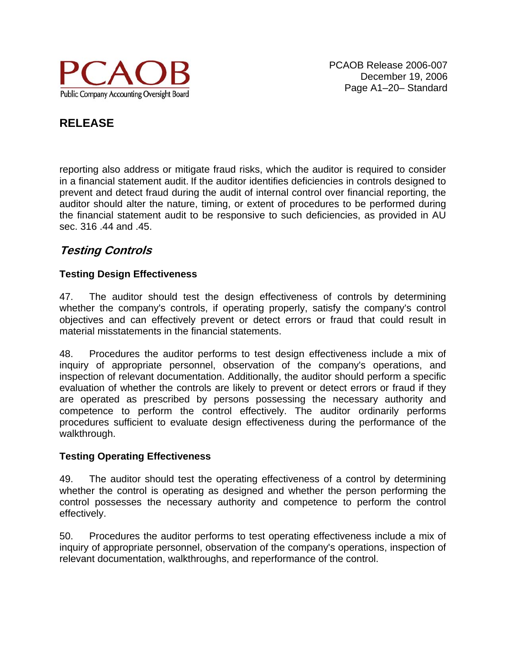

reporting also address or mitigate fraud risks, which the auditor is required to consider in a financial statement audit. If the auditor identifies deficiencies in controls designed to prevent and detect fraud during the audit of internal control over financial reporting, the auditor should alter the nature, timing, or extent of procedures to be performed during the financial statement audit to be responsive to such deficiencies, as provided in AU sec. 316 .44 and .45.

### **Testing Controls**

#### **Testing Design Effectiveness**

47. The auditor should test the design effectiveness of controls by determining whether the company's controls, if operating properly, satisfy the company's control objectives and can effectively prevent or detect errors or fraud that could result in material misstatements in the financial statements.

48. Procedures the auditor performs to test design effectiveness include a mix of inquiry of appropriate personnel, observation of the company's operations, and inspection of relevant documentation. Additionally, the auditor should perform a specific evaluation of whether the controls are likely to prevent or detect errors or fraud if they are operated as prescribed by persons possessing the necessary authority and competence to perform the control effectively. The auditor ordinarily performs procedures sufficient to evaluate design effectiveness during the performance of the walkthrough.

#### **Testing Operating Effectiveness**

49. The auditor should test the operating effectiveness of a control by determining whether the control is operating as designed and whether the person performing the control possesses the necessary authority and competence to perform the control effectively.

50. Procedures the auditor performs to test operating effectiveness include a mix of inquiry of appropriate personnel, observation of the company's operations, inspection of relevant documentation, walkthroughs, and reperformance of the control.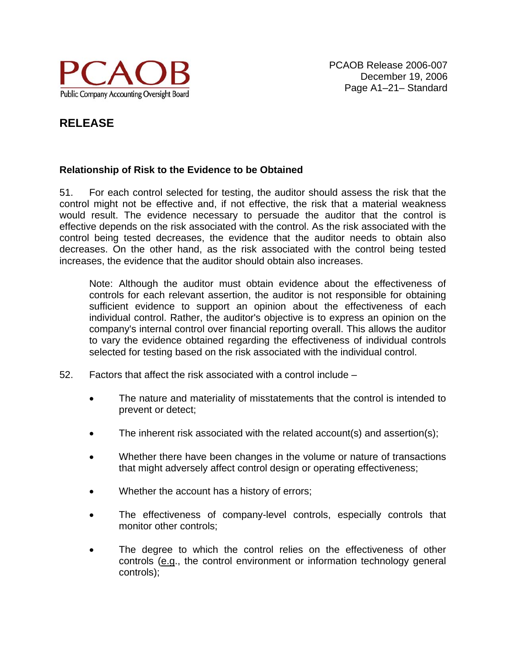

#### **Relationship of Risk to the Evidence to be Obtained**

51. For each control selected for testing, the auditor should assess the risk that the control might not be effective and, if not effective, the risk that a material weakness would result. The evidence necessary to persuade the auditor that the control is effective depends on the risk associated with the control. As the risk associated with the control being tested decreases, the evidence that the auditor needs to obtain also decreases. On the other hand, as the risk associated with the control being tested increases, the evidence that the auditor should obtain also increases.

Note: Although the auditor must obtain evidence about the effectiveness of controls for each relevant assertion, the auditor is not responsible for obtaining sufficient evidence to support an opinion about the effectiveness of each individual control. Rather, the auditor's objective is to express an opinion on the company's internal control over financial reporting overall. This allows the auditor to vary the evidence obtained regarding the effectiveness of individual controls selected for testing based on the risk associated with the individual control.

- 52. Factors that affect the risk associated with a control include
	- The nature and materiality of misstatements that the control is intended to prevent or detect;
	- The inherent risk associated with the related account(s) and assertion(s);
	- Whether there have been changes in the volume or nature of transactions that might adversely affect control design or operating effectiveness;
	- Whether the account has a history of errors;
	- The effectiveness of company-level controls, especially controls that monitor other controls;
	- The degree to which the control relies on the effectiveness of other controls (e.g., the control environment or information technology general controls);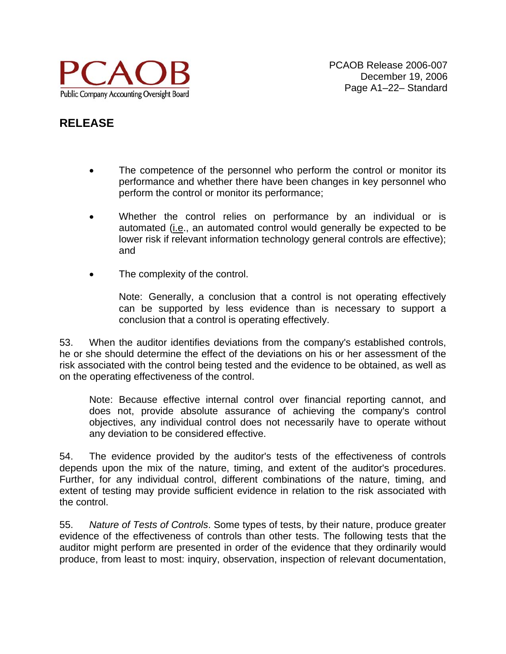

- The competence of the personnel who perform the control or monitor its performance and whether there have been changes in key personnel who perform the control or monitor its performance;
- Whether the control relies on performance by an individual or is automated (i.e., an automated control would generally be expected to be lower risk if relevant information technology general controls are effective); and
- The complexity of the control.

Note: Generally, a conclusion that a control is not operating effectively can be supported by less evidence than is necessary to support a conclusion that a control is operating effectively.

53. When the auditor identifies deviations from the company's established controls, he or she should determine the effect of the deviations on his or her assessment of the risk associated with the control being tested and the evidence to be obtained, as well as on the operating effectiveness of the control.

Note: Because effective internal control over financial reporting cannot, and does not, provide absolute assurance of achieving the company's control objectives, any individual control does not necessarily have to operate without any deviation to be considered effective.

54. The evidence provided by the auditor's tests of the effectiveness of controls depends upon the mix of the nature, timing, and extent of the auditor's procedures. Further, for any individual control, different combinations of the nature, timing, and extent of testing may provide sufficient evidence in relation to the risk associated with the control.

55. *Nature of Tests of Controls*. Some types of tests, by their nature, produce greater evidence of the effectiveness of controls than other tests. The following tests that the auditor might perform are presented in order of the evidence that they ordinarily would produce, from least to most: inquiry, observation, inspection of relevant documentation,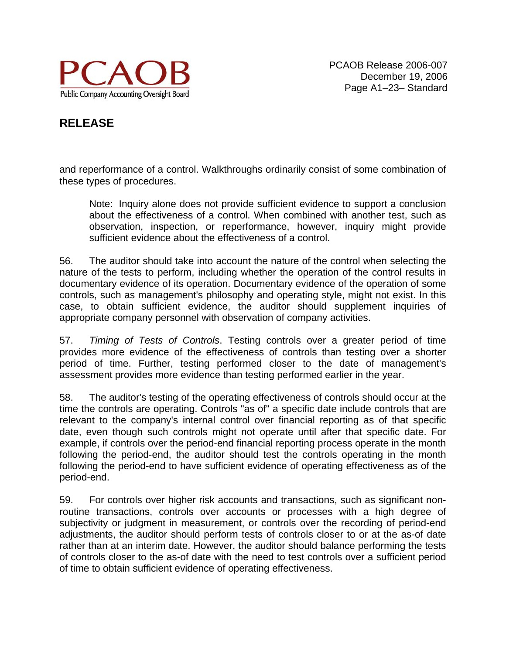

and reperformance of a control. Walkthroughs ordinarily consist of some combination of these types of procedures.

Note: Inquiry alone does not provide sufficient evidence to support a conclusion about the effectiveness of a control. When combined with another test, such as observation, inspection, or reperformance, however, inquiry might provide sufficient evidence about the effectiveness of a control.

56. The auditor should take into account the nature of the control when selecting the nature of the tests to perform, including whether the operation of the control results in documentary evidence of its operation. Documentary evidence of the operation of some controls, such as management's philosophy and operating style, might not exist. In this case, to obtain sufficient evidence, the auditor should supplement inquiries of appropriate company personnel with observation of company activities.

57. *Timing of Tests of Controls*. Testing controls over a greater period of time provides more evidence of the effectiveness of controls than testing over a shorter period of time. Further, testing performed closer to the date of management's assessment provides more evidence than testing performed earlier in the year.

58. The auditor's testing of the operating effectiveness of controls should occur at the time the controls are operating. Controls "as of" a specific date include controls that are relevant to the company's internal control over financial reporting as of that specific date, even though such controls might not operate until after that specific date. For example, if controls over the period-end financial reporting process operate in the month following the period-end, the auditor should test the controls operating in the month following the period-end to have sufficient evidence of operating effectiveness as of the period-end.

59. For controls over higher risk accounts and transactions, such as significant nonroutine transactions, controls over accounts or processes with a high degree of subjectivity or judgment in measurement, or controls over the recording of period-end adjustments, the auditor should perform tests of controls closer to or at the as-of date rather than at an interim date. However, the auditor should balance performing the tests of controls closer to the as-of date with the need to test controls over a sufficient period of time to obtain sufficient evidence of operating effectiveness.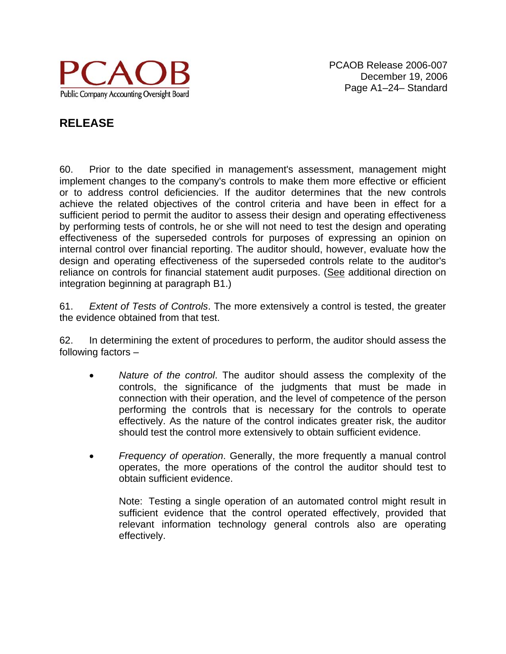

60. Prior to the date specified in management's assessment, management might implement changes to the company's controls to make them more effective or efficient or to address control deficiencies. If the auditor determines that the new controls achieve the related objectives of the control criteria and have been in effect for a sufficient period to permit the auditor to assess their design and operating effectiveness by performing tests of controls, he or she will not need to test the design and operating effectiveness of the superseded controls for purposes of expressing an opinion on internal control over financial reporting. The auditor should, however, evaluate how the design and operating effectiveness of the superseded controls relate to the auditor's reliance on controls for financial statement audit purposes. (See additional direction on integration beginning at paragraph B1.)

61. *Extent of Tests of Controls*. The more extensively a control is tested, the greater the evidence obtained from that test.

62. In determining the extent of procedures to perform, the auditor should assess the following factors –

- *Nature of the control*. The auditor should assess the complexity of the controls, the significance of the judgments that must be made in connection with their operation, and the level of competence of the person performing the controls that is necessary for the controls to operate effectively. As the nature of the control indicates greater risk, the auditor should test the control more extensively to obtain sufficient evidence.
- *Frequency of operation*. Generally, the more frequently a manual control operates, the more operations of the control the auditor should test to obtain sufficient evidence.

Note: Testing a single operation of an automated control might result in sufficient evidence that the control operated effectively, provided that relevant information technology general controls also are operating effectively.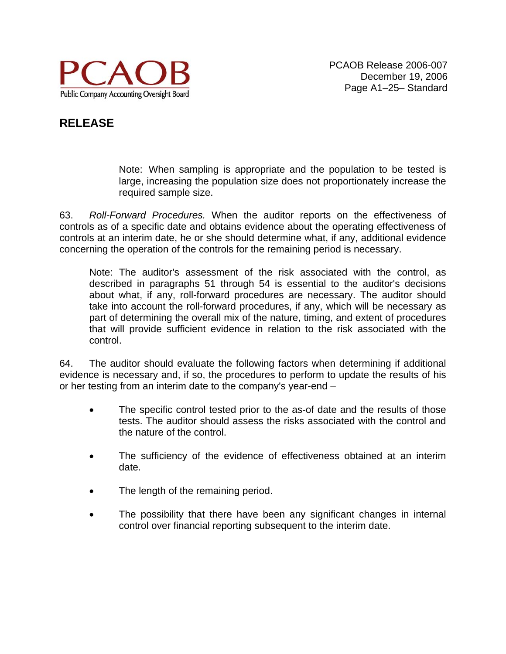

Note: When sampling is appropriate and the population to be tested is large, increasing the population size does not proportionately increase the required sample size.

63. *Roll-Forward Procedures.* When the auditor reports on the effectiveness of controls as of a specific date and obtains evidence about the operating effectiveness of controls at an interim date, he or she should determine what, if any, additional evidence concerning the operation of the controls for the remaining period is necessary.

Note: The auditor's assessment of the risk associated with the control, as described in paragraphs 51 through 54 is essential to the auditor's decisions about what, if any, roll-forward procedures are necessary. The auditor should take into account the roll-forward procedures, if any, which will be necessary as part of determining the overall mix of the nature, timing, and extent of procedures that will provide sufficient evidence in relation to the risk associated with the control.

64. The auditor should evaluate the following factors when determining if additional evidence is necessary and, if so, the procedures to perform to update the results of his or her testing from an interim date to the company's year-end –

- The specific control tested prior to the as-of date and the results of those tests. The auditor should assess the risks associated with the control and the nature of the control.
- The sufficiency of the evidence of effectiveness obtained at an interim date.
- The length of the remaining period.
- The possibility that there have been any significant changes in internal control over financial reporting subsequent to the interim date.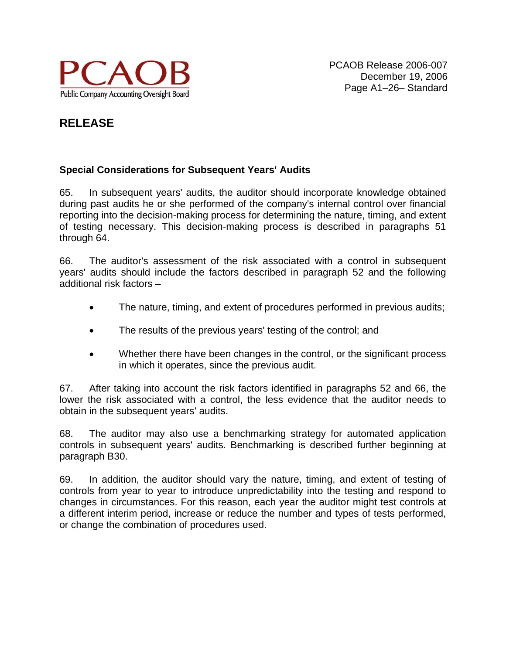

#### **Special Considerations for Subsequent Years' Audits**

65. In subsequent years' audits, the auditor should incorporate knowledge obtained during past audits he or she performed of the company's internal control over financial reporting into the decision-making process for determining the nature, timing, and extent of testing necessary. This decision-making process is described in paragraphs 51 through 64.

66. The auditor's assessment of the risk associated with a control in subsequent years' audits should include the factors described in paragraph 52 and the following additional risk factors –

- The nature, timing, and extent of procedures performed in previous audits;
- The results of the previous years' testing of the control; and
- Whether there have been changes in the control, or the significant process in which it operates, since the previous audit.

67. After taking into account the risk factors identified in paragraphs 52 and 66, the lower the risk associated with a control, the less evidence that the auditor needs to obtain in the subsequent years' audits.

68. The auditor may also use a benchmarking strategy for automated application controls in subsequent years' audits. Benchmarking is described further beginning at paragraph B30.

69. In addition, the auditor should vary the nature, timing, and extent of testing of controls from year to year to introduce unpredictability into the testing and respond to changes in circumstances. For this reason, each year the auditor might test controls at a different interim period, increase or reduce the number and types of tests performed, or change the combination of procedures used.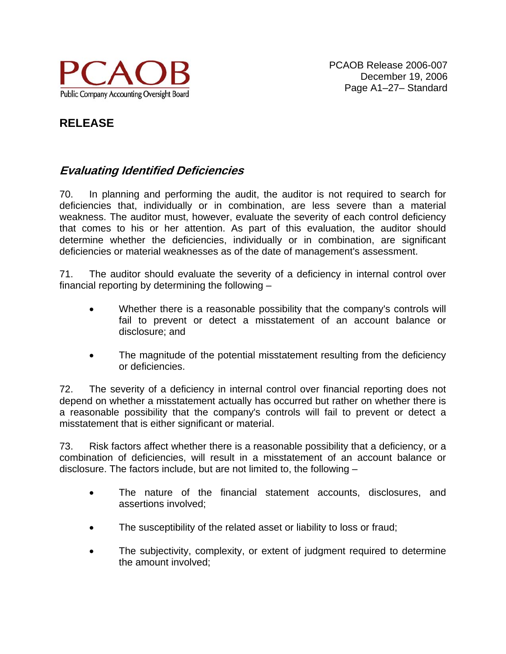

## **Evaluating Identified Deficiencies**

70. In planning and performing the audit, the auditor is not required to search for deficiencies that, individually or in combination, are less severe than a material weakness. The auditor must, however, evaluate the severity of each control deficiency that comes to his or her attention. As part of this evaluation, the auditor should determine whether the deficiencies, individually or in combination, are significant deficiencies or material weaknesses as of the date of management's assessment.

71. The auditor should evaluate the severity of a deficiency in internal control over financial reporting by determining the following –

- Whether there is a reasonable possibility that the company's controls will fail to prevent or detect a misstatement of an account balance or disclosure; and
- The magnitude of the potential misstatement resulting from the deficiency or deficiencies.

72. The severity of a deficiency in internal control over financial reporting does not depend on whether a misstatement actually has occurred but rather on whether there is a reasonable possibility that the company's controls will fail to prevent or detect a misstatement that is either significant or material.

73. Risk factors affect whether there is a reasonable possibility that a deficiency, or a combination of deficiencies, will result in a misstatement of an account balance or disclosure. The factors include, but are not limited to, the following –

- The nature of the financial statement accounts, disclosures, and assertions involved;
- The susceptibility of the related asset or liability to loss or fraud;
- The subjectivity, complexity, or extent of judgment required to determine the amount involved;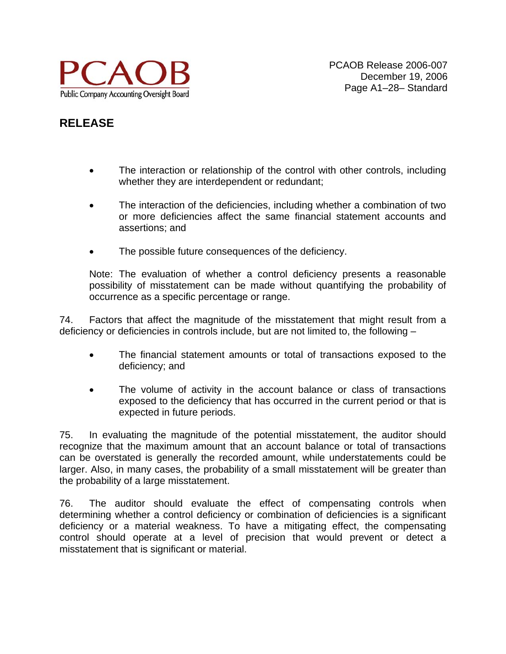

- The interaction or relationship of the control with other controls, including whether they are interdependent or redundant;
- The interaction of the deficiencies, including whether a combination of two or more deficiencies affect the same financial statement accounts and assertions; and
- The possible future consequences of the deficiency.

Note: The evaluation of whether a control deficiency presents a reasonable possibility of misstatement can be made without quantifying the probability of occurrence as a specific percentage or range.

74. Factors that affect the magnitude of the misstatement that might result from a deficiency or deficiencies in controls include, but are not limited to, the following –

- The financial statement amounts or total of transactions exposed to the deficiency; and
- The volume of activity in the account balance or class of transactions exposed to the deficiency that has occurred in the current period or that is expected in future periods.

75. In evaluating the magnitude of the potential misstatement, the auditor should recognize that the maximum amount that an account balance or total of transactions can be overstated is generally the recorded amount, while understatements could be larger. Also, in many cases, the probability of a small misstatement will be greater than the probability of a large misstatement.

76. The auditor should evaluate the effect of compensating controls when determining whether a control deficiency or combination of deficiencies is a significant deficiency or a material weakness. To have a mitigating effect, the compensating control should operate at a level of precision that would prevent or detect a misstatement that is significant or material.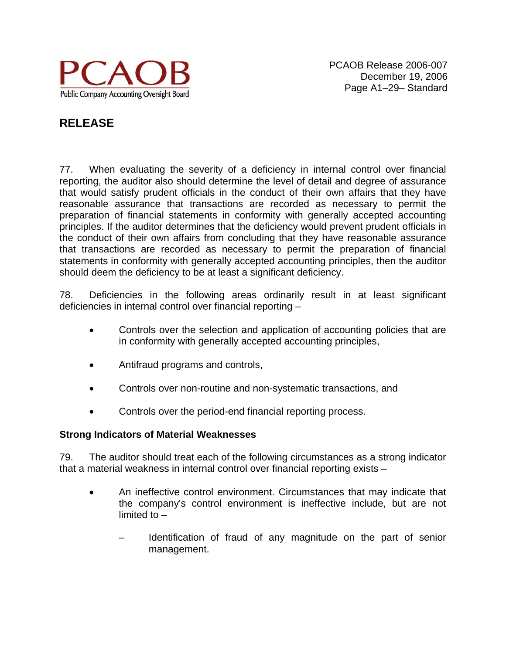

77. When evaluating the severity of a deficiency in internal control over financial reporting, the auditor also should determine the level of detail and degree of assurance that would satisfy prudent officials in the conduct of their own affairs that they have reasonable assurance that transactions are recorded as necessary to permit the preparation of financial statements in conformity with generally accepted accounting principles. If the auditor determines that the deficiency would prevent prudent officials in the conduct of their own affairs from concluding that they have reasonable assurance that transactions are recorded as necessary to permit the preparation of financial statements in conformity with generally accepted accounting principles, then the auditor should deem the deficiency to be at least a significant deficiency.

78. Deficiencies in the following areas ordinarily result in at least significant deficiencies in internal control over financial reporting –

- Controls over the selection and application of accounting policies that are in conformity with generally accepted accounting principles,
- Antifraud programs and controls,
- Controls over non-routine and non-systematic transactions, and
- Controls over the period-end financial reporting process.

#### **Strong Indicators of Material Weaknesses**

79. The auditor should treat each of the following circumstances as a strong indicator that a material weakness in internal control over financial reporting exists –

- An ineffective control environment. Circumstances that may indicate that the company's control environment is ineffective include, but are not limited to –
	- Identification of fraud of any magnitude on the part of senior management.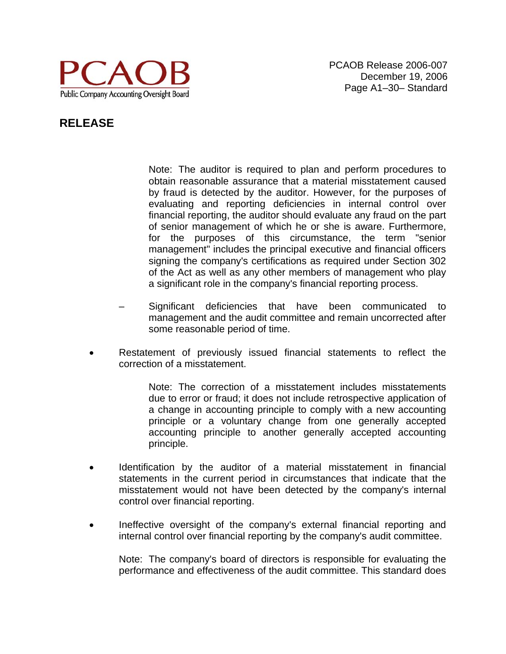

Note: The auditor is required to plan and perform procedures to obtain reasonable assurance that a material misstatement caused by fraud is detected by the auditor. However, for the purposes of evaluating and reporting deficiencies in internal control over financial reporting, the auditor should evaluate any fraud on the part of senior management of which he or she is aware. Furthermore, for the purposes of this circumstance, the term "senior management" includes the principal executive and financial officers signing the company's certifications as required under Section 302 of the Act as well as any other members of management who play a significant role in the company's financial reporting process.

- Significant deficiencies that have been communicated to management and the audit committee and remain uncorrected after some reasonable period of time.
- Restatement of previously issued financial statements to reflect the correction of a misstatement.

Note: The correction of a misstatement includes misstatements due to error or fraud; it does not include retrospective application of a change in accounting principle to comply with a new accounting principle or a voluntary change from one generally accepted accounting principle to another generally accepted accounting principle.

- Identification by the auditor of a material misstatement in financial statements in the current period in circumstances that indicate that the misstatement would not have been detected by the company's internal control over financial reporting.
- Ineffective oversight of the company's external financial reporting and internal control over financial reporting by the company's audit committee.

Note: The company's board of directors is responsible for evaluating the performance and effectiveness of the audit committee. This standard does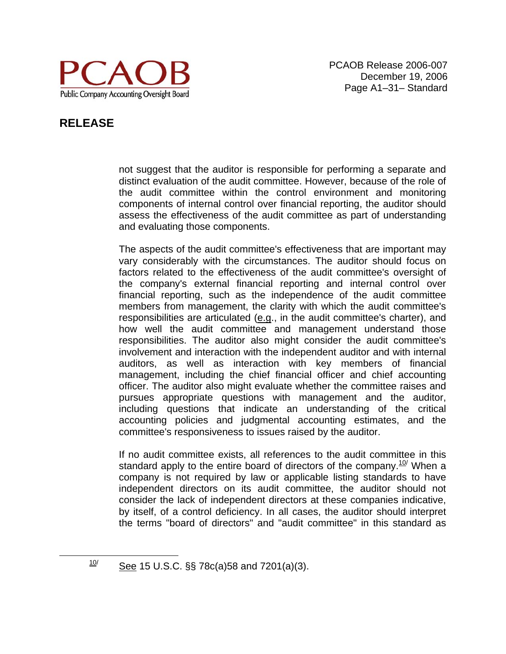

not suggest that the auditor is responsible for performing a separate and distinct evaluation of the audit committee. However, because of the role of the audit committee within the control environment and monitoring components of internal control over financial reporting, the auditor should assess the effectiveness of the audit committee as part of understanding and evaluating those components.

The aspects of the audit committee's effectiveness that are important may vary considerably with the circumstances. The auditor should focus on factors related to the effectiveness of the audit committee's oversight of the company's external financial reporting and internal control over financial reporting, such as the independence of the audit committee members from management, the clarity with which the audit committee's responsibilities are articulated (e.g., in the audit committee's charter), and how well the audit committee and management understand those responsibilities. The auditor also might consider the audit committee's involvement and interaction with the independent auditor and with internal auditors, as well as interaction with key members of financial management, including the chief financial officer and chief accounting officer. The auditor also might evaluate whether the committee raises and pursues appropriate questions with management and the auditor, including questions that indicate an understanding of the critical accounting policies and judgmental accounting estimates, and the committee's responsiveness to issues raised by the auditor.

If no audit committee exists, all references to the audit committee in this standard apply to the entire board of directors of the company. $^{10'}$  When a company is not required by law or applicable listing standards to have independent directors on its audit committee, the auditor should not consider the lack of independent directors at these companies indicative, by itself, of a control deficiency. In all cases, the auditor should interpret the terms "board of directors" and "audit committee" in this standard as

10/

See 15 U.S.C. §§ 78c(a)58 and 7201(a)(3).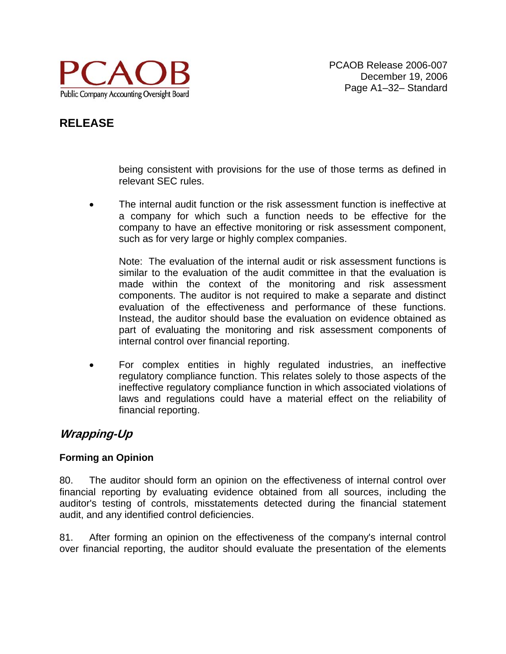

being consistent with provisions for the use of those terms as defined in relevant SEC rules.

• The internal audit function or the risk assessment function is ineffective at a company for which such a function needs to be effective for the company to have an effective monitoring or risk assessment component, such as for very large or highly complex companies.

Note: The evaluation of the internal audit or risk assessment functions is similar to the evaluation of the audit committee in that the evaluation is made within the context of the monitoring and risk assessment components. The auditor is not required to make a separate and distinct evaluation of the effectiveness and performance of these functions. Instead, the auditor should base the evaluation on evidence obtained as part of evaluating the monitoring and risk assessment components of internal control over financial reporting.

• For complex entities in highly regulated industries, an ineffective regulatory compliance function. This relates solely to those aspects of the ineffective regulatory compliance function in which associated violations of laws and regulations could have a material effect on the reliability of financial reporting.

#### **Wrapping-Up**

#### **Forming an Opinion**

80. The auditor should form an opinion on the effectiveness of internal control over financial reporting by evaluating evidence obtained from all sources, including the auditor's testing of controls, misstatements detected during the financial statement audit, and any identified control deficiencies.

81. After forming an opinion on the effectiveness of the company's internal control over financial reporting, the auditor should evaluate the presentation of the elements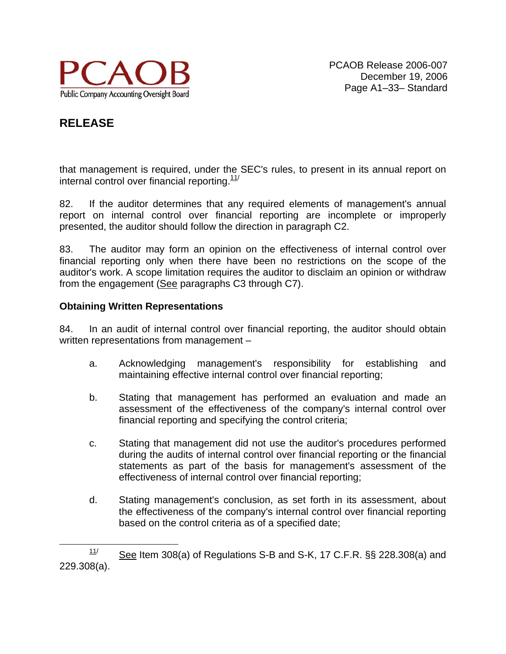

that management is required, under the SEC's rules, to present in its annual report on internal control over financial reporting. $11/$ 

82. If the auditor determines that any required elements of management's annual report on internal control over financial reporting are incomplete or improperly presented, the auditor should follow the direction in paragraph C2.

83. The auditor may form an opinion on the effectiveness of internal control over financial reporting only when there have been no restrictions on the scope of the auditor's work. A scope limitation requires the auditor to disclaim an opinion or withdraw from the engagement (See paragraphs C3 through C7).

#### **Obtaining Written Representations**

84. In an audit of internal control over financial reporting, the auditor should obtain written representations from management –

- a. Acknowledging management's responsibility for establishing and maintaining effective internal control over financial reporting;
- b. Stating that management has performed an evaluation and made an assessment of the effectiveness of the company's internal control over financial reporting and specifying the control criteria;
- c. Stating that management did not use the auditor's procedures performed during the audits of internal control over financial reporting or the financial statements as part of the basis for management's assessment of the effectiveness of internal control over financial reporting;
- d. Stating management's conclusion, as set forth in its assessment, about the effectiveness of the company's internal control over financial reporting based on the control criteria as of a specified date;

 <sup>11/</sup> See Item 308(a) of Regulations S-B and S-K, 17 C.F.R. §§ 228.308(a) and 229.308(a).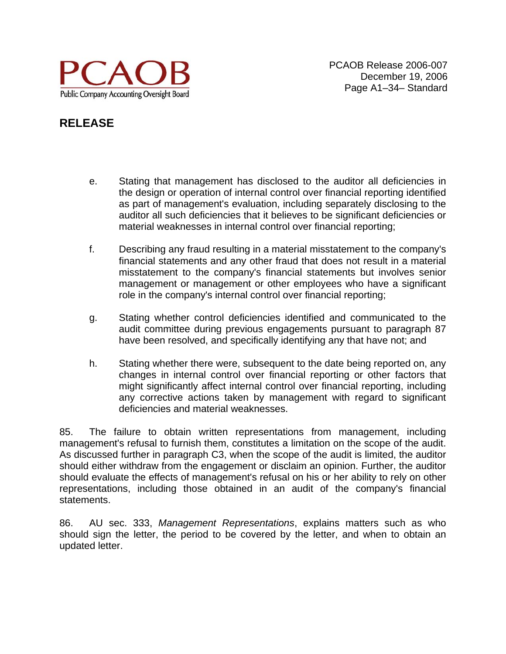

- e. Stating that management has disclosed to the auditor all deficiencies in the design or operation of internal control over financial reporting identified as part of management's evaluation, including separately disclosing to the auditor all such deficiencies that it believes to be significant deficiencies or material weaknesses in internal control over financial reporting;
- f. Describing any fraud resulting in a material misstatement to the company's financial statements and any other fraud that does not result in a material misstatement to the company's financial statements but involves senior management or management or other employees who have a significant role in the company's internal control over financial reporting;
- g. Stating whether control deficiencies identified and communicated to the audit committee during previous engagements pursuant to paragraph 87 have been resolved, and specifically identifying any that have not; and
- h. Stating whether there were, subsequent to the date being reported on, any changes in internal control over financial reporting or other factors that might significantly affect internal control over financial reporting, including any corrective actions taken by management with regard to significant deficiencies and material weaknesses.

85. The failure to obtain written representations from management, including management's refusal to furnish them, constitutes a limitation on the scope of the audit. As discussed further in paragraph C3, when the scope of the audit is limited, the auditor should either withdraw from the engagement or disclaim an opinion. Further, the auditor should evaluate the effects of management's refusal on his or her ability to rely on other representations, including those obtained in an audit of the company's financial statements.

86. AU sec. 333, *Management Representations*, explains matters such as who should sign the letter, the period to be covered by the letter, and when to obtain an updated letter.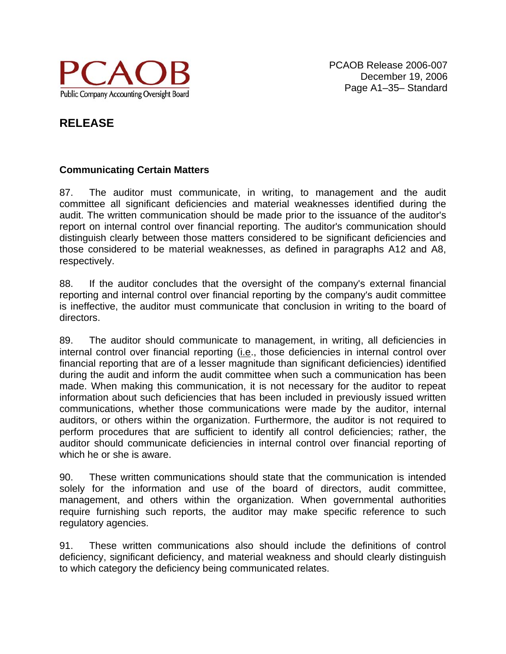

#### **Communicating Certain Matters**

87. The auditor must communicate, in writing, to management and the audit committee all significant deficiencies and material weaknesses identified during the audit. The written communication should be made prior to the issuance of the auditor's report on internal control over financial reporting. The auditor's communication should distinguish clearly between those matters considered to be significant deficiencies and those considered to be material weaknesses, as defined in paragraphs A12 and A8, respectively.

88. If the auditor concludes that the oversight of the company's external financial reporting and internal control over financial reporting by the company's audit committee is ineffective, the auditor must communicate that conclusion in writing to the board of directors.

89. The auditor should communicate to management, in writing, all deficiencies in internal control over financial reporting (i.e., those deficiencies in internal control over financial reporting that are of a lesser magnitude than significant deficiencies) identified during the audit and inform the audit committee when such a communication has been made. When making this communication, it is not necessary for the auditor to repeat information about such deficiencies that has been included in previously issued written communications, whether those communications were made by the auditor, internal auditors, or others within the organization. Furthermore, the auditor is not required to perform procedures that are sufficient to identify all control deficiencies; rather, the auditor should communicate deficiencies in internal control over financial reporting of which he or she is aware.

90. These written communications should state that the communication is intended solely for the information and use of the board of directors, audit committee, management, and others within the organization. When governmental authorities require furnishing such reports, the auditor may make specific reference to such regulatory agencies.

91. These written communications also should include the definitions of control deficiency, significant deficiency, and material weakness and should clearly distinguish to which category the deficiency being communicated relates.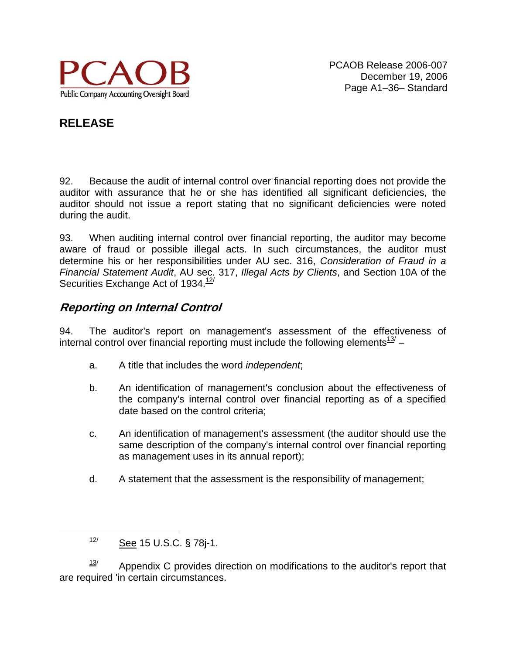

92. Because the audit of internal control over financial reporting does not provide the auditor with assurance that he or she has identified all significant deficiencies, the auditor should not issue a report stating that no significant deficiencies were noted during the audit.

93. When auditing internal control over financial reporting, the auditor may become aware of fraud or possible illegal acts. In such circumstances, the auditor must determine his or her responsibilities under AU sec. 316, *Consideration of Fraud in a Financial Statement Audit*, AU sec. 317, *Illegal Acts by Clients*, and Section 10A of the Securities Exchange Act of 1934.<sup>12/</sup>

### **Reporting on Internal Control**

94. The auditor's report on management's assessment of the effectiveness of internal control over financial reporting must include the following elements $\frac{13}{7}$  -

- a. A title that includes the word *independent*;
- b. An identification of management's conclusion about the effectiveness of the company's internal control over financial reporting as of a specified date based on the control criteria;
- c. An identification of management's assessment (the auditor should use the same description of the company's internal control over financial reporting as management uses in its annual report);
- d. A statement that the assessment is the responsibility of management;

13/ Appendix C provides direction on modifications to the auditor's report that are required 'in certain circumstances.

 <sup>12/</sup> See 15 U.S.C. § 78j-1.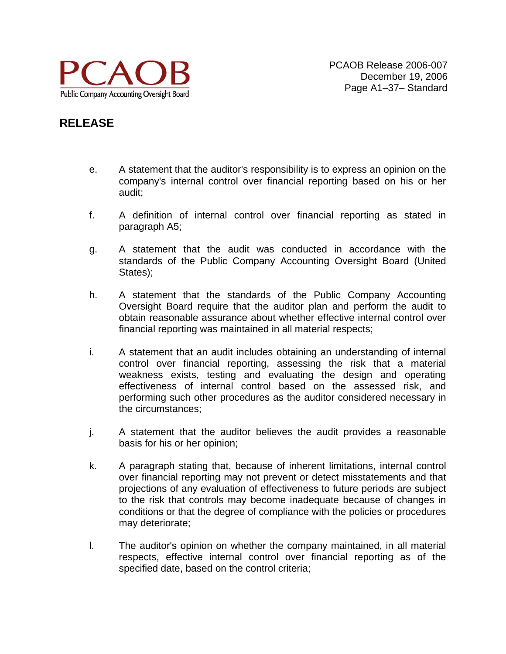

- e. A statement that the auditor's responsibility is to express an opinion on the company's internal control over financial reporting based on his or her audit;
- f. A definition of internal control over financial reporting as stated in paragraph A5;
- g. A statement that the audit was conducted in accordance with the standards of the Public Company Accounting Oversight Board (United States);
- h. A statement that the standards of the Public Company Accounting Oversight Board require that the auditor plan and perform the audit to obtain reasonable assurance about whether effective internal control over financial reporting was maintained in all material respects;
- i. A statement that an audit includes obtaining an understanding of internal control over financial reporting, assessing the risk that a material weakness exists, testing and evaluating the design and operating effectiveness of internal control based on the assessed risk, and performing such other procedures as the auditor considered necessary in the circumstances;
- j. A statement that the auditor believes the audit provides a reasonable basis for his or her opinion;
- k. A paragraph stating that, because of inherent limitations, internal control over financial reporting may not prevent or detect misstatements and that projections of any evaluation of effectiveness to future periods are subject to the risk that controls may become inadequate because of changes in conditions or that the degree of compliance with the policies or procedures may deteriorate;
- l. The auditor's opinion on whether the company maintained, in all material respects, effective internal control over financial reporting as of the specified date, based on the control criteria;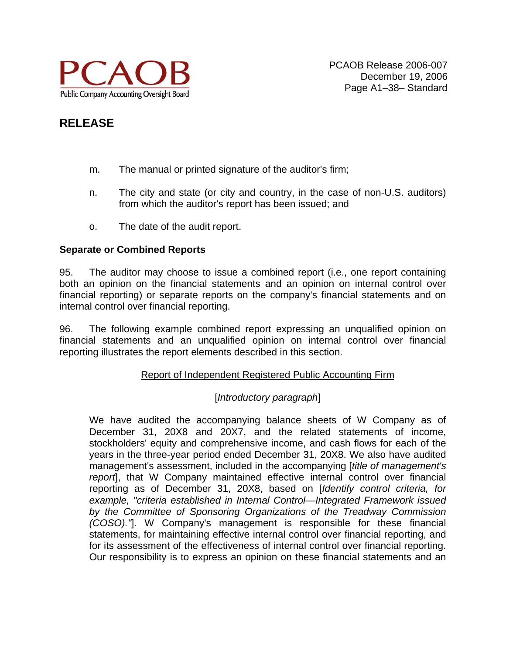

- m. The manual or printed signature of the auditor's firm;
- n. The city and state (or city and country, in the case of non-U.S. auditors) from which the auditor's report has been issued; and
- o. The date of the audit report.

#### **Separate or Combined Reports**

95. The auditor may choose to issue a combined report (i.e., one report containing both an opinion on the financial statements and an opinion on internal control over financial reporting) or separate reports on the company's financial statements and on internal control over financial reporting.

96. The following example combined report expressing an unqualified opinion on financial statements and an unqualified opinion on internal control over financial reporting illustrates the report elements described in this section.

#### Report of Independent Registered Public Accounting Firm

#### [*Introductory paragraph*]

We have audited the accompanying balance sheets of W Company as of December 31, 20X8 and 20X7, and the related statements of income, stockholders' equity and comprehensive income, and cash flows for each of the years in the three-year period ended December 31, 20X8. We also have audited management's assessment, included in the accompanying [*title of management's report*], that W Company maintained effective internal control over financial reporting as of December 31, 20X8, based on [*Identify control criteria, for example, "criteria established in Internal Control—Integrated Framework issued by the Committee of Sponsoring Organizations of the Treadway Commission (COSO)."*]. W Company's management is responsible for these financial statements, for maintaining effective internal control over financial reporting, and for its assessment of the effectiveness of internal control over financial reporting. Our responsibility is to express an opinion on these financial statements and an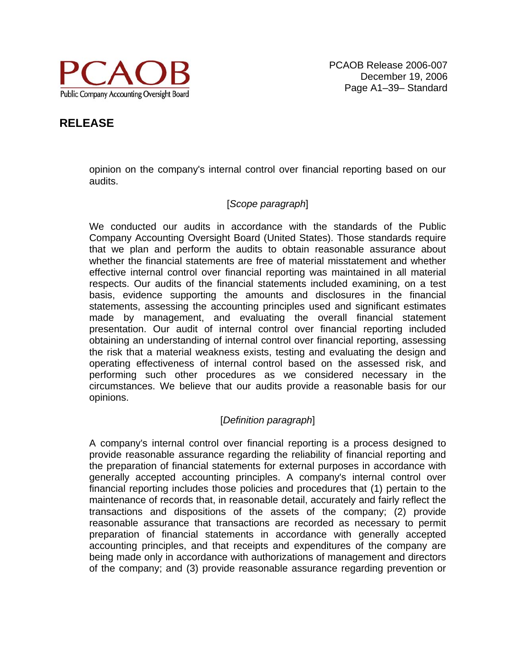

opinion on the company's internal control over financial reporting based on our audits.

#### [*Scope paragraph*]

We conducted our audits in accordance with the standards of the Public Company Accounting Oversight Board (United States). Those standards require that we plan and perform the audits to obtain reasonable assurance about whether the financial statements are free of material misstatement and whether effective internal control over financial reporting was maintained in all material respects. Our audits of the financial statements included examining, on a test basis, evidence supporting the amounts and disclosures in the financial statements, assessing the accounting principles used and significant estimates made by management, and evaluating the overall financial statement presentation. Our audit of internal control over financial reporting included obtaining an understanding of internal control over financial reporting, assessing the risk that a material weakness exists, testing and evaluating the design and operating effectiveness of internal control based on the assessed risk, and performing such other procedures as we considered necessary in the circumstances. We believe that our audits provide a reasonable basis for our opinions.

#### [*Definition paragraph*]

A company's internal control over financial reporting is a process designed to provide reasonable assurance regarding the reliability of financial reporting and the preparation of financial statements for external purposes in accordance with generally accepted accounting principles. A company's internal control over financial reporting includes those policies and procedures that (1) pertain to the maintenance of records that, in reasonable detail, accurately and fairly reflect the transactions and dispositions of the assets of the company; (2) provide reasonable assurance that transactions are recorded as necessary to permit preparation of financial statements in accordance with generally accepted accounting principles, and that receipts and expenditures of the company are being made only in accordance with authorizations of management and directors of the company; and (3) provide reasonable assurance regarding prevention or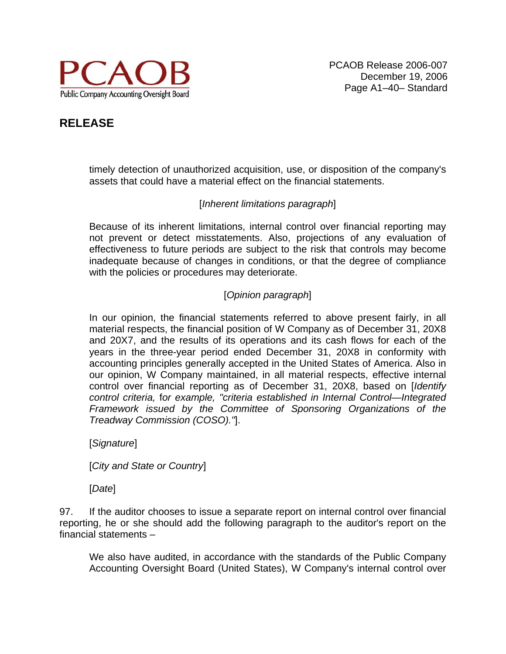

timely detection of unauthorized acquisition, use, or disposition of the company's assets that could have a material effect on the financial statements.

#### [*Inherent limitations paragraph*]

Because of its inherent limitations, internal control over financial reporting may not prevent or detect misstatements. Also, projections of any evaluation of effectiveness to future periods are subject to the risk that controls may become inadequate because of changes in conditions, or that the degree of compliance with the policies or procedures may deteriorate.

#### [*Opinion paragraph*]

In our opinion, the financial statements referred to above present fairly, in all material respects, the financial position of W Company as of December 31, 20X8 and 20X7, and the results of its operations and its cash flows for each of the years in the three-year period ended December 31, 20X8 in conformity with accounting principles generally accepted in the United States of America. Also in our opinion, W Company maintained, in all material respects, effective internal control over financial reporting as of December 31, 20X8, based on [*Identify control criteria,* f*or example, "criteria established in Internal Control—Integrated Framework issued by the Committee of Sponsoring Organizations of the Treadway Commission (COSO)."*].

[*Signature*]

[*City and State or Country*]

[*Date*]

97. If the auditor chooses to issue a separate report on internal control over financial reporting, he or she should add the following paragraph to the auditor's report on the financial statements –

We also have audited, in accordance with the standards of the Public Company Accounting Oversight Board (United States), W Company's internal control over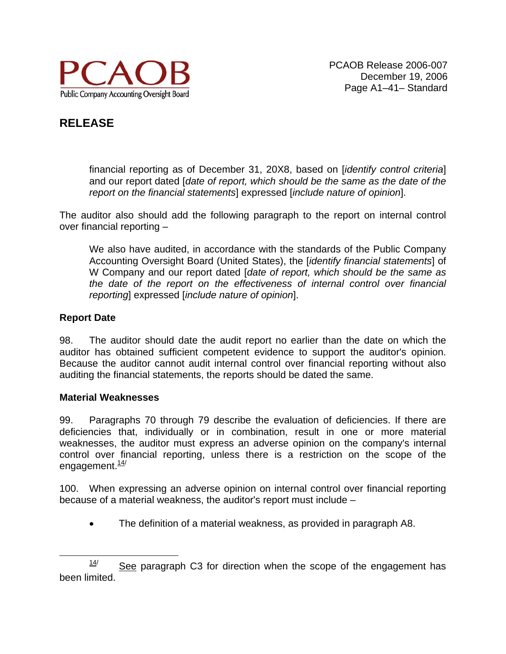

financial reporting as of December 31, 20X8, based on [*identify control criteria*] and our report dated [*date of report, which should be the same as the date of the report on the financial statements*] expressed [*include nature of opinion*].

The auditor also should add the following paragraph to the report on internal control over financial reporting –

We also have audited, in accordance with the standards of the Public Company Accounting Oversight Board (United States), the [*identify financial statements*] of W Company and our report dated [*date of report, which should be the same as the date of the report on the effectiveness of internal control over financial reporting*] expressed [*include nature of opinion*].

#### **Report Date**

98. The auditor should date the audit report no earlier than the date on which the auditor has obtained sufficient competent evidence to support the auditor's opinion. Because the auditor cannot audit internal control over financial reporting without also auditing the financial statements, the reports should be dated the same.

#### **Material Weaknesses**

99. Paragraphs 70 through 79 describe the evaluation of deficiencies. If there are deficiencies that, individually or in combination, result in one or more material weaknesses, the auditor must express an adverse opinion on the company's internal control over financial reporting, unless there is a restriction on the scope of the engagement.<sup>14/</sup>

100. When expressing an adverse opinion on internal control over financial reporting because of a material weakness, the auditor's report must include –

• The definition of a material weakness, as provided in paragraph A8.

 <sup>14/</sup> See paragraph C3 for direction when the scope of the engagement has been limited.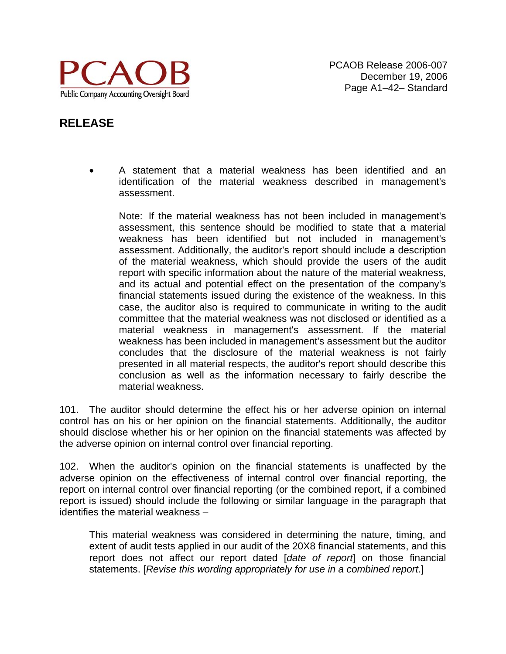

• A statement that a material weakness has been identified and an identification of the material weakness described in management's assessment.

Note: If the material weakness has not been included in management's assessment, this sentence should be modified to state that a material weakness has been identified but not included in management's assessment. Additionally, the auditor's report should include a description of the material weakness, which should provide the users of the audit report with specific information about the nature of the material weakness, and its actual and potential effect on the presentation of the company's financial statements issued during the existence of the weakness. In this case, the auditor also is required to communicate in writing to the audit committee that the material weakness was not disclosed or identified as a material weakness in management's assessment. If the material weakness has been included in management's assessment but the auditor concludes that the disclosure of the material weakness is not fairly presented in all material respects, the auditor's report should describe this conclusion as well as the information necessary to fairly describe the material weakness.

101. The auditor should determine the effect his or her adverse opinion on internal control has on his or her opinion on the financial statements. Additionally, the auditor should disclose whether his or her opinion on the financial statements was affected by the adverse opinion on internal control over financial reporting.

102. When the auditor's opinion on the financial statements is unaffected by the adverse opinion on the effectiveness of internal control over financial reporting, the report on internal control over financial reporting (or the combined report, if a combined report is issued) should include the following or similar language in the paragraph that identifies the material weakness –

This material weakness was considered in determining the nature, timing, and extent of audit tests applied in our audit of the 20X8 financial statements, and this report does not affect our report dated [*date of report*] on those financial statements. [*Revise this wording appropriately for use in a combined report*.]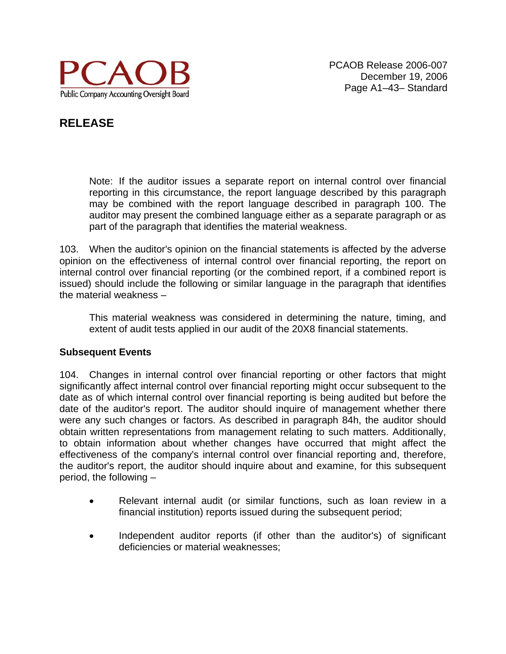

Note: If the auditor issues a separate report on internal control over financial reporting in this circumstance, the report language described by this paragraph may be combined with the report language described in paragraph 100. The auditor may present the combined language either as a separate paragraph or as part of the paragraph that identifies the material weakness.

103. When the auditor's opinion on the financial statements is affected by the adverse opinion on the effectiveness of internal control over financial reporting, the report on internal control over financial reporting (or the combined report, if a combined report is issued) should include the following or similar language in the paragraph that identifies the material weakness –

This material weakness was considered in determining the nature, timing, and extent of audit tests applied in our audit of the 20X8 financial statements.

#### **Subsequent Events**

104. Changes in internal control over financial reporting or other factors that might significantly affect internal control over financial reporting might occur subsequent to the date as of which internal control over financial reporting is being audited but before the date of the auditor's report. The auditor should inquire of management whether there were any such changes or factors. As described in paragraph 84h, the auditor should obtain written representations from management relating to such matters. Additionally, to obtain information about whether changes have occurred that might affect the effectiveness of the company's internal control over financial reporting and, therefore, the auditor's report, the auditor should inquire about and examine, for this subsequent period, the following –

- Relevant internal audit (or similar functions, such as loan review in a financial institution) reports issued during the subsequent period;
- Independent auditor reports (if other than the auditor's) of significant deficiencies or material weaknesses;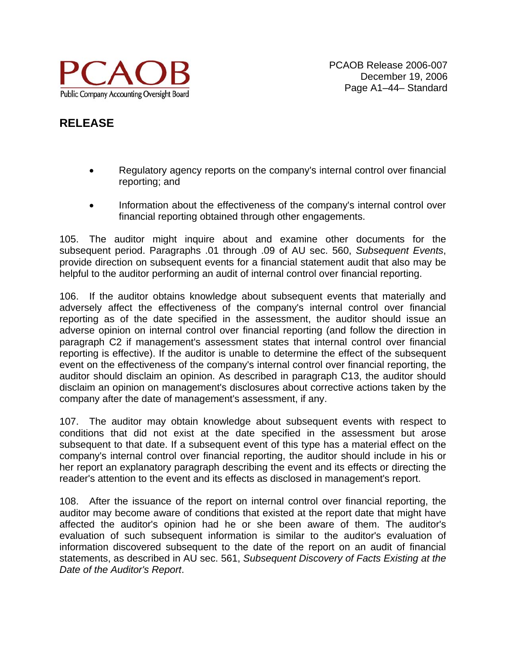

- Regulatory agency reports on the company's internal control over financial reporting; and
- Information about the effectiveness of the company's internal control over financial reporting obtained through other engagements.

105. The auditor might inquire about and examine other documents for the subsequent period. Paragraphs .01 through .09 of AU sec. 560, *Subsequent Events*, provide direction on subsequent events for a financial statement audit that also may be helpful to the auditor performing an audit of internal control over financial reporting.

106. If the auditor obtains knowledge about subsequent events that materially and adversely affect the effectiveness of the company's internal control over financial reporting as of the date specified in the assessment, the auditor should issue an adverse opinion on internal control over financial reporting (and follow the direction in paragraph C2 if management's assessment states that internal control over financial reporting is effective). If the auditor is unable to determine the effect of the subsequent event on the effectiveness of the company's internal control over financial reporting, the auditor should disclaim an opinion. As described in paragraph C13, the auditor should disclaim an opinion on management's disclosures about corrective actions taken by the company after the date of management's assessment, if any.

107. The auditor may obtain knowledge about subsequent events with respect to conditions that did not exist at the date specified in the assessment but arose subsequent to that date. If a subsequent event of this type has a material effect on the company's internal control over financial reporting, the auditor should include in his or her report an explanatory paragraph describing the event and its effects or directing the reader's attention to the event and its effects as disclosed in management's report.

108. After the issuance of the report on internal control over financial reporting, the auditor may become aware of conditions that existed at the report date that might have affected the auditor's opinion had he or she been aware of them. The auditor's evaluation of such subsequent information is similar to the auditor's evaluation of information discovered subsequent to the date of the report on an audit of financial statements, as described in AU sec. 561, *Subsequent Discovery of Facts Existing at the Date of the Auditor's Report*.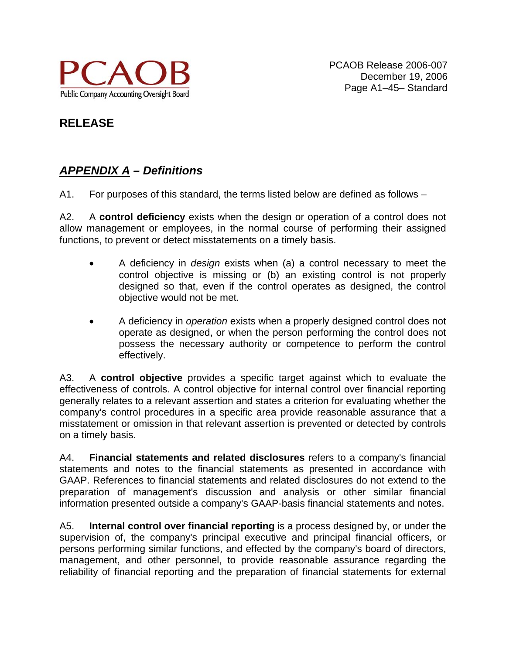

# *APPENDIX A – Definitions*

A1. For purposes of this standard, the terms listed below are defined as follows –

A2. A **control deficiency** exists when the design or operation of a control does not allow management or employees, in the normal course of performing their assigned functions, to prevent or detect misstatements on a timely basis.

- A deficiency in *design* exists when (a) a control necessary to meet the control objective is missing or (b) an existing control is not properly designed so that, even if the control operates as designed, the control objective would not be met.
- A deficiency in *operation* exists when a properly designed control does not operate as designed, or when the person performing the control does not possess the necessary authority or competence to perform the control effectively.

A3. A **control objective** provides a specific target against which to evaluate the effectiveness of controls. A control objective for internal control over financial reporting generally relates to a relevant assertion and states a criterion for evaluating whether the company's control procedures in a specific area provide reasonable assurance that a misstatement or omission in that relevant assertion is prevented or detected by controls on a timely basis.

A4. **Financial statements and related disclosures** refers to a company's financial statements and notes to the financial statements as presented in accordance with GAAP. References to financial statements and related disclosures do not extend to the preparation of management's discussion and analysis or other similar financial information presented outside a company's GAAP-basis financial statements and notes.

A5. **Internal control over financial reporting** is a process designed by, or under the supervision of, the company's principal executive and principal financial officers, or persons performing similar functions, and effected by the company's board of directors, management, and other personnel, to provide reasonable assurance regarding the reliability of financial reporting and the preparation of financial statements for external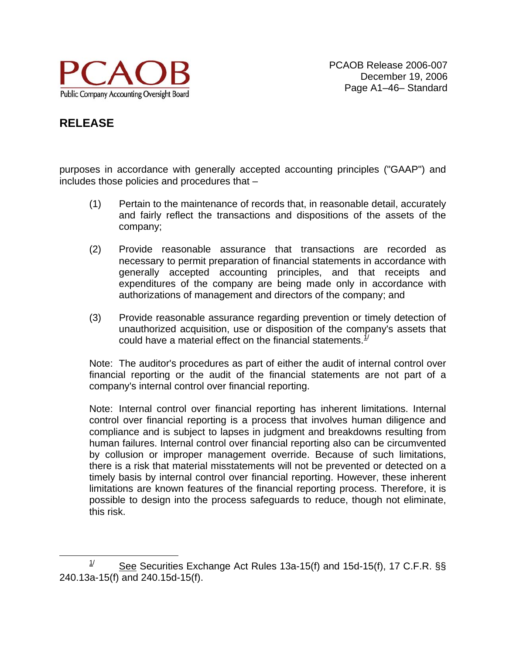

purposes in accordance with generally accepted accounting principles ("GAAP") and includes those policies and procedures that –

- (1) Pertain to the maintenance of records that, in reasonable detail, accurately and fairly reflect the transactions and dispositions of the assets of the company;
- (2) Provide reasonable assurance that transactions are recorded as necessary to permit preparation of financial statements in accordance with generally accepted accounting principles, and that receipts and expenditures of the company are being made only in accordance with authorizations of management and directors of the company; and
- (3) Provide reasonable assurance regarding prevention or timely detection of unauthorized acquisition, use or disposition of the company's assets that could have a material effect on the financial statements.  $1/2$

Note: The auditor's procedures as part of either the audit of internal control over financial reporting or the audit of the financial statements are not part of a company's internal control over financial reporting.

Note: Internal control over financial reporting has inherent limitations. Internal control over financial reporting is a process that involves human diligence and compliance and is subject to lapses in judgment and breakdowns resulting from human failures. Internal control over financial reporting also can be circumvented by collusion or improper management override. Because of such limitations, there is a risk that material misstatements will not be prevented or detected on a timely basis by internal control over financial reporting. However, these inherent limitations are known features of the financial reporting process. Therefore, it is possible to design into the process safeguards to reduce, though not eliminate, this risk.

 $\frac{1}{2}$  $\frac{1}{1}$  See Securities Exchange Act Rules 13a-15(f) and 15d-15(f), 17 C.F.R. §§ 240.13a-15(f) and 240.15d-15(f).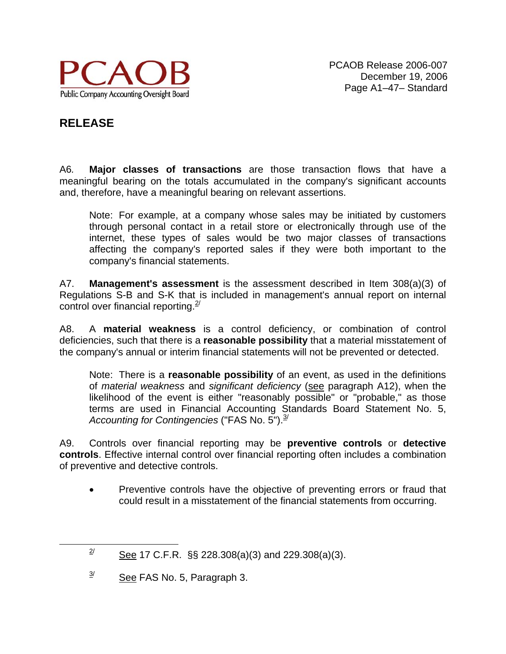

A6*.* **Major classes of transactions** are those transaction flows that have a meaningful bearing on the totals accumulated in the company's significant accounts and, therefore, have a meaningful bearing on relevant assertions.

Note: For example, at a company whose sales may be initiated by customers through personal contact in a retail store or electronically through use of the internet, these types of sales would be two major classes of transactions affecting the company's reported sales if they were both important to the company's financial statements.

A7. **Management's assessment** is the assessment described in Item 308(a)(3) of Regulations S-B and S-K that is included in management's annual report on internal control over financial reporting. $2/$ 

A8. A **material weakness** is a control deficiency, or combination of control deficiencies, such that there is a **reasonable possibility** that a material misstatement of the company's annual or interim financial statements will not be prevented or detected.

Note: There is a **reasonable possibility** of an event, as used in the definitions of *material weakness* and *significant deficiency* (see paragraph A12), when the likelihood of the event is either "reasonably possible" or "probable," as those terms are used in Financial Accounting Standards Board Statement No. 5, Accounting for Contingencies ("FAS No. 5").<sup>3/</sup>

A9. Controls over financial reporting may be **preventive controls** or **detective controls**. Effective internal control over financial reporting often includes a combination of preventive and detective controls.

• Preventive controls have the objective of preventing errors or fraud that could result in a misstatement of the financial statements from occurring.

 $\frac{2}{2}$  $\frac{2}{1}$  See 17 C.F.R. §§ 228.308(a)(3) and 229.308(a)(3).

<sup>3/</sup> See FAS No. 5, Paragraph 3.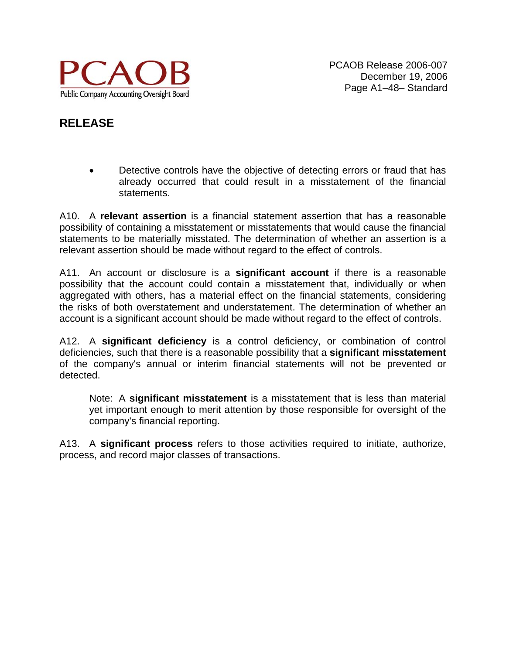

• Detective controls have the objective of detecting errors or fraud that has already occurred that could result in a misstatement of the financial statements.

A10. A **relevant assertion** is a financial statement assertion that has a reasonable possibility of containing a misstatement or misstatements that would cause the financial statements to be materially misstated. The determination of whether an assertion is a relevant assertion should be made without regard to the effect of controls.

A11. An account or disclosure is a **significant account** if there is a reasonable possibility that the account could contain a misstatement that, individually or when aggregated with others, has a material effect on the financial statements, considering the risks of both overstatement and understatement. The determination of whether an account is a significant account should be made without regard to the effect of controls.

A12. A **significant deficiency** is a control deficiency, or combination of control deficiencies, such that there is a reasonable possibility that a **significant misstatement** of the company's annual or interim financial statements will not be prevented or detected.

Note: A **significant misstatement** is a misstatement that is less than material yet important enough to merit attention by those responsible for oversight of the company's financial reporting.

A13. A **significant process** refers to those activities required to initiate, authorize, process, and record major classes of transactions.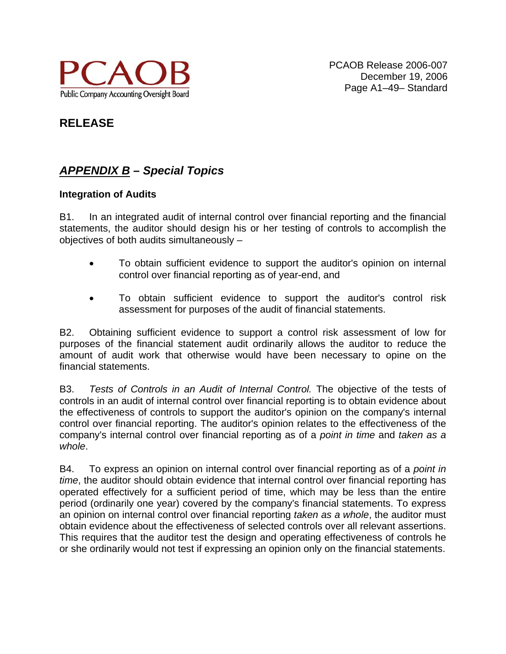

# *APPENDIX B – Special Topics*

#### **Integration of Audits**

B1. In an integrated audit of internal control over financial reporting and the financial statements, the auditor should design his or her testing of controls to accomplish the objectives of both audits simultaneously –

- To obtain sufficient evidence to support the auditor's opinion on internal control over financial reporting as of year-end, and
- To obtain sufficient evidence to support the auditor's control risk assessment for purposes of the audit of financial statements.

B2. Obtaining sufficient evidence to support a control risk assessment of low for purposes of the financial statement audit ordinarily allows the auditor to reduce the amount of audit work that otherwise would have been necessary to opine on the financial statements.

B3. *Tests of Controls in an Audit of Internal Control.* The objective of the tests of controls in an audit of internal control over financial reporting is to obtain evidence about the effectiveness of controls to support the auditor's opinion on the company's internal control over financial reporting. The auditor's opinion relates to the effectiveness of the company's internal control over financial reporting as of a *point in time* and *taken as a whole*.

B4. To express an opinion on internal control over financial reporting as of a *point in time*, the auditor should obtain evidence that internal control over financial reporting has operated effectively for a sufficient period of time, which may be less than the entire period (ordinarily one year) covered by the company's financial statements. To express an opinion on internal control over financial reporting *taken as a whole*, the auditor must obtain evidence about the effectiveness of selected controls over all relevant assertions. This requires that the auditor test the design and operating effectiveness of controls he or she ordinarily would not test if expressing an opinion only on the financial statements.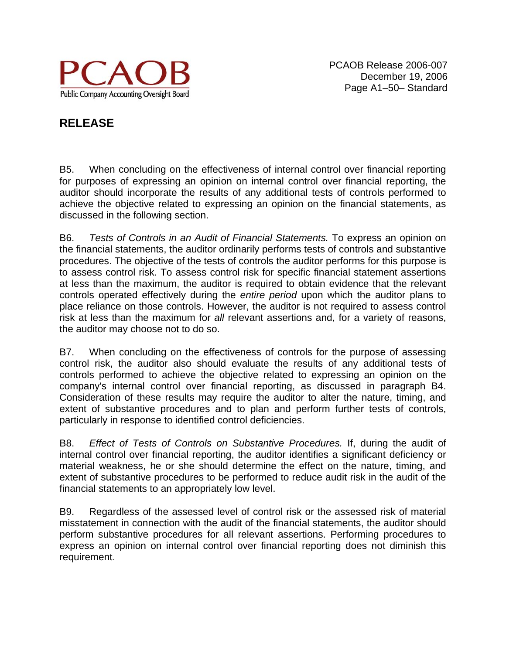

B5. When concluding on the effectiveness of internal control over financial reporting for purposes of expressing an opinion on internal control over financial reporting, the auditor should incorporate the results of any additional tests of controls performed to achieve the objective related to expressing an opinion on the financial statements, as discussed in the following section.

B6. *Tests of Controls in an Audit of Financial Statements.* To express an opinion on the financial statements, the auditor ordinarily performs tests of controls and substantive procedures. The objective of the tests of controls the auditor performs for this purpose is to assess control risk. To assess control risk for specific financial statement assertions at less than the maximum, the auditor is required to obtain evidence that the relevant controls operated effectively during the *entire period* upon which the auditor plans to place reliance on those controls. However, the auditor is not required to assess control risk at less than the maximum for *all* relevant assertions and, for a variety of reasons, the auditor may choose not to do so.

B7. When concluding on the effectiveness of controls for the purpose of assessing control risk, the auditor also should evaluate the results of any additional tests of controls performed to achieve the objective related to expressing an opinion on the company's internal control over financial reporting, as discussed in paragraph B4. Consideration of these results may require the auditor to alter the nature, timing, and extent of substantive procedures and to plan and perform further tests of controls, particularly in response to identified control deficiencies.

B8. *Effect of Tests of Controls on Substantive Procedures.* If, during the audit of internal control over financial reporting, the auditor identifies a significant deficiency or material weakness, he or she should determine the effect on the nature, timing, and extent of substantive procedures to be performed to reduce audit risk in the audit of the financial statements to an appropriately low level.

B9. Regardless of the assessed level of control risk or the assessed risk of material misstatement in connection with the audit of the financial statements, the auditor should perform substantive procedures for all relevant assertions. Performing procedures to express an opinion on internal control over financial reporting does not diminish this requirement.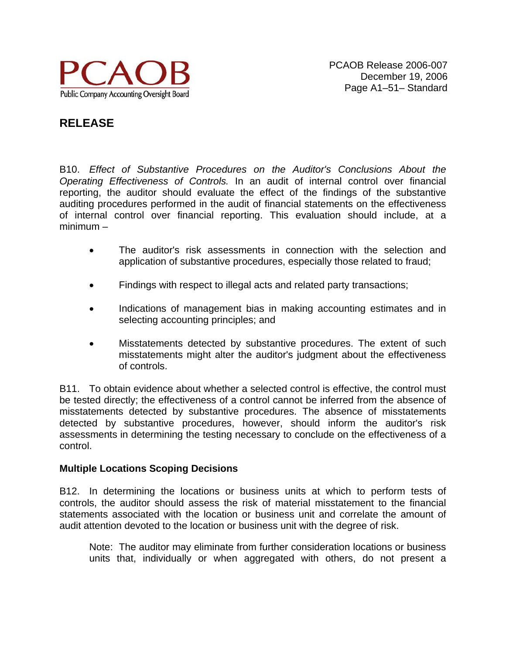

B10. *Effect of Substantive Procedures on the Auditor's Conclusions About the Operating Effectiveness of Controls.* In an audit of internal control over financial reporting, the auditor should evaluate the effect of the findings of the substantive auditing procedures performed in the audit of financial statements on the effectiveness of internal control over financial reporting. This evaluation should include, at a minimum –

- The auditor's risk assessments in connection with the selection and application of substantive procedures, especially those related to fraud;
- Findings with respect to illegal acts and related party transactions;
- Indications of management bias in making accounting estimates and in selecting accounting principles; and
- Misstatements detected by substantive procedures. The extent of such misstatements might alter the auditor's judgment about the effectiveness of controls.

B11. To obtain evidence about whether a selected control is effective, the control must be tested directly; the effectiveness of a control cannot be inferred from the absence of misstatements detected by substantive procedures. The absence of misstatements detected by substantive procedures, however, should inform the auditor's risk assessments in determining the testing necessary to conclude on the effectiveness of a control.

#### **Multiple Locations Scoping Decisions**

B12. In determining the locations or business units at which to perform tests of controls, the auditor should assess the risk of material misstatement to the financial statements associated with the location or business unit and correlate the amount of audit attention devoted to the location or business unit with the degree of risk.

Note: The auditor may eliminate from further consideration locations or business units that, individually or when aggregated with others, do not present a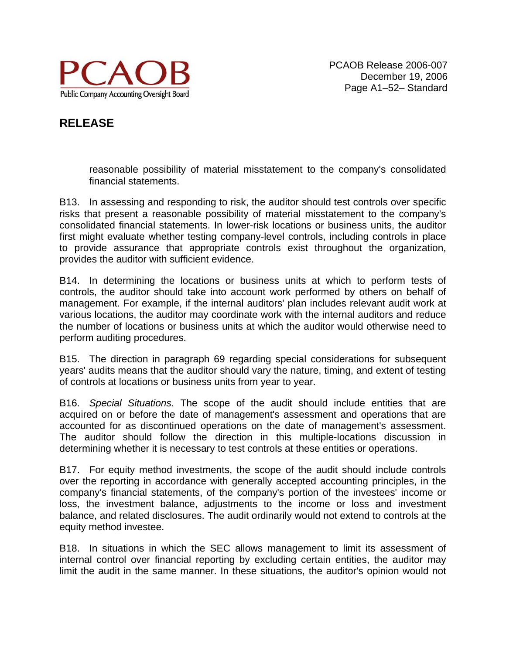

reasonable possibility of material misstatement to the company's consolidated financial statements.

B13. In assessing and responding to risk, the auditor should test controls over specific risks that present a reasonable possibility of material misstatement to the company's consolidated financial statements. In lower-risk locations or business units, the auditor first might evaluate whether testing company-level controls, including controls in place to provide assurance that appropriate controls exist throughout the organization, provides the auditor with sufficient evidence.

B14. In determining the locations or business units at which to perform tests of controls, the auditor should take into account work performed by others on behalf of management. For example, if the internal auditors' plan includes relevant audit work at various locations, the auditor may coordinate work with the internal auditors and reduce the number of locations or business units at which the auditor would otherwise need to perform auditing procedures.

B15. The direction in paragraph 69 regarding special considerations for subsequent years' audits means that the auditor should vary the nature, timing, and extent of testing of controls at locations or business units from year to year.

B16. *Special Situations.* The scope of the audit should include entities that are acquired on or before the date of management's assessment and operations that are accounted for as discontinued operations on the date of management's assessment. The auditor should follow the direction in this multiple-locations discussion in determining whether it is necessary to test controls at these entities or operations.

B17. For equity method investments, the scope of the audit should include controls over the reporting in accordance with generally accepted accounting principles, in the company's financial statements, of the company's portion of the investees' income or loss, the investment balance, adjustments to the income or loss and investment balance, and related disclosures. The audit ordinarily would not extend to controls at the equity method investee.

B18. In situations in which the SEC allows management to limit its assessment of internal control over financial reporting by excluding certain entities, the auditor may limit the audit in the same manner. In these situations, the auditor's opinion would not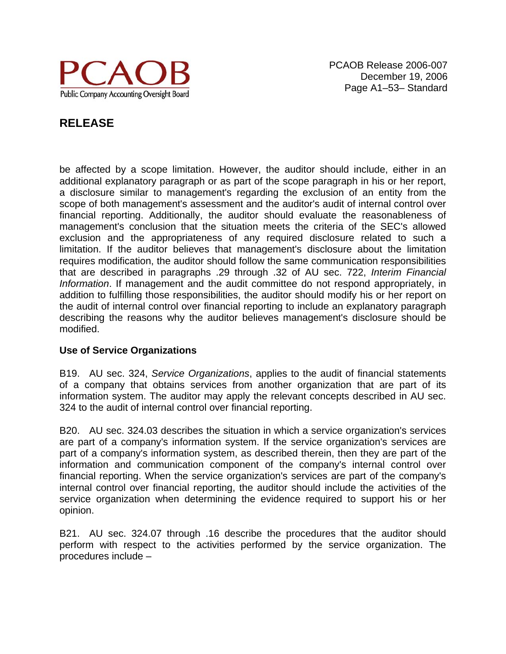

PCAOB Release 2006-007 December 19, 2006 Page A1–53– Standard

### **RELEASE**

be affected by a scope limitation. However, the auditor should include, either in an additional explanatory paragraph or as part of the scope paragraph in his or her report, a disclosure similar to management's regarding the exclusion of an entity from the scope of both management's assessment and the auditor's audit of internal control over financial reporting. Additionally, the auditor should evaluate the reasonableness of management's conclusion that the situation meets the criteria of the SEC's allowed exclusion and the appropriateness of any required disclosure related to such a limitation. If the auditor believes that management's disclosure about the limitation requires modification, the auditor should follow the same communication responsibilities that are described in paragraphs .29 through .32 of AU sec. 722, *Interim Financial Information*. If management and the audit committee do not respond appropriately, in addition to fulfilling those responsibilities, the auditor should modify his or her report on the audit of internal control over financial reporting to include an explanatory paragraph describing the reasons why the auditor believes management's disclosure should be modified.

#### **Use of Service Organizations**

B19. AU sec. 324, *Service Organizations*, applies to the audit of financial statements of a company that obtains services from another organization that are part of its information system. The auditor may apply the relevant concepts described in AU sec. 324 to the audit of internal control over financial reporting.

B20. AU sec. 324.03 describes the situation in which a service organization's services are part of a company's information system. If the service organization's services are part of a company's information system, as described therein, then they are part of the information and communication component of the company's internal control over financial reporting. When the service organization's services are part of the company's internal control over financial reporting, the auditor should include the activities of the service organization when determining the evidence required to support his or her opinion.

B21. AU sec. 324.07 through .16 describe the procedures that the auditor should perform with respect to the activities performed by the service organization. The procedures include –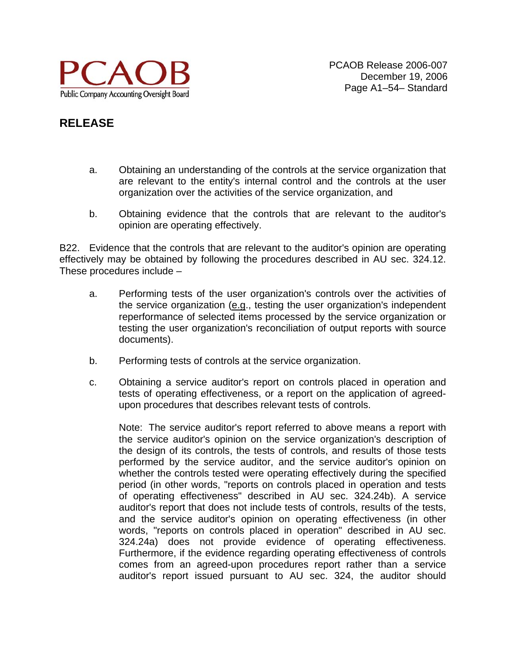

- a. Obtaining an understanding of the controls at the service organization that are relevant to the entity's internal control and the controls at the user organization over the activities of the service organization, and
- b. Obtaining evidence that the controls that are relevant to the auditor's opinion are operating effectively.

B22. Evidence that the controls that are relevant to the auditor's opinion are operating effectively may be obtained by following the procedures described in AU sec. 324.12. These procedures include –

- a. Performing tests of the user organization's controls over the activities of the service organization (e.g., testing the user organization's independent reperformance of selected items processed by the service organization or testing the user organization's reconciliation of output reports with source documents).
- b. Performing tests of controls at the service organization.
- c. Obtaining a service auditor's report on controls placed in operation and tests of operating effectiveness, or a report on the application of agreedupon procedures that describes relevant tests of controls.

Note: The service auditor's report referred to above means a report with the service auditor's opinion on the service organization's description of the design of its controls, the tests of controls, and results of those tests performed by the service auditor, and the service auditor's opinion on whether the controls tested were operating effectively during the specified period (in other words, "reports on controls placed in operation and tests of operating effectiveness" described in AU sec. 324.24b). A service auditor's report that does not include tests of controls, results of the tests, and the service auditor's opinion on operating effectiveness (in other words, "reports on controls placed in operation" described in AU sec. 324.24a) does not provide evidence of operating effectiveness. Furthermore, if the evidence regarding operating effectiveness of controls comes from an agreed-upon procedures report rather than a service auditor's report issued pursuant to AU sec. 324, the auditor should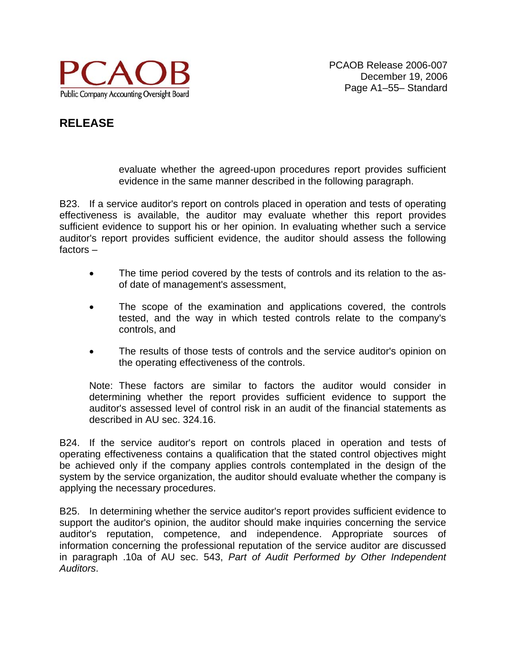

evaluate whether the agreed-upon procedures report provides sufficient evidence in the same manner described in the following paragraph.

B23. If a service auditor's report on controls placed in operation and tests of operating effectiveness is available, the auditor may evaluate whether this report provides sufficient evidence to support his or her opinion. In evaluating whether such a service auditor's report provides sufficient evidence, the auditor should assess the following factors –

- The time period covered by the tests of controls and its relation to the asof date of management's assessment,
- The scope of the examination and applications covered, the controls tested, and the way in which tested controls relate to the company's controls, and
- The results of those tests of controls and the service auditor's opinion on the operating effectiveness of the controls.

Note: These factors are similar to factors the auditor would consider in determining whether the report provides sufficient evidence to support the auditor's assessed level of control risk in an audit of the financial statements as described in AU sec. 324.16.

B24. If the service auditor's report on controls placed in operation and tests of operating effectiveness contains a qualification that the stated control objectives might be achieved only if the company applies controls contemplated in the design of the system by the service organization, the auditor should evaluate whether the company is applying the necessary procedures.

B25. In determining whether the service auditor's report provides sufficient evidence to support the auditor's opinion, the auditor should make inquiries concerning the service auditor's reputation, competence, and independence. Appropriate sources of information concerning the professional reputation of the service auditor are discussed in paragraph .10a of AU sec. 543, *Part of Audit Performed by Other Independent Auditors*.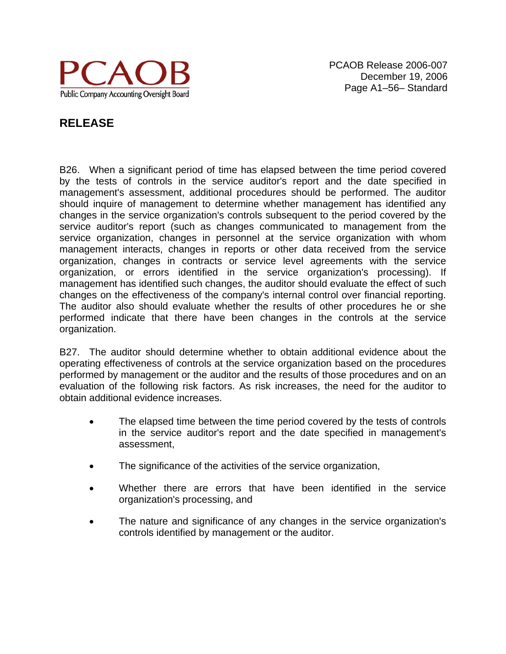

B26. When a significant period of time has elapsed between the time period covered by the tests of controls in the service auditor's report and the date specified in management's assessment, additional procedures should be performed. The auditor should inquire of management to determine whether management has identified any changes in the service organization's controls subsequent to the period covered by the service auditor's report (such as changes communicated to management from the service organization, changes in personnel at the service organization with whom management interacts, changes in reports or other data received from the service organization, changes in contracts or service level agreements with the service organization, or errors identified in the service organization's processing). If management has identified such changes, the auditor should evaluate the effect of such changes on the effectiveness of the company's internal control over financial reporting. The auditor also should evaluate whether the results of other procedures he or she performed indicate that there have been changes in the controls at the service organization.

B27. The auditor should determine whether to obtain additional evidence about the operating effectiveness of controls at the service organization based on the procedures performed by management or the auditor and the results of those procedures and on an evaluation of the following risk factors. As risk increases, the need for the auditor to obtain additional evidence increases.

- The elapsed time between the time period covered by the tests of controls in the service auditor's report and the date specified in management's assessment,
- The significance of the activities of the service organization,
- Whether there are errors that have been identified in the service organization's processing, and
- The nature and significance of any changes in the service organization's controls identified by management or the auditor.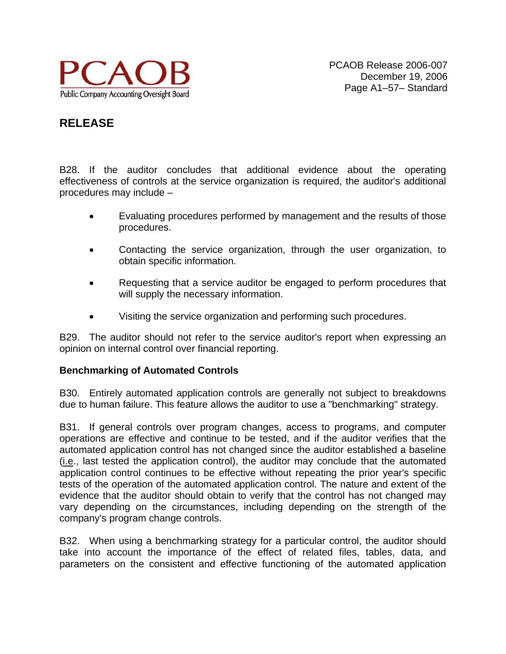

B28. If the auditor concludes that additional evidence about the operating effectiveness of controls at the service organization is required, the auditor's additional procedures may include –

- Evaluating procedures performed by management and the results of those procedures.
- Contacting the service organization, through the user organization, to obtain specific information.
- Requesting that a service auditor be engaged to perform procedures that will supply the necessary information.
- Visiting the service organization and performing such procedures.

B29. The auditor should not refer to the service auditor's report when expressing an opinion on internal control over financial reporting.

#### **Benchmarking of Automated Controls**

B30. Entirely automated application controls are generally not subject to breakdowns due to human failure. This feature allows the auditor to use a "benchmarking" strategy.

B31. If general controls over program changes, access to programs, and computer operations are effective and continue to be tested, and if the auditor verifies that the automated application control has not changed since the auditor established a baseline (i.e., last tested the application control), the auditor may conclude that the automated application control continues to be effective without repeating the prior year's specific tests of the operation of the automated application control. The nature and extent of the evidence that the auditor should obtain to verify that the control has not changed may vary depending on the circumstances, including depending on the strength of the company's program change controls.

B32. When using a benchmarking strategy for a particular control, the auditor should take into account the importance of the effect of related files, tables, data, and parameters on the consistent and effective functioning of the automated application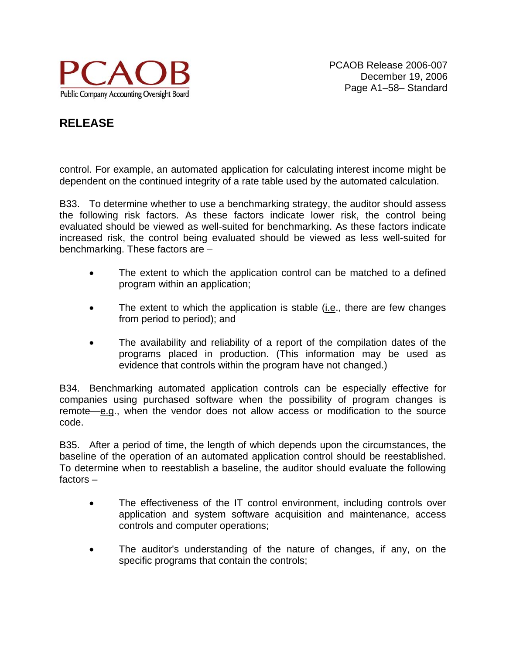

control. For example, an automated application for calculating interest income might be dependent on the continued integrity of a rate table used by the automated calculation.

B33. To determine whether to use a benchmarking strategy, the auditor should assess the following risk factors. As these factors indicate lower risk, the control being evaluated should be viewed as well-suited for benchmarking. As these factors indicate increased risk, the control being evaluated should be viewed as less well-suited for benchmarking. These factors are –

- The extent to which the application control can be matched to a defined program within an application;
- The extent to which the application is stable (i.e., there are few changes from period to period); and
- The availability and reliability of a report of the compilation dates of the programs placed in production. (This information may be used as evidence that controls within the program have not changed.)

B34. Benchmarking automated application controls can be especially effective for companies using purchased software when the possibility of program changes is remote—e.g., when the vendor does not allow access or modification to the source code.

B35. After a period of time, the length of which depends upon the circumstances, the baseline of the operation of an automated application control should be reestablished. To determine when to reestablish a baseline, the auditor should evaluate the following factors –

- The effectiveness of the IT control environment, including controls over application and system software acquisition and maintenance, access controls and computer operations;
- The auditor's understanding of the nature of changes, if any, on the specific programs that contain the controls;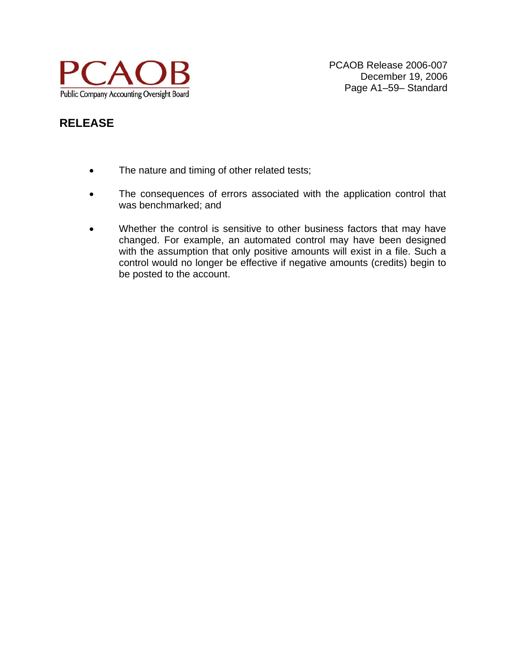

- The nature and timing of other related tests;
- The consequences of errors associated with the application control that was benchmarked; and
- Whether the control is sensitive to other business factors that may have changed. For example, an automated control may have been designed with the assumption that only positive amounts will exist in a file. Such a control would no longer be effective if negative amounts (credits) begin to be posted to the account.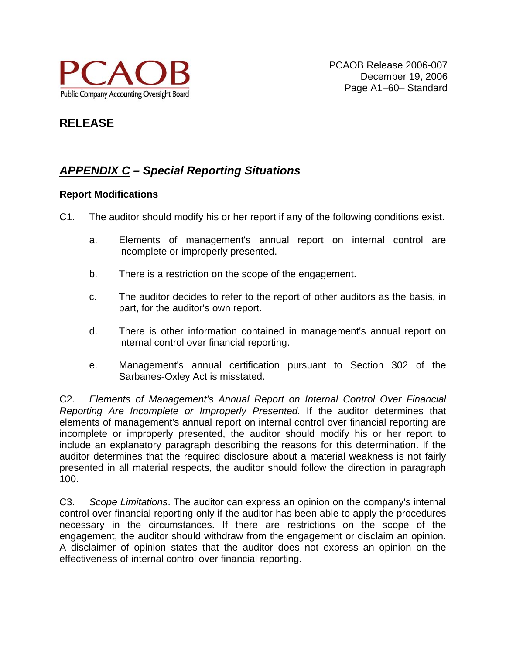

# *APPENDIX C – Special Reporting Situations*

#### **Report Modifications**

- C1. The auditor should modify his or her report if any of the following conditions exist.
	- a. Elements of management's annual report on internal control are incomplete or improperly presented.
	- b. There is a restriction on the scope of the engagement.
	- c. The auditor decides to refer to the report of other auditors as the basis, in part, for the auditor's own report.
	- d. There is other information contained in management's annual report on internal control over financial reporting.
	- e. Management's annual certification pursuant to Section 302 of the Sarbanes-Oxley Act is misstated.

C2. *Elements of Management's Annual Report on Internal Control Over Financial Reporting Are Incomplete or Improperly Presented.* If the auditor determines that elements of management's annual report on internal control over financial reporting are incomplete or improperly presented, the auditor should modify his or her report to include an explanatory paragraph describing the reasons for this determination. If the auditor determines that the required disclosure about a material weakness is not fairly presented in all material respects, the auditor should follow the direction in paragraph 100.

C3. *Scope Limitations*. The auditor can express an opinion on the company's internal control over financial reporting only if the auditor has been able to apply the procedures necessary in the circumstances. If there are restrictions on the scope of the engagement, the auditor should withdraw from the engagement or disclaim an opinion. A disclaimer of opinion states that the auditor does not express an opinion on the effectiveness of internal control over financial reporting.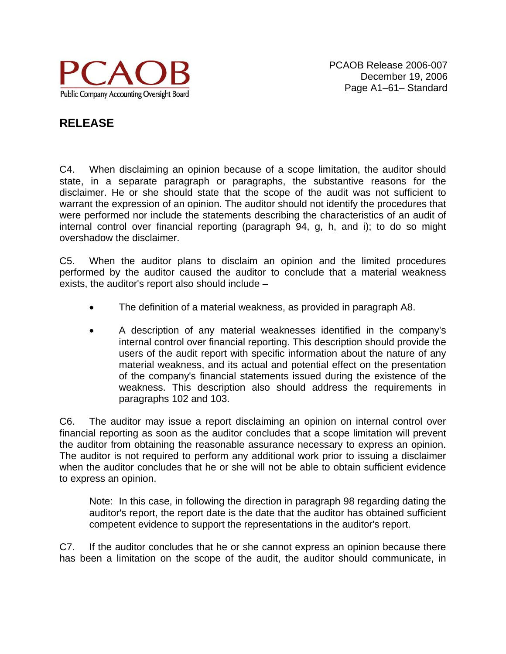

C4. When disclaiming an opinion because of a scope limitation, the auditor should state, in a separate paragraph or paragraphs, the substantive reasons for the disclaimer. He or she should state that the scope of the audit was not sufficient to warrant the expression of an opinion. The auditor should not identify the procedures that were performed nor include the statements describing the characteristics of an audit of internal control over financial reporting (paragraph 94, g, h, and i); to do so might overshadow the disclaimer.

C5. When the auditor plans to disclaim an opinion and the limited procedures performed by the auditor caused the auditor to conclude that a material weakness exists, the auditor's report also should include –

- The definition of a material weakness, as provided in paragraph A8.
- A description of any material weaknesses identified in the company's internal control over financial reporting. This description should provide the users of the audit report with specific information about the nature of any material weakness, and its actual and potential effect on the presentation of the company's financial statements issued during the existence of the weakness. This description also should address the requirements in paragraphs 102 and 103.

C6. The auditor may issue a report disclaiming an opinion on internal control over financial reporting as soon as the auditor concludes that a scope limitation will prevent the auditor from obtaining the reasonable assurance necessary to express an opinion. The auditor is not required to perform any additional work prior to issuing a disclaimer when the auditor concludes that he or she will not be able to obtain sufficient evidence to express an opinion.

Note: In this case, in following the direction in paragraph 98 regarding dating the auditor's report, the report date is the date that the auditor has obtained sufficient competent evidence to support the representations in the auditor's report.

C7. If the auditor concludes that he or she cannot express an opinion because there has been a limitation on the scope of the audit, the auditor should communicate, in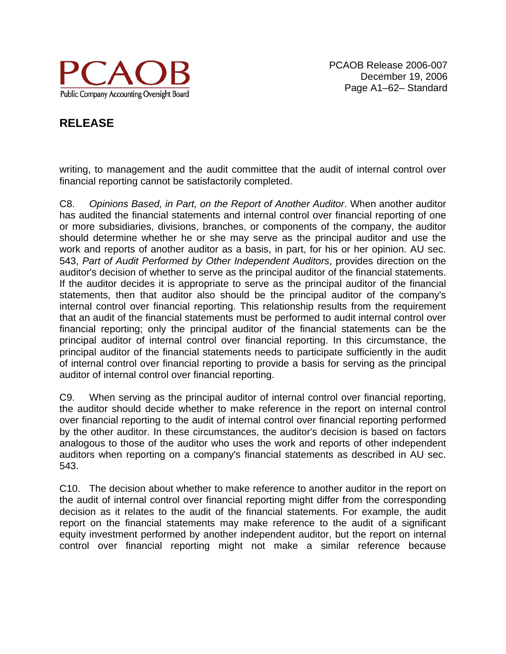

writing, to management and the audit committee that the audit of internal control over financial reporting cannot be satisfactorily completed.

C8. *Opinions Based, in Part, on the Report of Another Auditor*. When another auditor has audited the financial statements and internal control over financial reporting of one or more subsidiaries, divisions, branches, or components of the company, the auditor should determine whether he or she may serve as the principal auditor and use the work and reports of another auditor as a basis, in part, for his or her opinion. AU sec. 543, *Part of Audit Performed by Other Independent Auditors*, provides direction on the auditor's decision of whether to serve as the principal auditor of the financial statements. If the auditor decides it is appropriate to serve as the principal auditor of the financial statements, then that auditor also should be the principal auditor of the company's internal control over financial reporting. This relationship results from the requirement that an audit of the financial statements must be performed to audit internal control over financial reporting; only the principal auditor of the financial statements can be the principal auditor of internal control over financial reporting. In this circumstance, the principal auditor of the financial statements needs to participate sufficiently in the audit of internal control over financial reporting to provide a basis for serving as the principal auditor of internal control over financial reporting.

C9. When serving as the principal auditor of internal control over financial reporting, the auditor should decide whether to make reference in the report on internal control over financial reporting to the audit of internal control over financial reporting performed by the other auditor. In these circumstances, the auditor's decision is based on factors analogous to those of the auditor who uses the work and reports of other independent auditors when reporting on a company's financial statements as described in AU sec. 543.

C10. The decision about whether to make reference to another auditor in the report on the audit of internal control over financial reporting might differ from the corresponding decision as it relates to the audit of the financial statements. For example, the audit report on the financial statements may make reference to the audit of a significant equity investment performed by another independent auditor, but the report on internal control over financial reporting might not make a similar reference because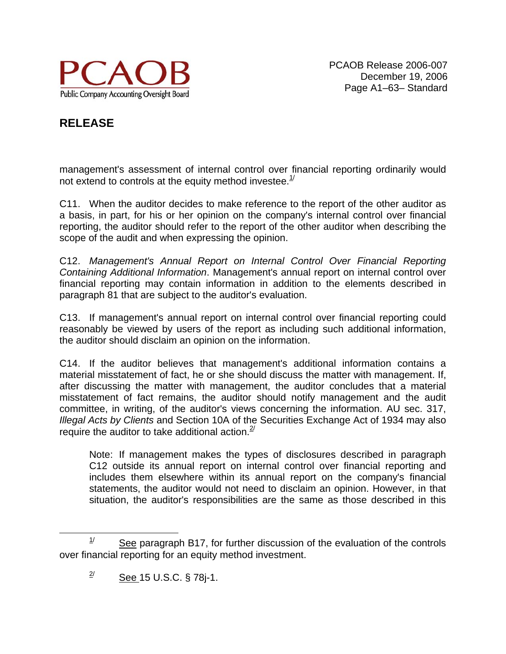

management's assessment of internal control over financial reporting ordinarily would not extend to controls at the equity method investee. $1/2$ 

C11. When the auditor decides to make reference to the report of the other auditor as a basis, in part, for his or her opinion on the company's internal control over financial reporting, the auditor should refer to the report of the other auditor when describing the scope of the audit and when expressing the opinion.

C12. *Management's Annual Report on Internal Control Over Financial Reporting Containing Additional Information*. Management's annual report on internal control over financial reporting may contain information in addition to the elements described in paragraph 81 that are subject to the auditor's evaluation.

C13. If management's annual report on internal control over financial reporting could reasonably be viewed by users of the report as including such additional information, the auditor should disclaim an opinion on the information.

C14. If the auditor believes that management's additional information contains a material misstatement of fact, he or she should discuss the matter with management. If, after discussing the matter with management, the auditor concludes that a material misstatement of fact remains, the auditor should notify management and the audit committee, in writing, of the auditor's views concerning the information. AU sec. 317, *Illegal Acts by Clients* and Section 10A of the Securities Exchange Act of 1934 may also require the auditor to take additional action. $2^{\prime}$ 

Note: If management makes the types of disclosures described in paragraph C12 outside its annual report on internal control over financial reporting and includes them elsewhere within its annual report on the company's financial statements, the auditor would not need to disclaim an opinion. However, in that situation, the auditor's responsibilities are the same as those described in this

 $\frac{1}{2}$  $\frac{1}{2}$  See paragraph B17, for further discussion of the evaluation of the controls over financial reporting for an equity method investment.

<sup>2/</sup> See 15 U.S.C. § 78j-1.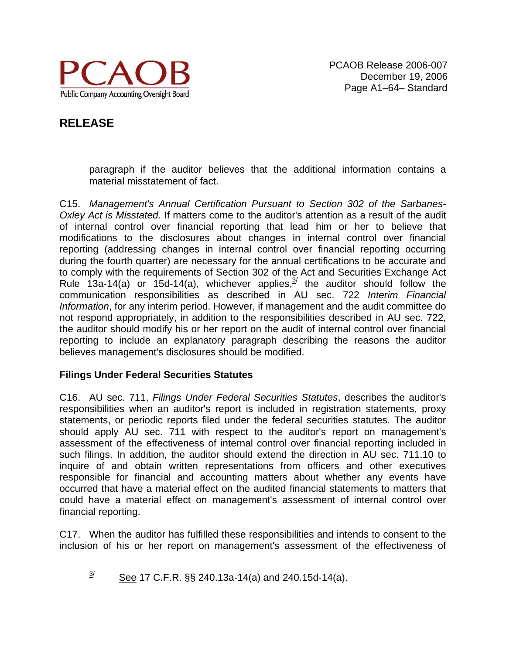

paragraph if the auditor believes that the additional information contains a material misstatement of fact.

C15. *Management's Annual Certification Pursuant to Section 302 of the Sarbanes-Oxley Act is Misstated.* If matters come to the auditor's attention as a result of the audit of internal control over financial reporting that lead him or her to believe that modifications to the disclosures about changes in internal control over financial reporting (addressing changes in internal control over financial reporting occurring during the fourth quarter) are necessary for the annual certifications to be accurate and to comply with the requirements of Section 302 of the Act and Securities Exchange Act Rule 13a-14(a) or 15d-14(a), whichever applies, $3/2$  the auditor should follow the communication responsibilities as described in AU sec. 722 *Interim Financial Information*, for any interim period. However, if management and the audit committee do not respond appropriately, in addition to the responsibilities described in AU sec. 722, the auditor should modify his or her report on the audit of internal control over financial reporting to include an explanatory paragraph describing the reasons the auditor believes management's disclosures should be modified.

#### **Filings Under Federal Securities Statutes**

C16. AU sec. 711, *Filings Under Federal Securities Statutes*, describes the auditor's responsibilities when an auditor's report is included in registration statements, proxy statements, or periodic reports filed under the federal securities statutes. The auditor should apply AU sec. 711 with respect to the auditor's report on management's assessment of the effectiveness of internal control over financial reporting included in such filings. In addition, the auditor should extend the direction in AU sec. 711.10 to inquire of and obtain written representations from officers and other executives responsible for financial and accounting matters about whether any events have occurred that have a material effect on the audited financial statements to matters that could have a material effect on management's assessment of internal control over financial reporting.

C17. When the auditor has fulfilled these responsibilities and intends to consent to the inclusion of his or her report on management's assessment of the effectiveness of

 $\frac{3}{2}$  $\frac{3}{2}$  See 17 C.F.R. §§ 240.13a-14(a) and 240.15d-14(a).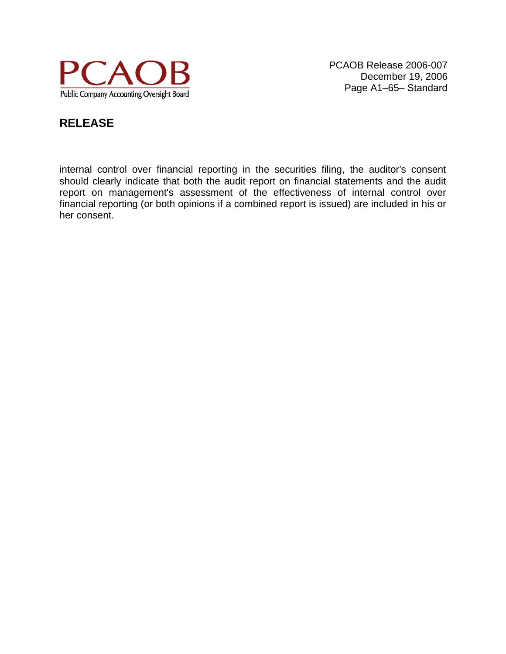

internal control over financial reporting in the securities filing, the auditor's consent should clearly indicate that both the audit report on financial statements and the audit report on management's assessment of the effectiveness of internal control over financial reporting (or both opinions if a combined report is issued) are included in his or her consent.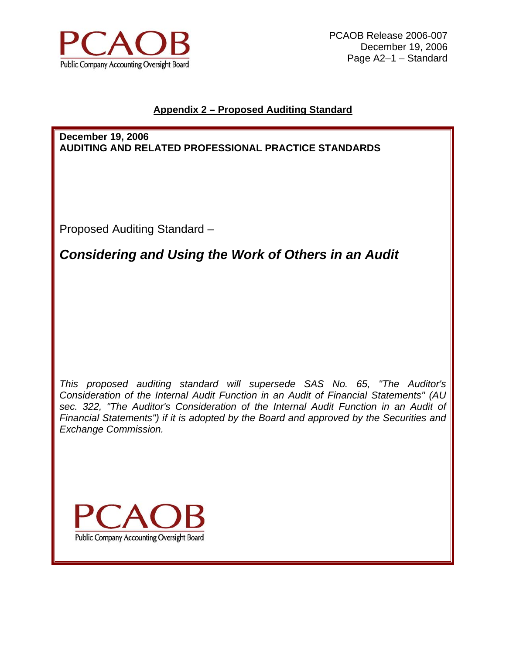

#### **Appendix 2 – Proposed Auditing Standard**

#### **December 19, 2006 AUDITING AND RELATED PROFESSIONAL PRACTICE STANDARDS**

Proposed Auditing Standard –

*Considering and Using the Work of Others in an Audit*

*This proposed auditing standard will supersede SAS No. 65, "The Auditor's Consideration of the Internal Audit Function in an Audit of Financial Statements" (AU sec. 322, "The Auditor's Consideration of the Internal Audit Function in an Audit of Financial Statements") if it is adopted by the Board and approved by the Securities and Exchange Commission.* 

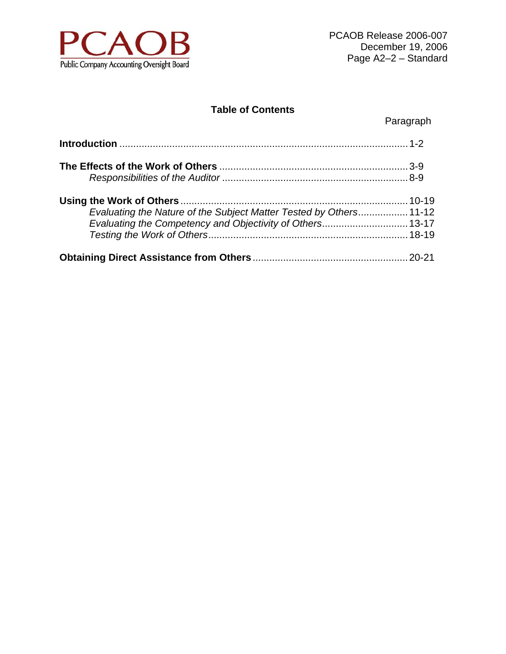

#### **Table of Contents**

Paragraph

| Evaluating the Nature of the Subject Matter Tested by Others11-12 |  |
|-------------------------------------------------------------------|--|
|                                                                   |  |
|                                                                   |  |
|                                                                   |  |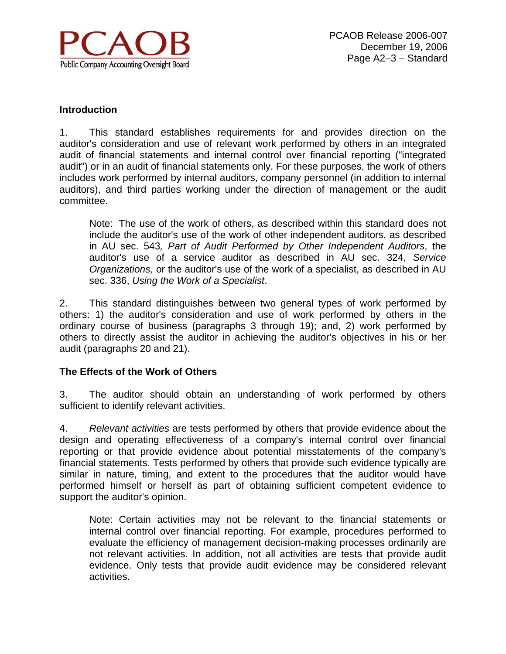

#### **Introduction**

1. This standard establishes requirements for and provides direction on the auditor's consideration and use of relevant work performed by others in an integrated audit of financial statements and internal control over financial reporting ("integrated audit") or in an audit of financial statements only. For these purposes, the work of others includes work performed by internal auditors, company personnel (in addition to internal auditors), and third parties working under the direction of management or the audit committee.

Note: The use of the work of others, as described within this standard does not include the auditor's use of the work of other independent auditors, as described in AU sec. 543*, Part of Audit Performed by Other Independent Auditors*, the auditor's use of a service auditor as described in AU sec. 324, *Service Organizations,* or the auditor's use of the work of a specialist, as described in AU sec. 336, *Using the Work of a Specialist*.

2. This standard distinguishes between two general types of work performed by others: 1) the auditor's consideration and use of work performed by others in the ordinary course of business (paragraphs 3 through 19); and, 2) work performed by others to directly assist the auditor in achieving the auditor's objectives in his or her audit (paragraphs 20 and 21).

#### **The Effects of the Work of Others**

3. The auditor should obtain an understanding of work performed by others sufficient to identify relevant activities.

4. *Relevant activities* are tests performed by others that provide evidence about the design and operating effectiveness of a company's internal control over financial reporting or that provide evidence about potential misstatements of the company's financial statements. Tests performed by others that provide such evidence typically are similar in nature, timing, and extent to the procedures that the auditor would have performed himself or herself as part of obtaining sufficient competent evidence to support the auditor's opinion.

Note: Certain activities may not be relevant to the financial statements or internal control over financial reporting. For example, procedures performed to evaluate the efficiency of management decision-making processes ordinarily are not relevant activities. In addition, not all activities are tests that provide audit evidence. Only tests that provide audit evidence may be considered relevant activities.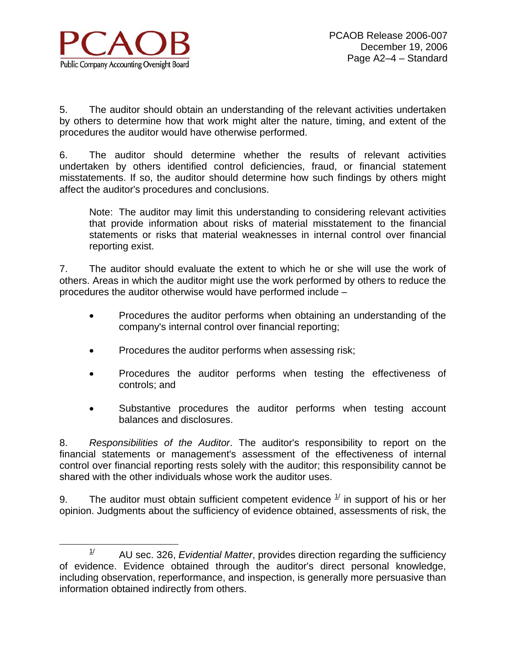

5. The auditor should obtain an understanding of the relevant activities undertaken by others to determine how that work might alter the nature, timing, and extent of the procedures the auditor would have otherwise performed.

6. The auditor should determine whether the results of relevant activities undertaken by others identified control deficiencies, fraud, or financial statement misstatements. If so, the auditor should determine how such findings by others might affect the auditor's procedures and conclusions.

Note: The auditor may limit this understanding to considering relevant activities that provide information about risks of material misstatement to the financial statements or risks that material weaknesses in internal control over financial reporting exist.

7. The auditor should evaluate the extent to which he or she will use the work of others. Areas in which the auditor might use the work performed by others to reduce the procedures the auditor otherwise would have performed include –

- Procedures the auditor performs when obtaining an understanding of the company's internal control over financial reporting;
- Procedures the auditor performs when assessing risk;
- Procedures the auditor performs when testing the effectiveness of controls; and
- Substantive procedures the auditor performs when testing account balances and disclosures.

8. *Responsibilities of the Auditor*. The auditor's responsibility to report on the financial statements or management's assessment of the effectiveness of internal control over financial reporting rests solely with the auditor; this responsibility cannot be shared with the other individuals whose work the auditor uses.

9. The auditor must obtain sufficient competent evidence  $\frac{1}{l}$  in support of his or her opinion. Judgments about the sufficiency of evidence obtained, assessments of risk, the

 $\frac{1}{2}$  $\frac{1}{4}$  AU sec. 326, *Evidential Matter*, provides direction regarding the sufficiency of evidence. Evidence obtained through the auditor's direct personal knowledge, including observation, reperformance, and inspection, is generally more persuasive than information obtained indirectly from others.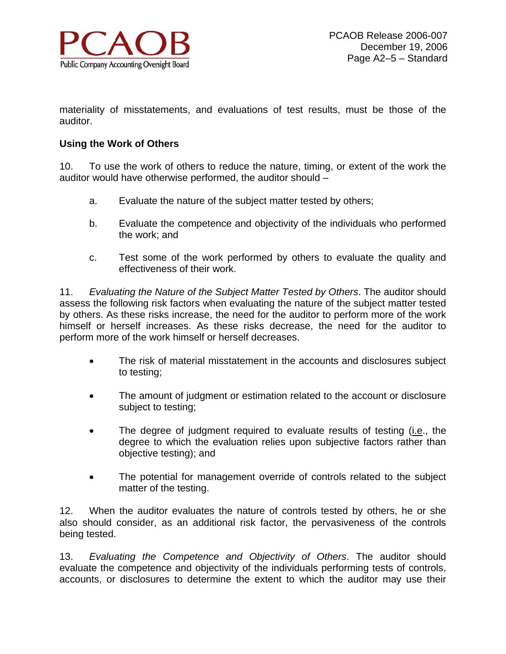

materiality of misstatements, and evaluations of test results, must be those of the auditor.

#### **Using the Work of Others**

10. To use the work of others to reduce the nature, timing, or extent of the work the auditor would have otherwise performed, the auditor should –

- a. Evaluate the nature of the subject matter tested by others;
- b. Evaluate the competence and objectivity of the individuals who performed the work; and
- c. Test some of the work performed by others to evaluate the quality and effectiveness of their work.

11. *Evaluating the Nature of the Subject Matter Tested by Others*. The auditor should assess the following risk factors when evaluating the nature of the subject matter tested by others. As these risks increase, the need for the auditor to perform more of the work himself or herself increases. As these risks decrease, the need for the auditor to perform more of the work himself or herself decreases.

- The risk of material misstatement in the accounts and disclosures subject to testing;
- The amount of judgment or estimation related to the account or disclosure subject to testing;
- The degree of judgment required to evaluate results of testing (i.e., the degree to which the evaluation relies upon subjective factors rather than objective testing); and
- The potential for management override of controls related to the subject matter of the testing.

12. When the auditor evaluates the nature of controls tested by others, he or she also should consider, as an additional risk factor, the pervasiveness of the controls being tested.

13. *Evaluating the Competence and Objectivity of Others*. The auditor should evaluate the competence and objectivity of the individuals performing tests of controls, accounts, or disclosures to determine the extent to which the auditor may use their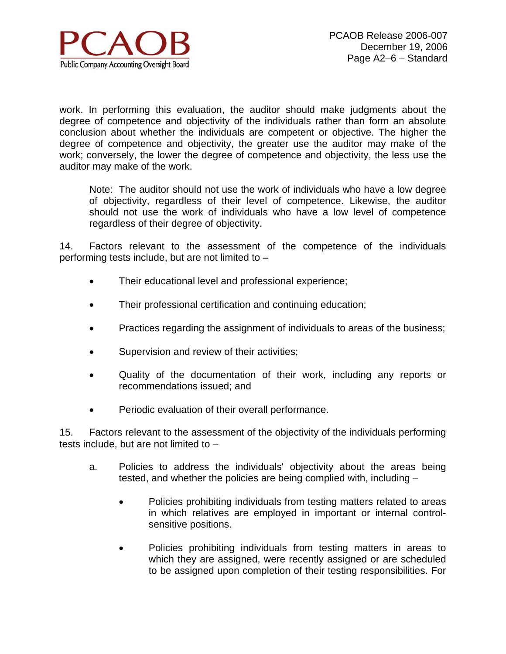

work. In performing this evaluation, the auditor should make judgments about the degree of competence and objectivity of the individuals rather than form an absolute conclusion about whether the individuals are competent or objective. The higher the degree of competence and objectivity, the greater use the auditor may make of the work; conversely, the lower the degree of competence and objectivity, the less use the auditor may make of the work.

Note: The auditor should not use the work of individuals who have a low degree of objectivity, regardless of their level of competence. Likewise, the auditor should not use the work of individuals who have a low level of competence regardless of their degree of objectivity.

14. Factors relevant to the assessment of the competence of the individuals performing tests include, but are not limited to –

- Their educational level and professional experience;
- Their professional certification and continuing education;
- Practices regarding the assignment of individuals to areas of the business;
- Supervision and review of their activities;
- Quality of the documentation of their work, including any reports or recommendations issued; and
- Periodic evaluation of their overall performance.

15. Factors relevant to the assessment of the objectivity of the individuals performing tests include, but are not limited to –

- a. Policies to address the individuals' objectivity about the areas being tested, and whether the policies are being complied with, including –
	- Policies prohibiting individuals from testing matters related to areas in which relatives are employed in important or internal controlsensitive positions.
	- Policies prohibiting individuals from testing matters in areas to which they are assigned, were recently assigned or are scheduled to be assigned upon completion of their testing responsibilities. For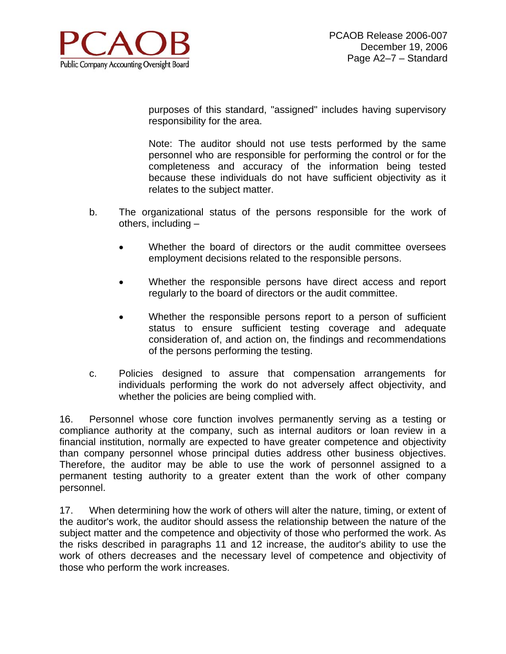

purposes of this standard, "assigned" includes having supervisory responsibility for the area.

Note: The auditor should not use tests performed by the same personnel who are responsible for performing the control or for the completeness and accuracy of the information being tested because these individuals do not have sufficient objectivity as it relates to the subject matter.

- b. The organizational status of the persons responsible for the work of others, including –
	- Whether the board of directors or the audit committee oversees employment decisions related to the responsible persons.
	- Whether the responsible persons have direct access and report regularly to the board of directors or the audit committee.
	- Whether the responsible persons report to a person of sufficient status to ensure sufficient testing coverage and adequate consideration of, and action on, the findings and recommendations of the persons performing the testing.
- c. Policies designed to assure that compensation arrangements for individuals performing the work do not adversely affect objectivity, and whether the policies are being complied with.

16. Personnel whose core function involves permanently serving as a testing or compliance authority at the company, such as internal auditors or loan review in a financial institution, normally are expected to have greater competence and objectivity than company personnel whose principal duties address other business objectives. Therefore, the auditor may be able to use the work of personnel assigned to a permanent testing authority to a greater extent than the work of other company personnel.

17. When determining how the work of others will alter the nature, timing, or extent of the auditor's work, the auditor should assess the relationship between the nature of the subject matter and the competence and objectivity of those who performed the work. As the risks described in paragraphs 11 and 12 increase, the auditor's ability to use the work of others decreases and the necessary level of competence and objectivity of those who perform the work increases.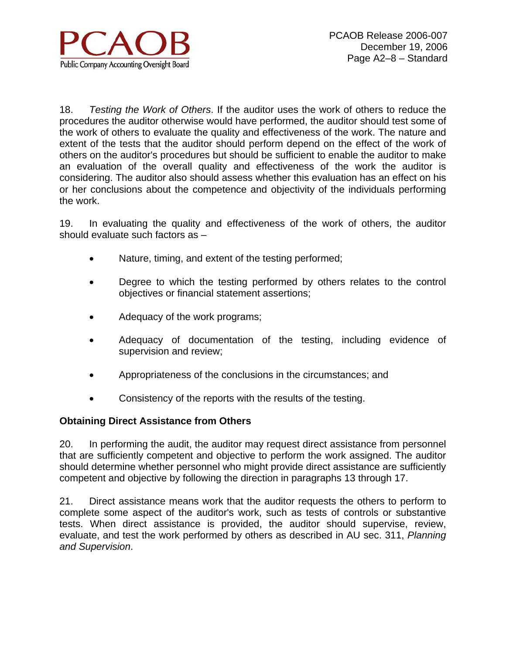

18. *Testing the Work of Others*. If the auditor uses the work of others to reduce the procedures the auditor otherwise would have performed, the auditor should test some of the work of others to evaluate the quality and effectiveness of the work. The nature and extent of the tests that the auditor should perform depend on the effect of the work of others on the auditor's procedures but should be sufficient to enable the auditor to make an evaluation of the overall quality and effectiveness of the work the auditor is considering. The auditor also should assess whether this evaluation has an effect on his or her conclusions about the competence and objectivity of the individuals performing the work.

19. In evaluating the quality and effectiveness of the work of others, the auditor should evaluate such factors as –

- Nature, timing, and extent of the testing performed;
- Degree to which the testing performed by others relates to the control objectives or financial statement assertions;
- Adequacy of the work programs;
- Adequacy of documentation of the testing, including evidence of supervision and review;
- Appropriateness of the conclusions in the circumstances; and
- Consistency of the reports with the results of the testing.

### **Obtaining Direct Assistance from Others**

20. In performing the audit, the auditor may request direct assistance from personnel that are sufficiently competent and objective to perform the work assigned. The auditor should determine whether personnel who might provide direct assistance are sufficiently competent and objective by following the direction in paragraphs 13 through 17.

21. Direct assistance means work that the auditor requests the others to perform to complete some aspect of the auditor's work, such as tests of controls or substantive tests. When direct assistance is provided, the auditor should supervise, review, evaluate, and test the work performed by others as described in AU sec. 311, *Planning and Supervision*.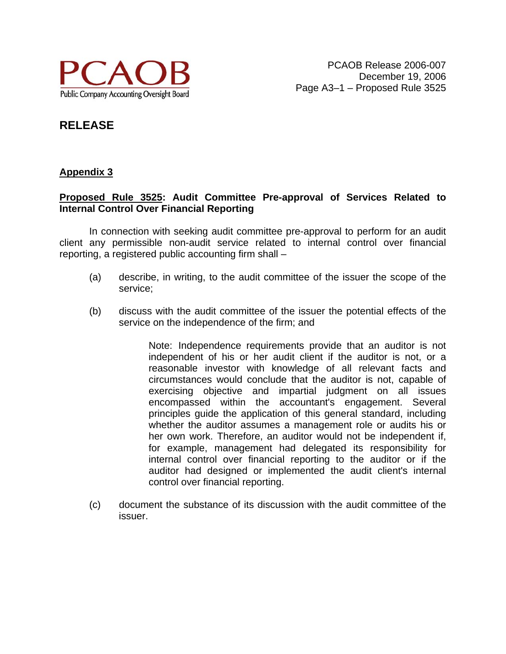

### **Appendix 3**

### **Proposed Rule 3525: Audit Committee Pre-approval of Services Related to Internal Control Over Financial Reporting**

 In connection with seeking audit committee pre-approval to perform for an audit client any permissible non-audit service related to internal control over financial reporting, a registered public accounting firm shall –

- (a) describe, in writing, to the audit committee of the issuer the scope of the service;
- (b) discuss with the audit committee of the issuer the potential effects of the service on the independence of the firm; and

Note: Independence requirements provide that an auditor is not independent of his or her audit client if the auditor is not, or a reasonable investor with knowledge of all relevant facts and circumstances would conclude that the auditor is not, capable of exercising objective and impartial judgment on all issues encompassed within the accountant's engagement. Several principles guide the application of this general standard, including whether the auditor assumes a management role or audits his or her own work. Therefore, an auditor would not be independent if, for example, management had delegated its responsibility for internal control over financial reporting to the auditor or if the auditor had designed or implemented the audit client's internal control over financial reporting.

(c) document the substance of its discussion with the audit committee of the issuer.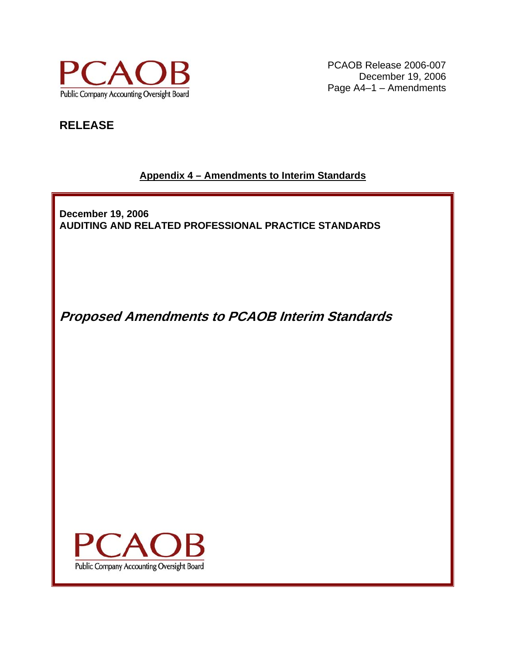

### **Appendix 4 – Amendments to Interim Standards**

**December 19, 2006 AUDITING AND RELATED PROFESSIONAL PRACTICE STANDARDS** 

**Proposed Amendments to PCAOB Interim Standards**

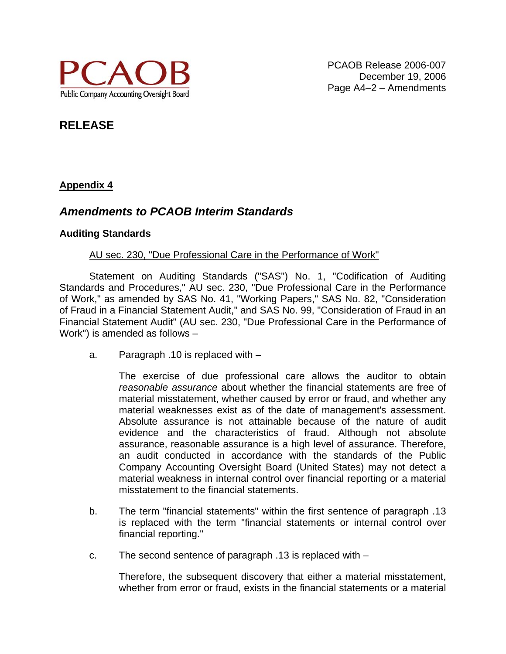

**Appendix 4**

### *Amendments to PCAOB Interim Standards*

### **Auditing Standards**

### AU sec. 230, "Due Professional Care in the Performance of Work"

 Statement on Auditing Standards ("SAS") No. 1, "Codification of Auditing Standards and Procedures," AU sec. 230, "Due Professional Care in the Performance of Work," as amended by SAS No. 41, "Working Papers," SAS No. 82, "Consideration of Fraud in a Financial Statement Audit," and SAS No. 99, "Consideration of Fraud in an Financial Statement Audit" (AU sec. 230, "Due Professional Care in the Performance of Work") is amended as follows –

a. Paragraph .10 is replaced with –

The exercise of due professional care allows the auditor to obtain *reasonable assurance* about whether the financial statements are free of material misstatement, whether caused by error or fraud, and whether any material weaknesses exist as of the date of management's assessment. Absolute assurance is not attainable because of the nature of audit evidence and the characteristics of fraud. Although not absolute assurance, reasonable assurance is a high level of assurance. Therefore, an audit conducted in accordance with the standards of the Public Company Accounting Oversight Board (United States) may not detect a material weakness in internal control over financial reporting or a material misstatement to the financial statements.

- b. The term "financial statements" within the first sentence of paragraph .13 is replaced with the term "financial statements or internal control over financial reporting."
- c. The second sentence of paragraph .13 is replaced with –

Therefore, the subsequent discovery that either a material misstatement, whether from error or fraud, exists in the financial statements or a material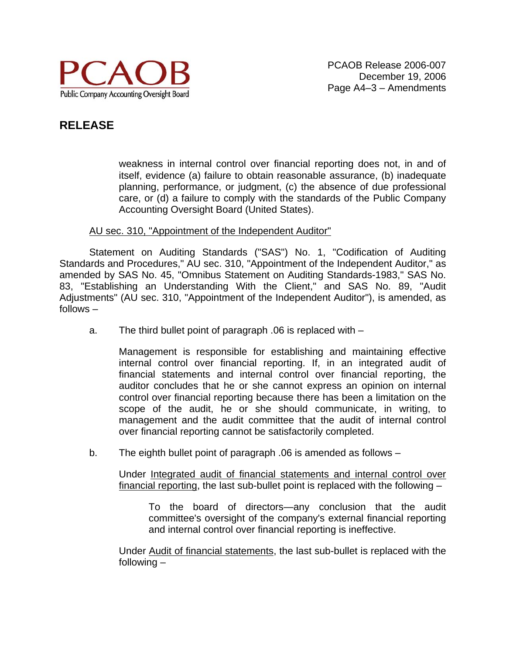

weakness in internal control over financial reporting does not, in and of itself, evidence (a) failure to obtain reasonable assurance, (b) inadequate planning, performance, or judgment, (c) the absence of due professional care, or (d) a failure to comply with the standards of the Public Company Accounting Oversight Board (United States).

### AU sec. 310, "Appointment of the Independent Auditor"

Statement on Auditing Standards ("SAS") No. 1, "Codification of Auditing Standards and Procedures," AU sec. 310, "Appointment of the Independent Auditor," as amended by SAS No. 45, "Omnibus Statement on Auditing Standards-1983," SAS No. 83, "Establishing an Understanding With the Client," and SAS No. 89, "Audit Adjustments" (AU sec. 310, "Appointment of the Independent Auditor"), is amended, as follows –

a. The third bullet point of paragraph .06 is replaced with –

Management is responsible for establishing and maintaining effective internal control over financial reporting. If, in an integrated audit of financial statements and internal control over financial reporting, the auditor concludes that he or she cannot express an opinion on internal control over financial reporting because there has been a limitation on the scope of the audit, he or she should communicate, in writing, to management and the audit committee that the audit of internal control over financial reporting cannot be satisfactorily completed.

b. The eighth bullet point of paragraph .06 is amended as follows –

Under Integrated audit of financial statements and internal control over financial reporting, the last sub-bullet point is replaced with the following –

To the board of directors—any conclusion that the audit committee's oversight of the company's external financial reporting and internal control over financial reporting is ineffective.

Under Audit of financial statements, the last sub-bullet is replaced with the following –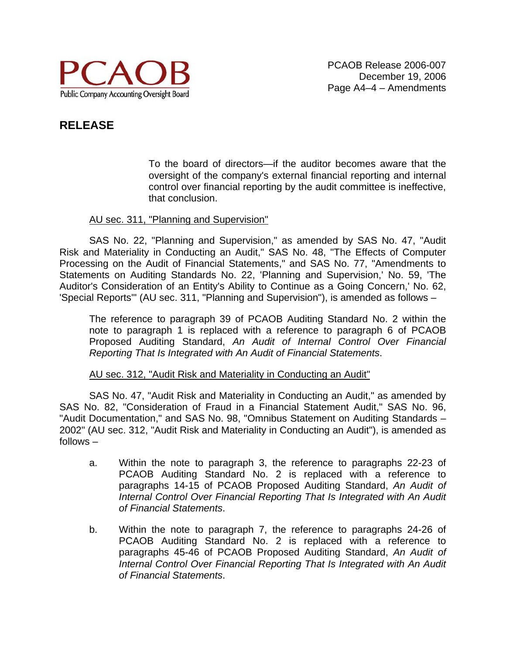

To the board of directors—if the auditor becomes aware that the oversight of the company's external financial reporting and internal control over financial reporting by the audit committee is ineffective, that conclusion.

#### AU sec. 311, "Planning and Supervision"

SAS No. 22, "Planning and Supervision," as amended by SAS No. 47, "Audit Risk and Materiality in Conducting an Audit," SAS No. 48, "The Effects of Computer Processing on the Audit of Financial Statements," and SAS No. 77, "Amendments to Statements on Auditing Standards No. 22, 'Planning and Supervision,' No. 59, 'The Auditor's Consideration of an Entity's Ability to Continue as a Going Concern,' No. 62, 'Special Reports'" (AU sec. 311, "Planning and Supervision"), is amended as follows –

The reference to paragraph 39 of PCAOB Auditing Standard No. 2 within the note to paragraph 1 is replaced with a reference to paragraph 6 of PCAOB Proposed Auditing Standard, *An Audit of Internal Control Over Financial Reporting That Is Integrated with An Audit of Financial Statements*.

#### AU sec. 312, "Audit Risk and Materiality in Conducting an Audit"

 SAS No. 47, "Audit Risk and Materiality in Conducting an Audit," as amended by SAS No. 82, "Consideration of Fraud in a Financial Statement Audit," SAS No. 96, "Audit Documentation," and SAS No. 98, "Omnibus Statement on Auditing Standards – 2002" (AU sec. 312, "Audit Risk and Materiality in Conducting an Audit"), is amended as follows –

- a. Within the note to paragraph 3, the reference to paragraphs 22-23 of PCAOB Auditing Standard No. 2 is replaced with a reference to paragraphs 14-15 of PCAOB Proposed Auditing Standard, *An Audit of Internal Control Over Financial Reporting That Is Integrated with An Audit of Financial Statements*.
- b. Within the note to paragraph 7, the reference to paragraphs 24-26 of PCAOB Auditing Standard No. 2 is replaced with a reference to paragraphs 45-46 of PCAOB Proposed Auditing Standard, *An Audit of Internal Control Over Financial Reporting That Is Integrated with An Audit of Financial Statements*.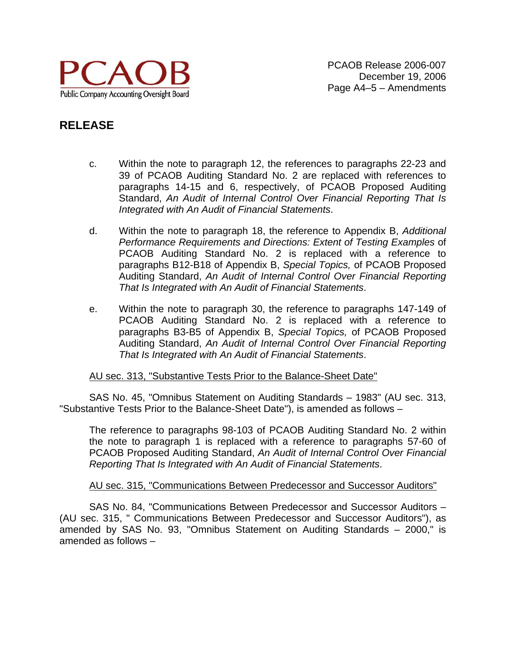

- c. Within the note to paragraph 12, the references to paragraphs 22-23 and 39 of PCAOB Auditing Standard No. 2 are replaced with references to paragraphs 14-15 and 6, respectively, of PCAOB Proposed Auditing Standard, *An Audit of Internal Control Over Financial Reporting That Is Integrated with An Audit of Financial Statements*.
- d. Within the note to paragraph 18, the reference to Appendix B, *Additional Performance Requirements and Directions: Extent of Testing Examples* of PCAOB Auditing Standard No. 2 is replaced with a reference to paragraphs B12-B18 of Appendix B, *Special Topics,* of PCAOB Proposed Auditing Standard, *An Audit of Internal Control Over Financial Reporting That Is Integrated with An Audit of Financial Statements*.
- e. Within the note to paragraph 30, the reference to paragraphs 147-149 of PCAOB Auditing Standard No. 2 is replaced with a reference to paragraphs B3-B5 of Appendix B, *Special Topics,* of PCAOB Proposed Auditing Standard, *An Audit of Internal Control Over Financial Reporting That Is Integrated with An Audit of Financial Statements*.

### AU sec. 313, "Substantive Tests Prior to the Balance-Sheet Date"

SAS No. 45, "Omnibus Statement on Auditing Standards – 1983" (AU sec. 313, "Substantive Tests Prior to the Balance-Sheet Date"), is amended as follows –

The reference to paragraphs 98-103 of PCAOB Auditing Standard No. 2 within the note to paragraph 1 is replaced with a reference to paragraphs 57-60 of PCAOB Proposed Auditing Standard, *An Audit of Internal Control Over Financial Reporting That Is Integrated with An Audit of Financial Statements*.

### AU sec. 315, "Communications Between Predecessor and Successor Auditors"

SAS No. 84, "Communications Between Predecessor and Successor Auditors – (AU sec. 315, " Communications Between Predecessor and Successor Auditors"), as amended by SAS No. 93, "Omnibus Statement on Auditing Standards – 2000," is amended as follows –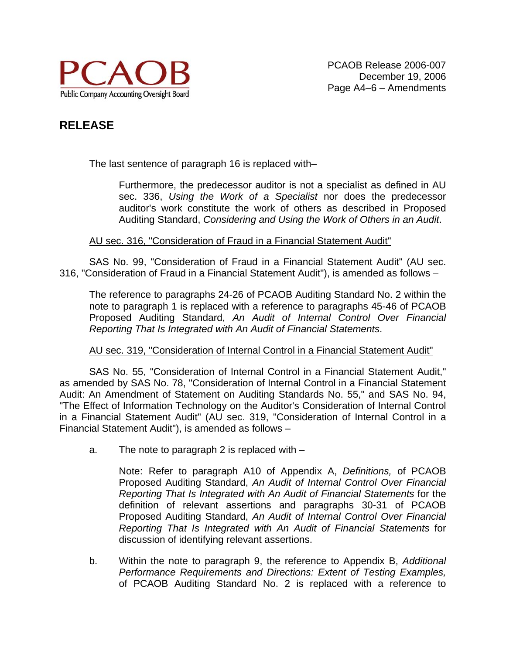

The last sentence of paragraph 16 is replaced with–

Furthermore, the predecessor auditor is not a specialist as defined in AU sec. 336, *Using the Work of a Specialist* nor does the predecessor auditor's work constitute the work of others as described in Proposed Auditing Standard, *Considering and Using the Work of Others in an Audit*.

### AU sec. 316, "Consideration of Fraud in a Financial Statement Audit"

 SAS No. 99, "Consideration of Fraud in a Financial Statement Audit" (AU sec. 316, "Consideration of Fraud in a Financial Statement Audit"), is amended as follows –

The reference to paragraphs 24-26 of PCAOB Auditing Standard No. 2 within the note to paragraph 1 is replaced with a reference to paragraphs 45-46 of PCAOB Proposed Auditing Standard, *An Audit of Internal Control Over Financial Reporting That Is Integrated with An Audit of Financial Statements*.

### AU sec. 319, "Consideration of Internal Control in a Financial Statement Audit"

SAS No. 55, "Consideration of Internal Control in a Financial Statement Audit," as amended by SAS No. 78, "Consideration of Internal Control in a Financial Statement Audit: An Amendment of Statement on Auditing Standards No. 55," and SAS No. 94, "The Effect of Information Technology on the Auditor's Consideration of Internal Control in a Financial Statement Audit" (AU sec. 319, "Consideration of Internal Control in a Financial Statement Audit"), is amended as follows –

a. The note to paragraph 2 is replaced with –

Note: Refer to paragraph A10 of Appendix A, *Definitions,* of PCAOB Proposed Auditing Standard, *An Audit of Internal Control Over Financial Reporting That Is Integrated with An Audit of Financial Statements* for the definition of relevant assertions and paragraphs 30-31 of PCAOB Proposed Auditing Standard, *An Audit of Internal Control Over Financial Reporting That Is Integrated with An Audit of Financial Statements* for discussion of identifying relevant assertions.

b. Within the note to paragraph 9, the reference to Appendix B, *Additional Performance Requirements and Directions: Extent of Testing Examples,* of PCAOB Auditing Standard No. 2 is replaced with a reference to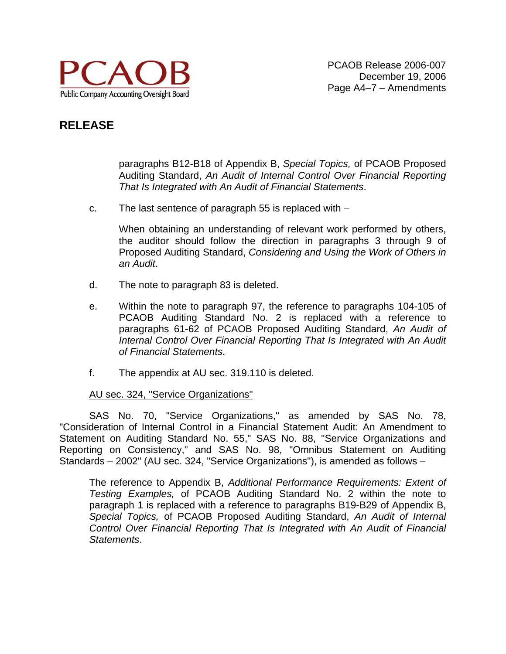

paragraphs B12-B18 of Appendix B, *Special Topics,* of PCAOB Proposed Auditing Standard, *An Audit of Internal Control Over Financial Reporting That Is Integrated with An Audit of Financial Statements*.

c. The last sentence of paragraph 55 is replaced with –

When obtaining an understanding of relevant work performed by others, the auditor should follow the direction in paragraphs 3 through 9 of Proposed Auditing Standard, *Considering and Using the Work of Others in an Audit*.

- d. The note to paragraph 83 is deleted.
- e. Within the note to paragraph 97, the reference to paragraphs 104-105 of PCAOB Auditing Standard No. 2 is replaced with a reference to paragraphs 61-62 of PCAOB Proposed Auditing Standard, *An Audit of Internal Control Over Financial Reporting That Is Integrated with An Audit of Financial Statements*.
- f. The appendix at AU sec. 319.110 is deleted.

#### AU sec. 324, "Service Organizations"

SAS No. 70, "Service Organizations," as amended by SAS No. 78, "Consideration of Internal Control in a Financial Statement Audit: An Amendment to Statement on Auditing Standard No. 55," SAS No. 88, "Service Organizations and Reporting on Consistency," and SAS No. 98, "Omnibus Statement on Auditing Standards – 2002" (AU sec. 324, "Service Organizations"), is amended as follows –

The reference to Appendix B, *Additional Performance Requirements: Extent of Testing Examples,* of PCAOB Auditing Standard No. 2 within the note to paragraph 1 is replaced with a reference to paragraphs B19-B29 of Appendix B, *Special Topics,* of PCAOB Proposed Auditing Standard, *An Audit of Internal Control Over Financial Reporting That Is Integrated with An Audit of Financial Statements*.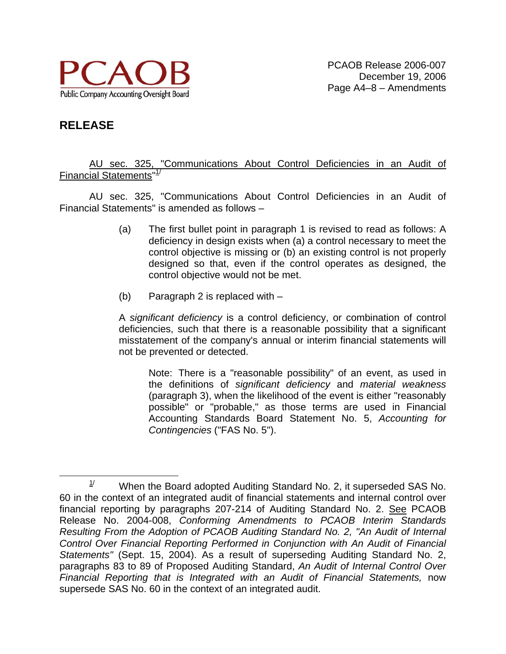

### AU sec. 325, "Communications About Control Deficiencies in an Audit of Financial Statements"<sup>1/</sup>

AU sec. 325, "Communications About Control Deficiencies in an Audit of Financial Statements" is amended as follows –

- (a) The first bullet point in paragraph 1 is revised to read as follows: A deficiency in design exists when (a) a control necessary to meet the control objective is missing or (b) an existing control is not properly designed so that, even if the control operates as designed, the control objective would not be met.
- (b) Paragraph 2 is replaced with –

A *significant deficiency* is a control deficiency, or combination of control deficiencies, such that there is a reasonable possibility that a significant misstatement of the company's annual or interim financial statements will not be prevented or detected.

Note: There is a "reasonable possibility" of an event, as used in the definitions of *significant deficiency* and *material weakness* (paragraph 3), when the likelihood of the event is either "reasonably possible" or "probable," as those terms are used in Financial Accounting Standards Board Statement No. 5, *Accounting for Contingencies* ("FAS No. 5").

 $\frac{1}{2}$  $1/$  When the Board adopted Auditing Standard No. 2, it superseded SAS No. 60 in the context of an integrated audit of financial statements and internal control over financial reporting by paragraphs 207-214 of Auditing Standard No. 2. See PCAOB Release No. 2004-008, *Conforming Amendments to PCAOB Interim Standards Resulting From the Adoption of PCAOB Auditing Standard No. 2, "An Audit of Internal Control Over Financial Reporting Performed in Conjunction with An Audit of Financial Statements"* (Sept. 15, 2004). As a result of superseding Auditing Standard No. 2, paragraphs 83 to 89 of Proposed Auditing Standard, *An Audit of Internal Control Over Financial Reporting that is Integrated with an Audit of Financial Statements,* now supersede SAS No. 60 in the context of an integrated audit.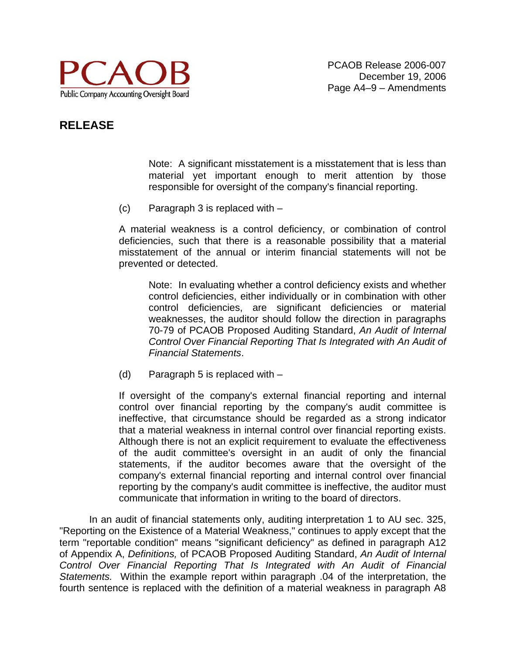

Note: A significant misstatement is a misstatement that is less than material yet important enough to merit attention by those responsible for oversight of the company's financial reporting.

(c) Paragraph 3 is replaced with –

A material weakness is a control deficiency, or combination of control deficiencies, such that there is a reasonable possibility that a material misstatement of the annual or interim financial statements will not be prevented or detected.

Note: In evaluating whether a control deficiency exists and whether control deficiencies, either individually or in combination with other control deficiencies, are significant deficiencies or material weaknesses, the auditor should follow the direction in paragraphs 70-79 of PCAOB Proposed Auditing Standard, *An Audit of Internal Control Over Financial Reporting That Is Integrated with An Audit of Financial Statements*.

(d) Paragraph 5 is replaced with –

If oversight of the company's external financial reporting and internal control over financial reporting by the company's audit committee is ineffective, that circumstance should be regarded as a strong indicator that a material weakness in internal control over financial reporting exists. Although there is not an explicit requirement to evaluate the effectiveness of the audit committee's oversight in an audit of only the financial statements, if the auditor becomes aware that the oversight of the company's external financial reporting and internal control over financial reporting by the company's audit committee is ineffective, the auditor must communicate that information in writing to the board of directors.

 In an audit of financial statements only, auditing interpretation 1 to AU sec. 325, "Reporting on the Existence of a Material Weakness," continues to apply except that the term "reportable condition" means "significant deficiency" as defined in paragraph A12 of Appendix A, *Definitions,* of PCAOB Proposed Auditing Standard, *An Audit of Internal Control Over Financial Reporting That Is Integrated with An Audit of Financial Statements.* Within the example report within paragraph .04 of the interpretation, the fourth sentence is replaced with the definition of a material weakness in paragraph A8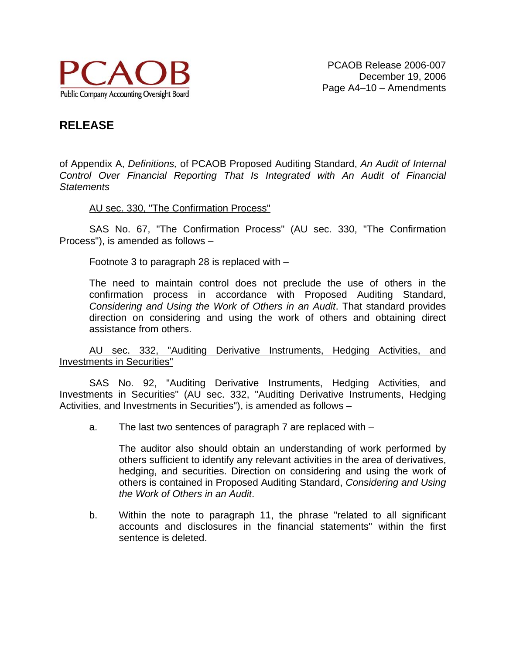

of Appendix A, *Definitions,* of PCAOB Proposed Auditing Standard, *An Audit of Internal Control Over Financial Reporting That Is Integrated with An Audit of Financial Statements*

### AU sec. 330, "The Confirmation Process"

 SAS No. 67, "The Confirmation Process" (AU sec. 330, "The Confirmation Process"), is amended as follows –

Footnote 3 to paragraph 28 is replaced with –

The need to maintain control does not preclude the use of others in the confirmation process in accordance with Proposed Auditing Standard, *Considering and Using the Work of Others in an Audit*. That standard provides direction on considering and using the work of others and obtaining direct assistance from others.

 AU sec. 332, "Auditing Derivative Instruments, Hedging Activities, and Investments in Securities"

 SAS No. 92, "Auditing Derivative Instruments, Hedging Activities, and Investments in Securities" (AU sec. 332, "Auditing Derivative Instruments, Hedging Activities, and Investments in Securities"), is amended as follows –

a. The last two sentences of paragraph 7 are replaced with –

 The auditor also should obtain an understanding of work performed by others sufficient to identify any relevant activities in the area of derivatives, hedging, and securities. Direction on considering and using the work of others is contained in Proposed Auditing Standard, *Considering and Using the Work of Others in an Audit*.

b. Within the note to paragraph 11, the phrase "related to all significant accounts and disclosures in the financial statements" within the first sentence is deleted.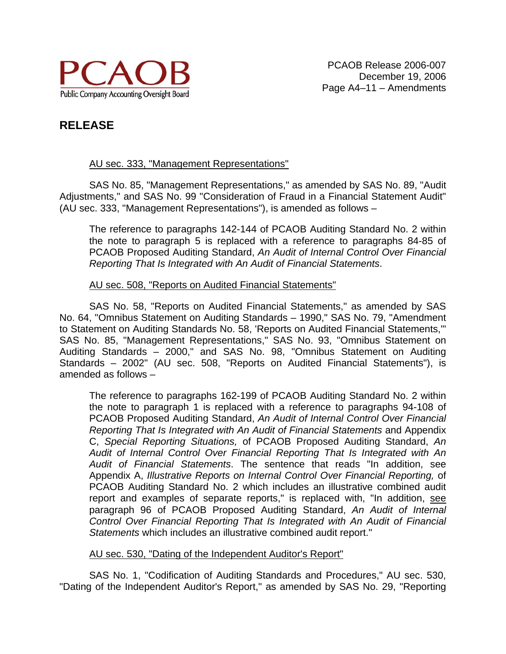

### AU sec. 333, "Management Representations"

 SAS No. 85, "Management Representations," as amended by SAS No. 89, "Audit Adjustments," and SAS No. 99 "Consideration of Fraud in a Financial Statement Audit" (AU sec. 333, "Management Representations"), is amended as follows –

The reference to paragraphs 142-144 of PCAOB Auditing Standard No. 2 within the note to paragraph 5 is replaced with a reference to paragraphs 84-85 of PCAOB Proposed Auditing Standard, *An Audit of Internal Control Over Financial Reporting That Is Integrated with An Audit of Financial Statements*.

### AU sec. 508, "Reports on Audited Financial Statements"

 SAS No. 58, "Reports on Audited Financial Statements," as amended by SAS No. 64, "Omnibus Statement on Auditing Standards – 1990," SAS No. 79, "Amendment to Statement on Auditing Standards No. 58, 'Reports on Audited Financial Statements,'" SAS No. 85, "Management Representations," SAS No. 93, "Omnibus Statement on Auditing Standards – 2000," and SAS No. 98, "Omnibus Statement on Auditing Standards – 2002" (AU sec. 508, "Reports on Audited Financial Statements"), is amended as follows –

The reference to paragraphs 162-199 of PCAOB Auditing Standard No. 2 within the note to paragraph 1 is replaced with a reference to paragraphs 94-108 of PCAOB Proposed Auditing Standard, *An Audit of Internal Control Over Financial Reporting That Is Integrated with An Audit of Financial Statements* and Appendix C, *Special Reporting Situations,* of PCAOB Proposed Auditing Standard, *An Audit of Internal Control Over Financial Reporting That Is Integrated with An Audit of Financial Statements*. The sentence that reads "In addition, see Appendix A, *Illustrative Reports on Internal Control Over Financial Reporting,* of PCAOB Auditing Standard No. 2 which includes an illustrative combined audit report and examples of separate reports," is replaced with, "In addition, see paragraph 96 of PCAOB Proposed Auditing Standard, *An Audit of Internal Control Over Financial Reporting That Is Integrated with An Audit of Financial Statements* which includes an illustrative combined audit report."

### AU sec. 530, "Dating of the Independent Auditor's Report"

 SAS No. 1, "Codification of Auditing Standards and Procedures," AU sec. 530, "Dating of the Independent Auditor's Report," as amended by SAS No. 29, "Reporting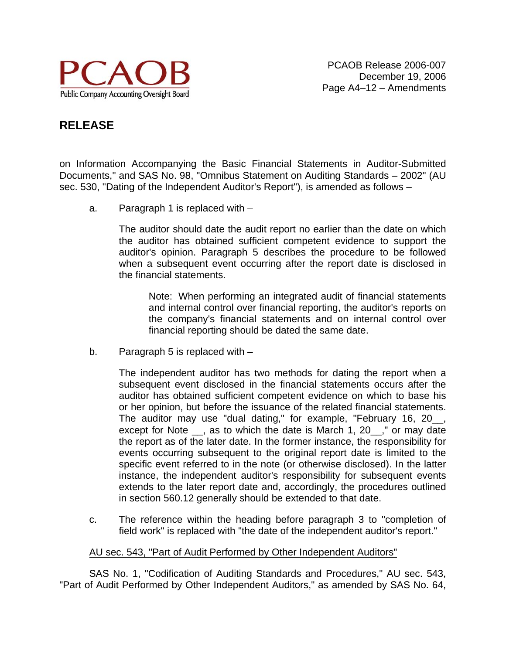

on Information Accompanying the Basic Financial Statements in Auditor-Submitted Documents," and SAS No. 98, "Omnibus Statement on Auditing Standards – 2002" (AU sec. 530, "Dating of the Independent Auditor's Report"), is amended as follows –

a. Paragraph 1 is replaced with –

The auditor should date the audit report no earlier than the date on which the auditor has obtained sufficient competent evidence to support the auditor's opinion. Paragraph 5 describes the procedure to be followed when a subsequent event occurring after the report date is disclosed in the financial statements.

Note: When performing an integrated audit of financial statements and internal control over financial reporting, the auditor's reports on the company's financial statements and on internal control over financial reporting should be dated the same date.

b. Paragraph 5 is replaced with –

The independent auditor has two methods for dating the report when a subsequent event disclosed in the financial statements occurs after the auditor has obtained sufficient competent evidence on which to base his or her opinion, but before the issuance of the related financial statements. The auditor may use "dual dating," for example, "February 16, 20\_\_, except for Note <sub>\_\_</sub>, as to which the date is March 1, 20\_\_," or may date the report as of the later date. In the former instance, the responsibility for events occurring subsequent to the original report date is limited to the specific event referred to in the note (or otherwise disclosed). In the latter instance, the independent auditor's responsibility for subsequent events extends to the later report date and, accordingly, the procedures outlined in section 560.12 generally should be extended to that date.

c. The reference within the heading before paragraph 3 to "completion of field work" is replaced with "the date of the independent auditor's report."

### AU sec. 543, "Part of Audit Performed by Other Independent Auditors"

 SAS No. 1, "Codification of Auditing Standards and Procedures," AU sec. 543, "Part of Audit Performed by Other Independent Auditors," as amended by SAS No. 64,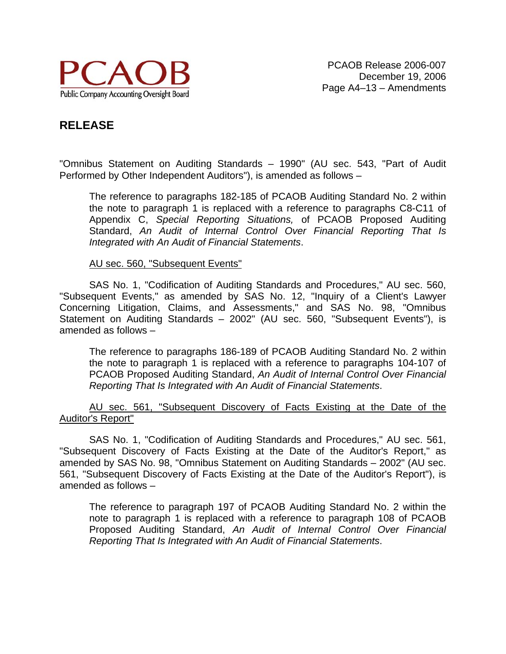

"Omnibus Statement on Auditing Standards – 1990" (AU sec. 543, "Part of Audit Performed by Other Independent Auditors"), is amended as follows –

The reference to paragraphs 182-185 of PCAOB Auditing Standard No. 2 within the note to paragraph 1 is replaced with a reference to paragraphs C8-C11 of Appendix C, *Special Reporting Situations,* of PCAOB Proposed Auditing Standard, *An Audit of Internal Control Over Financial Reporting That Is Integrated with An Audit of Financial Statements*.

AU sec. 560, "Subsequent Events"

 SAS No. 1, "Codification of Auditing Standards and Procedures," AU sec. 560, "Subsequent Events," as amended by SAS No. 12, "Inquiry of a Client's Lawyer Concerning Litigation, Claims, and Assessments," and SAS No. 98, "Omnibus Statement on Auditing Standards – 2002" (AU sec. 560, "Subsequent Events"), is amended as follows –

The reference to paragraphs 186-189 of PCAOB Auditing Standard No. 2 within the note to paragraph 1 is replaced with a reference to paragraphs 104-107 of PCAOB Proposed Auditing Standard, *An Audit of Internal Control Over Financial Reporting That Is Integrated with An Audit of Financial Statements*.

 AU sec. 561, "Subsequent Discovery of Facts Existing at the Date of the Auditor's Report"

 SAS No. 1, "Codification of Auditing Standards and Procedures," AU sec. 561, "Subsequent Discovery of Facts Existing at the Date of the Auditor's Report," as amended by SAS No. 98, "Omnibus Statement on Auditing Standards – 2002" (AU sec. 561, "Subsequent Discovery of Facts Existing at the Date of the Auditor's Report"), is amended as follows –

The reference to paragraph 197 of PCAOB Auditing Standard No. 2 within the note to paragraph 1 is replaced with a reference to paragraph 108 of PCAOB Proposed Auditing Standard, *An Audit of Internal Control Over Financial Reporting That Is Integrated with An Audit of Financial Statements*.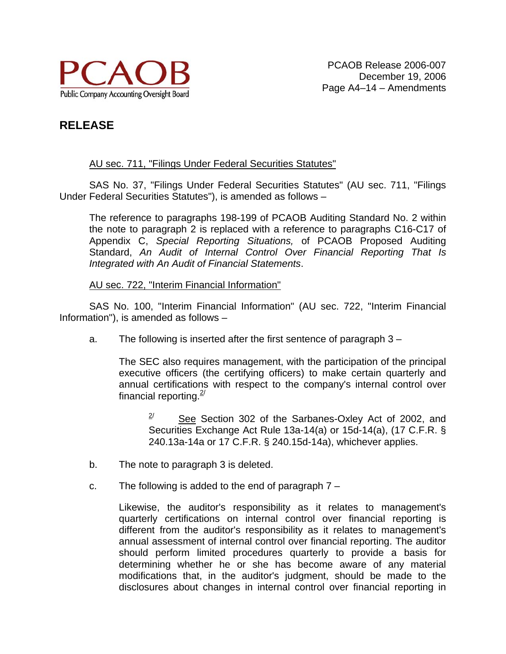

### AU sec. 711, "Filings Under Federal Securities Statutes"

 SAS No. 37, "Filings Under Federal Securities Statutes" (AU sec. 711, "Filings Under Federal Securities Statutes"), is amended as follows –

The reference to paragraphs 198-199 of PCAOB Auditing Standard No. 2 within the note to paragraph 2 is replaced with a reference to paragraphs C16-C17 of Appendix C, *Special Reporting Situations,* of PCAOB Proposed Auditing Standard, *An Audit of Internal Control Over Financial Reporting That Is Integrated with An Audit of Financial Statements*.

AU sec. 722, "Interim Financial Information"

 SAS No. 100, "Interim Financial Information" (AU sec. 722, "Interim Financial Information"), is amended as follows –

a. The following is inserted after the first sentence of paragraph 3 –

 The SEC also requires management, with the participation of the principal executive officers (the certifying officers) to make certain quarterly and annual certifications with respect to the company's internal control over financial reporting. $2/2$ 

2/ See Section 302 of the Sarbanes-Oxley Act of 2002, and Securities Exchange Act Rule 13a-14(a) or 15d-14(a), (17 C.F.R. § 240.13a-14a or 17 C.F.R. § 240.15d-14a), whichever applies.

- b. The note to paragraph 3 is deleted.
- c. The following is added to the end of paragraph  $7 -$

Likewise, the auditor's responsibility as it relates to management's quarterly certifications on internal control over financial reporting is different from the auditor's responsibility as it relates to management's annual assessment of internal control over financial reporting. The auditor should perform limited procedures quarterly to provide a basis for determining whether he or she has become aware of any material modifications that, in the auditor's judgment, should be made to the disclosures about changes in internal control over financial reporting in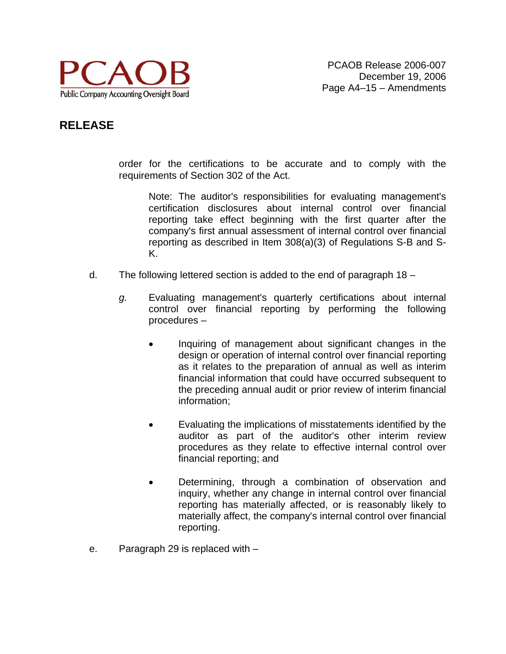

order for the certifications to be accurate and to comply with the requirements of Section 302 of the Act.

Note: The auditor's responsibilities for evaluating management's certification disclosures about internal control over financial reporting take effect beginning with the first quarter after the company's first annual assessment of internal control over financial reporting as described in Item 308(a)(3) of Regulations S-B and S-K.

- d. The following lettered section is added to the end of paragraph  $18$ 
	- *g.* Evaluating management's quarterly certifications about internal control over financial reporting by performing the following procedures –
		- Inquiring of management about significant changes in the design or operation of internal control over financial reporting as it relates to the preparation of annual as well as interim financial information that could have occurred subsequent to the preceding annual audit or prior review of interim financial information;
		- Evaluating the implications of misstatements identified by the auditor as part of the auditor's other interim review procedures as they relate to effective internal control over financial reporting; and
		- Determining, through a combination of observation and inquiry, whether any change in internal control over financial reporting has materially affected, or is reasonably likely to materially affect, the company's internal control over financial reporting.
- e. Paragraph 29 is replaced with –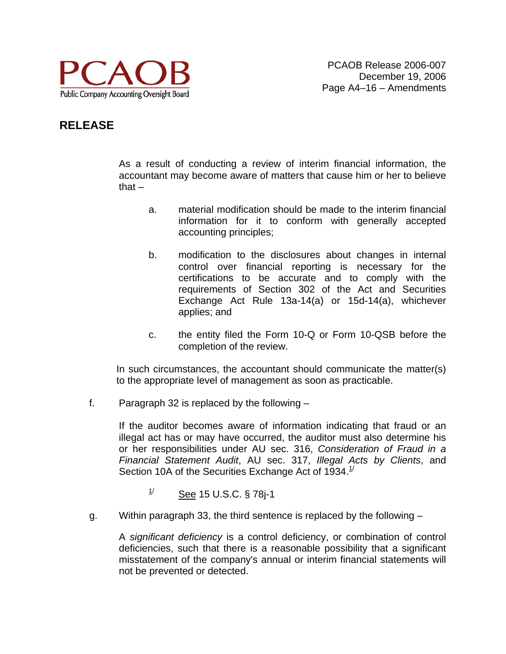

As a result of conducting a review of interim financial information, the accountant may become aware of matters that cause him or her to believe that $-$ 

- a. material modification should be made to the interim financial information for it to conform with generally accepted accounting principles;
- b. modification to the disclosures about changes in internal control over financial reporting is necessary for the certifications to be accurate and to comply with the requirements of Section 302 of the Act and Securities Exchange Act Rule 13a-14(a) or 15d-14(a), whichever applies; and
- c. the entity filed the Form 10-Q or Form 10-QSB before the completion of the review.

In such circumstances, the accountant should communicate the matter(s) to the appropriate level of management as soon as practicable.

f. Paragraph 32 is replaced by the following –

If the auditor becomes aware of information indicating that fraud or an illegal act has or may have occurred, the auditor must also determine his or her responsibilities under AU sec. 316, *Consideration of Fraud in a Financial Statement Audit*, AU sec. 317, *Illegal Acts by Clients*, and Section 10A of the Securities Exchange Act of 1934. $^{1/2}$ 

- $\frac{1}{2}$  $\frac{1}{1}$  See 15 U.S.C. § 78j-1
- g. Within paragraph 33, the third sentence is replaced by the following –

A *significant deficiency* is a control deficiency, or combination of control deficiencies, such that there is a reasonable possibility that a significant misstatement of the company's annual or interim financial statements will not be prevented or detected.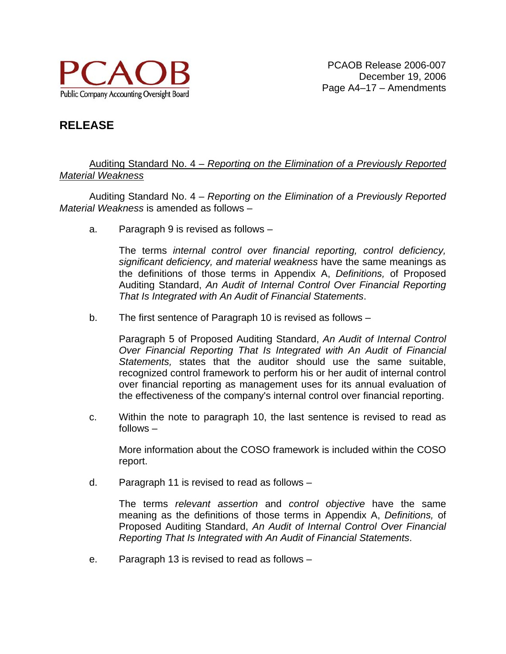

### Auditing Standard No. 4 – *Reporting on the Elimination of a Previously Reported Material Weakness*

 Auditing Standard No. 4 – *Reporting on the Elimination of a Previously Reported Material Weakness* is amended as follows –

a. Paragraph 9 is revised as follows –

The terms *internal control over financial reporting, control deficiency, significant deficiency, and material weakness* have the same meanings as the definitions of those terms in Appendix A, *Definitions,* of Proposed Auditing Standard, *An Audit of Internal Control Over Financial Reporting That Is Integrated with An Audit of Financial Statements*.

b. The first sentence of Paragraph 10 is revised as follows –

Paragraph 5 of Proposed Auditing Standard, *An Audit of Internal Control Over Financial Reporting That Is Integrated with An Audit of Financial Statements,* states that the auditor should use the same suitable, recognized control framework to perform his or her audit of internal control over financial reporting as management uses for its annual evaluation of the effectiveness of the company's internal control over financial reporting.

c. Within the note to paragraph 10, the last sentence is revised to read as follows –

More information about the COSO framework is included within the COSO report.

d. Paragraph 11 is revised to read as follows –

The terms *relevant assertion* and *control objective* have the same meaning as the definitions of those terms in Appendix A, *Definitions,* of Proposed Auditing Standard, *An Audit of Internal Control Over Financial Reporting That Is Integrated with An Audit of Financial Statements*.

e. Paragraph 13 is revised to read as follows –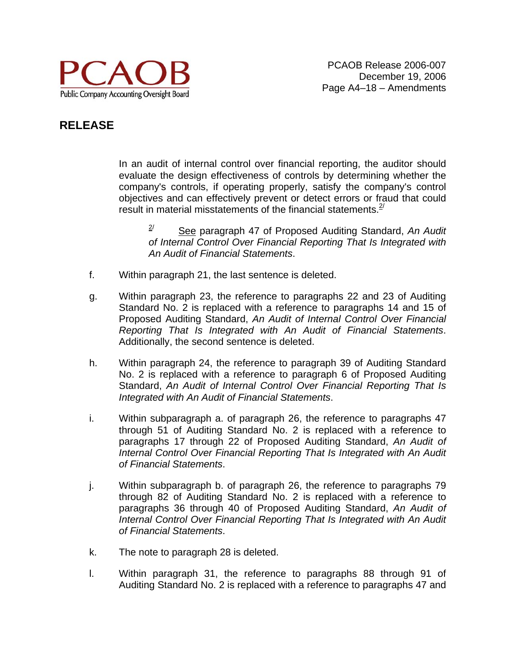

In an audit of internal control over financial reporting, the auditor should evaluate the design effectiveness of controls by determining whether the company's controls, if operating properly, satisfy the company's control objectives and can effectively prevent or detect errors or fraud that could result in material misstatements of the financial statements. $2^{2}$ 

2/ See paragraph 47 of Proposed Auditing Standard, *An Audit of Internal Control Over Financial Reporting That Is Integrated with An Audit of Financial Statements*.

- f. Within paragraph 21, the last sentence is deleted.
- g. Within paragraph 23, the reference to paragraphs 22 and 23 of Auditing Standard No. 2 is replaced with a reference to paragraphs 14 and 15 of Proposed Auditing Standard, *An Audit of Internal Control Over Financial Reporting That Is Integrated with An Audit of Financial Statements*. Additionally, the second sentence is deleted.
- h. Within paragraph 24, the reference to paragraph 39 of Auditing Standard No. 2 is replaced with a reference to paragraph 6 of Proposed Auditing Standard, *An Audit of Internal Control Over Financial Reporting That Is Integrated with An Audit of Financial Statements*.
- i. Within subparagraph a. of paragraph 26, the reference to paragraphs 47 through 51 of Auditing Standard No. 2 is replaced with a reference to paragraphs 17 through 22 of Proposed Auditing Standard, *An Audit of Internal Control Over Financial Reporting That Is Integrated with An Audit of Financial Statements*.
- j. Within subparagraph b. of paragraph 26, the reference to paragraphs 79 through 82 of Auditing Standard No. 2 is replaced with a reference to paragraphs 36 through 40 of Proposed Auditing Standard, *An Audit of Internal Control Over Financial Reporting That Is Integrated with An Audit of Financial Statements*.
- k. The note to paragraph 28 is deleted.
- l. Within paragraph 31, the reference to paragraphs 88 through 91 of Auditing Standard No. 2 is replaced with a reference to paragraphs 47 and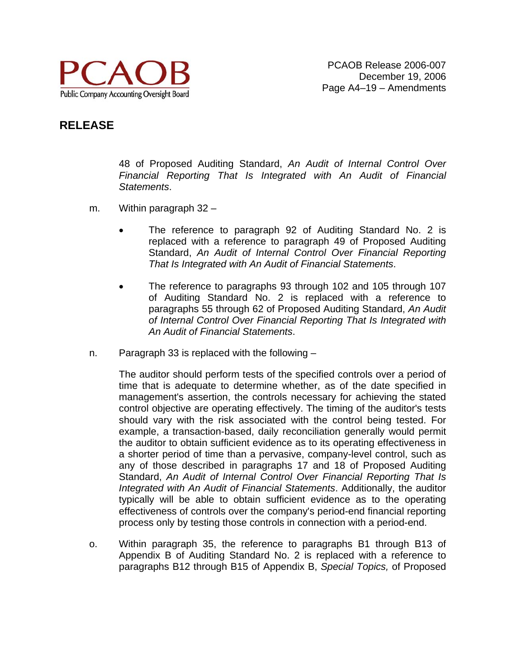

48 of Proposed Auditing Standard, *An Audit of Internal Control Over Financial Reporting That Is Integrated with An Audit of Financial Statements*.

- m. Within paragraph 32
	- The reference to paragraph 92 of Auditing Standard No. 2 is replaced with a reference to paragraph 49 of Proposed Auditing Standard, *An Audit of Internal Control Over Financial Reporting That Is Integrated with An Audit of Financial Statements*.
	- The reference to paragraphs 93 through 102 and 105 through 107 of Auditing Standard No. 2 is replaced with a reference to paragraphs 55 through 62 of Proposed Auditing Standard, *An Audit of Internal Control Over Financial Reporting That Is Integrated with An Audit of Financial Statements*.
- n. Paragraph 33 is replaced with the following –

The auditor should perform tests of the specified controls over a period of time that is adequate to determine whether, as of the date specified in management's assertion, the controls necessary for achieving the stated control objective are operating effectively. The timing of the auditor's tests should vary with the risk associated with the control being tested. For example, a transaction-based, daily reconciliation generally would permit the auditor to obtain sufficient evidence as to its operating effectiveness in a shorter period of time than a pervasive, company-level control, such as any of those described in paragraphs 17 and 18 of Proposed Auditing Standard, *An Audit of Internal Control Over Financial Reporting That Is Integrated with An Audit of Financial Statements*. Additionally, the auditor typically will be able to obtain sufficient evidence as to the operating effectiveness of controls over the company's period-end financial reporting process only by testing those controls in connection with a period-end.

o. Within paragraph 35, the reference to paragraphs B1 through B13 of Appendix B of Auditing Standard No. 2 is replaced with a reference to paragraphs B12 through B15 of Appendix B, *Special Topics,* of Proposed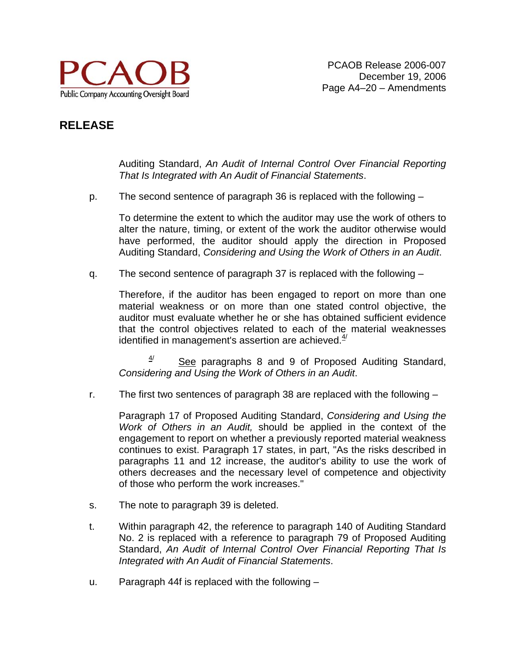

Auditing Standard, *An Audit of Internal Control Over Financial Reporting That Is Integrated with An Audit of Financial Statements*.

p. The second sentence of paragraph 36 is replaced with the following –

To determine the extent to which the auditor may use the work of others to alter the nature, timing, or extent of the work the auditor otherwise would have performed, the auditor should apply the direction in Proposed Auditing Standard, *Considering and Using the Work of Others in an Audit*.

q. The second sentence of paragraph 37 is replaced with the following –

Therefore, if the auditor has been engaged to report on more than one material weakness or on more than one stated control objective, the auditor must evaluate whether he or she has obtained sufficient evidence that the control objectives related to each of the material weaknesses identified in management's assertion are achieved. $4/4$ 

See paragraphs 8 and 9 of Proposed Auditing Standard, *Considering and Using the Work of Others in an Audit*.

r. The first two sentences of paragraph 38 are replaced with the following –

Paragraph 17 of Proposed Auditing Standard, *Considering and Using the Work of Others in an Audit,* should be applied in the context of the engagement to report on whether a previously reported material weakness continues to exist. Paragraph 17 states, in part, "As the risks described in paragraphs 11 and 12 increase, the auditor's ability to use the work of others decreases and the necessary level of competence and objectivity of those who perform the work increases."

- s. The note to paragraph 39 is deleted.
- t. Within paragraph 42, the reference to paragraph 140 of Auditing Standard No. 2 is replaced with a reference to paragraph 79 of Proposed Auditing Standard, *An Audit of Internal Control Over Financial Reporting That Is Integrated with An Audit of Financial Statements*.
- u. Paragraph 44f is replaced with the following –